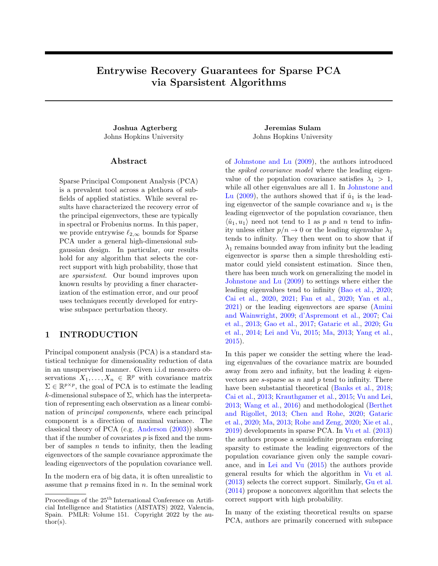# Entrywise Recovery Guarantees for Sparse PCA via Sparsistent Algorithms

Joshua Agterberg Jeremias Sulam Johns Hopkins University Johns Hopkins University

### Abstract

Sparse Principal Component Analysis (PCA) is a prevalent tool across a plethora of subfields of applied statistics. While several results have characterized the recovery error of the principal eigenvectors, these are typically in spectral or Frobenius norms. In this paper, we provide entrywise  $\ell_{2,\infty}$  bounds for Sparse PCA under a general high-dimensional subgaussian design. In particular, our results hold for any algorithm that selects the correct support with high probability, those that are sparsistent. Our bound improves upon known results by providing a finer characterization of the estimation error, and our proof uses techniques recently developed for entrywise subspace perturbation theory.

# 1 INTRODUCTION

Principal component analysis (PCA) is a standard statistical technique for dimensionality reduction of data in an unsupervised manner. Given i.i.d mean-zero observations  $X_1, \ldots, X_n \in \mathbb{R}^p$  with covariance matrix  $\Sigma \in \mathbb{R}^{p \times p}$ , the goal of PCA is to estimate the leading k-dimensional subspace of  $\Sigma$ , which has the interpretation of representing each observation as a linear combination of principal components, where each principal component is a direction of maximal variance. The classical theory of PCA (e.g. [Anderson](#page-7-0) [\(2003\)](#page-7-0)) shows that if the number of covariates  $p$  is fixed and the number of samples  $n$  tends to infinity, then the leading eigenvectors of the sample covariance approximate the leading eigenvectors of the population covariance well.

In the modern era of big data, it is often unrealistic to assume that  $p$  remains fixed in  $n$ . In the seminal work

of [Johnstone and Lu](#page-9-0) [\(2009\)](#page-9-0), the authors introduced the spiked covariance model where the leading eigenvalue of the population covariance satisfies  $\lambda_1 > 1$ , while all other eigenvalues are all 1. In [Johnstone and](#page-9-0) [Lu](#page-9-0) [\(2009\)](#page-9-0), the authors showed that if  $\hat{u}_1$  is the leading eigenvector of the sample covariance and  $u_1$  is the leading eigenvector of the population covariance, then  $\langle \hat{u}_1, u_1 \rangle$  need not tend to 1 as p and n tend to infinity unless either  $p/n \to 0$  or the leading eigenvalue  $\lambda_1$ tends to infinity. They then went on to show that if  $\lambda_1$  remains bounded away from infinity but the leading eigenvector is sparse then a simple thresholding estimator could yield consistent estimation. Since then, there has been much work on generalizing the model in [Johnstone and Lu](#page-9-0) [\(2009\)](#page-9-0) to settings where either the leading eigenvalues tend to infinity [\(Bao et al.,](#page-7-1) [2020;](#page-7-1) [Cai et al.,](#page-7-2) [2020,](#page-7-2) [2021;](#page-7-3) [Fan et al.,](#page-8-0) [2020;](#page-8-0) [Yan et al.,](#page-10-0) [2021\)](#page-10-0) or the leading eigenvectors are sparse [\(Amini](#page-7-4) [and Wainwright,](#page-7-4) [2009;](#page-7-4) [d'Aspremont et al.,](#page-8-1) [2007;](#page-8-1) [Cai](#page-7-5) [et al.,](#page-7-5) [2013;](#page-7-5) [Gao et al.,](#page-8-2) [2017;](#page-8-2) [Gataric et al.,](#page-8-3) [2020;](#page-8-3) [Gu](#page-8-4) [et al.,](#page-8-4) [2014;](#page-8-4) [Lei and Vu,](#page-9-1) [2015;](#page-9-1) [Ma,](#page-9-2) [2013;](#page-9-2) [Yang et al.,](#page-10-1) [2015\)](#page-10-1).

In this paper we consider the setting where the leading eigenvalues of the covariance matrix are bounded away from zero and infinity, but the leading  $k$  eigenvectors are  $s$ -sparse as  $n$  and  $p$  tend to infinity. There have been substantial theoretical [\(Banks et al.,](#page-7-6) [2018;](#page-7-6) [Cai et al.,](#page-7-5) [2013;](#page-7-5) [Krauthgamer et al.,](#page-9-3) [2015;](#page-9-3) [Vu and Lei,](#page-9-4) [2013;](#page-9-4) [Wang et al.,](#page-9-5) [2016\)](#page-9-5) and methodological [\(Berthet](#page-7-7) [and Rigollet,](#page-7-7) [2013;](#page-7-7) [Chen and Rohe,](#page-8-5) [2020;](#page-8-5) [Gataric](#page-8-3) [et al.,](#page-8-3) [2020;](#page-8-3) [Ma,](#page-9-2) [2013;](#page-9-2) [Rohe and Zeng,](#page-9-6) [2020;](#page-9-6) [Xie et al.,](#page-9-7) [2019\)](#page-9-7) developments in sparse PCA. In [Vu et al.](#page-9-8) [\(2013\)](#page-9-8) the authors propose a semidefinite program enforcing sparsity to estimate the leading eigenvectors of the population covariance given only the sample covariance, and in [Lei and Vu](#page-9-1) [\(2015\)](#page-9-1) the authors provide general results for which the algorithm in [Vu et al.](#page-9-8) [\(2013\)](#page-9-8) selects the correct support. Similarly, [Gu et al.](#page-8-4) [\(2014\)](#page-8-4) propose a nonconvex algorithm that selects the correct support with high probability.

In many of the existing theoretical results on sparse PCA, authors are primarily concerned with subspace

Proceedings of the  $25^{\text{th}}$  International Conference on Artificial Intelligence and Statistics (AISTATS) 2022, Valencia, Spain. PMLR: Volume 151. Copyright 2022 by the au- $\text{thor}(s)$ .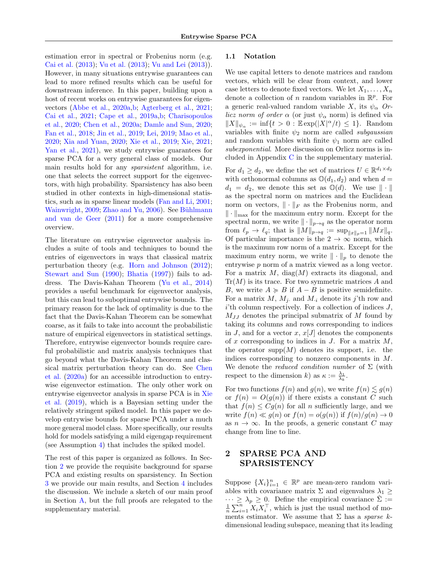estimation error in spectral or Frobenius norm (e.g. [Cai et al.](#page-7-5) [\(2013\)](#page-7-5); [Vu et al.](#page-9-8) [\(2013\)](#page-9-8); [Vu and Lei](#page-9-4) [\(2013\)](#page-9-4)). However, in many situations entrywise guarantees can lead to more refined results which can be useful for downstream inference. In this paper, building upon a host of recent works on entrywise guarantees for eigenvectors [\(Abbe et al.,](#page-7-8) [2020a,](#page-7-8)[b;](#page-7-9) [Agterberg et al.,](#page-7-10) [2021;](#page-7-10) [Cai et al.,](#page-7-3) [2021;](#page-7-3) [Cape et al.,](#page-8-6) [2019a](#page-8-6)[,b;](#page-8-7) [Charisopoulos](#page-8-8) [et al.,](#page-8-8) [2020;](#page-8-8) [Chen et al.,](#page-8-9) [2020a;](#page-8-9) [Damle and Sun,](#page-8-10) [2020;](#page-8-10) [Fan et al.,](#page-8-11) [2018;](#page-8-11) [Jin et al.,](#page-8-12) [2019;](#page-8-12) [Lei,](#page-9-9) [2019;](#page-9-9) [Mao et al.,](#page-9-10) [2020;](#page-9-10) [Xia and Yuan,](#page-9-11) [2020;](#page-9-11) [Xie et al.,](#page-9-7) [2019;](#page-9-7) [Xie,](#page-9-12) [2021;](#page-9-12) [Yan et al.,](#page-10-0) [2021\)](#page-10-0), we study entrywise guarantees for sparse PCA for a very general class of models. Our main results hold for any *sparsistent* algorithm, i.e. one that selects the correct support for the eigenvectors, with high probability. Sparsistency has also been studied in other contexts in high-dimensional statistics, such as in sparse linear models [\(Fan and Li,](#page-8-13) [2001;](#page-8-13) [Wainwright,](#page-9-13) [2009;](#page-9-13) [Zhao and Yu,](#page-10-2) [2006\)](#page-10-2). See Bühlmann [and van de Geer](#page-7-11) [\(2011\)](#page-7-11) for a more comprehensive overview.

The literature on entrywise eigenvector analysis includes a suite of tools and techniques to bound the entries of eigenvectors in ways that classical matrix perturbation theory (e.g. [Horn and Johnson](#page-8-14) [\(2012\)](#page-8-14); [Stewart and Sun](#page-9-14) [\(1990\)](#page-9-14); [Bhatia](#page-7-12) [\(1997\)](#page-7-12)) fails to address. The Davis-Kahan Theorem [\(Yu et al.,](#page-10-3) [2014\)](#page-10-3) provides a useful benchmark for eigenvector analysis, but this can lead to suboptimal entrywise bounds. The primary reason for the lack of optimality is due to the fact that the Davis-Kahan Theorem can be somewhat coarse, as it fails to take into account the probabilistic nature of empirical eigenvectors in statistical settings. Therefore, entrywise eigenvector bounds require careful probabilistic and matrix analysis techniques that go beyond what the Davis-Kahan Theorem and classical matrix perturbation theory can do. See [Chen](#page-8-9) [et al.](#page-8-9) [\(2020a\)](#page-8-9) for an accessible introduction to entrywise eigenvector estimation. The only other work on entrywise eigenvector analysis in sparse PCA is in [Xie](#page-9-7) [et al.](#page-9-7) [\(2019\)](#page-9-7), which is a Bayesian setting under the relatively stringent spiked model. In this paper we develop entrywise bounds for sparse PCA under a much more general model class. More specifically, our results hold for models satisfying a mild eigengap requirement (see Assumption [4\)](#page-3-0) that includes the spiked model.

The rest of this paper is organized as follows. In Section [2](#page-1-0) we provide the requisite background for sparse PCA and existing results on sparsistency. In Section [3](#page-3-1) we provide our main results, and Section [4](#page-4-0) includes the discussion. We include a sketch of our main proof in Section [A,](#page-11-0) but the full proofs are relegated to the supplementary material.

#### 1.1 Notation

We use capital letters to denote matrices and random vectors, which will be clear from context, and lower case letters to denote fixed vectors. We let  $X_1, \ldots, X_n$ denote a collection of n random variables in  $\mathbb{R}^p$ . For a generic real-valued random variable X, its  $\psi_{\alpha}$  Or*licz norm of order*  $\alpha$  (or just  $\psi_{\alpha}$  norm) is defined via  $||X||_{\psi_{\alpha}} := \inf\{t > 0 : \mathbb{E}\exp(|X|^{\alpha}/t) \leq 1\}.$  Random variables with finite  $\psi_2$  norm are called *subgaussian* and random variables with finite  $\psi_1$  norm are called subexponential. More discussion on Orlicz norms is included in Appendix [C](#page-38-0) in the supplementary material.

For  $d_1 \geq d_2$ , we define the set of matrices  $U \in \mathbb{R}^{d_1 \times d_2}$ with orthonormal columns as  $\mathbb{O}(d_1, d_2)$  and when  $d =$  $d_1 = d_2$ , we denote this set as  $\mathbb{O}(d)$ . We use  $\|\cdot\|$ as the spectral norm on matrices and the Euclidean norm on vectors,  $\|\cdot\|_F$  as the Frobenius norm, and ∥ · ∥max for the maximum entry norm. Except for the spectral norm, we write  $\|\cdot\|_{p\to q}$  as the operator norm from  $\ell_p \to \ell_q$ ; that is  $||M||_{p\to q} := \sup_{||x||_p=1} ||Mx||_q$ . Of particular importance is the  $2 \rightarrow \infty$  norm, which is the maximum row norm of a matrix. Except for the maximum entry norm, we write  $\|\cdot\|_p$  to denote the entrywise p norm of a matrix viewed as a long vector. For a matrix  $M$ , diag $(M)$  extracts its diagonal, and  $Tr(M)$  is its trace. For two symmetric matrices A and B, we write  $A \ge B$  if  $A - B$  is positive semidefinite. For a matrix  $M$ ,  $M_i$  and  $M_i$  denote its j'th row and  $i$ <sup>th</sup> column respectively. For a collection of indices  $J$ ,  $M_{JJ}$  denotes the principal submatrix of M found by taking its columns and rows corresponding to indices in J, and for a vector x,  $x[J]$  denotes the components of x corresponding to indices in  $J$ . For a matrix  $M$ , the operator supp $(M)$  denotes its support, i.e. the indices corresponding to nonzero components in M. We denote the *reduced condition number* of  $\Sigma$  (with respect to the dimension k) as  $\kappa := \frac{\lambda_1}{\lambda_k}$ .

For two functions  $f(n)$  and  $g(n)$ , we write  $f(n) \lesssim g(n)$ or  $f(n) = O(g(n))$  if there exists a constant C such that  $f(n) \leq Cg(n)$  for all n sufficiently large, and we write  $f(n) \ll q(n)$  or  $f(n) = o(q(n))$  if  $f(n)/q(n) \to 0$ as  $n \to \infty$ . In the proofs, a generic constant C may change from line to line.

# <span id="page-1-0"></span>2 SPARSE PCA AND SPARSISTENCY

Suppose  $\{X_i\}_{i=1}^n \in \mathbb{R}^p$  are mean-zero random variables with covariance matrix  $\Sigma$  and eigenvalues  $\lambda_1 \geq$  $\cdots \geq \lambda_p \geq 0$ . Define the empirical covariance  $\hat{\Sigma}$  :=  $\frac{1}{n} \sum_{i=1}^{n} X_i X_i^{\top}$ , which is just the usual method of moments estimator. We assume that  $\Sigma$  has a sparse kdimensional leading subspace, meaning that its leading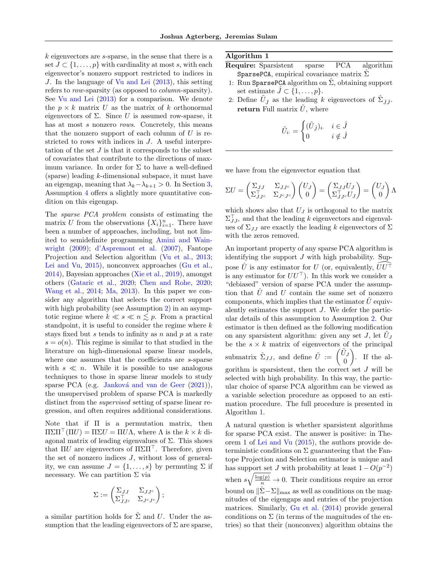k eigenvectors are s-sparse, in the sense that there is a set  $J \subset \{1, \ldots, p\}$  with cardinality at most s, with each eigenvector's nonzero support restricted to indices in J. In the language of [Vu and Lei](#page-9-4) [\(2013\)](#page-9-4), this setting refers to row-sparsity (as opposed to *column*-sparsity). See [Vu and Lei](#page-9-4) [\(2013\)](#page-9-4) for a comparison. We denote the  $p \times k$  matrix U as the matrix of k orthonormal eigenvectors of  $\Sigma$ . Since U is assumed row-sparse, it has at most s nonzero rows. Concretely, this means that the nonzero support of each column of  $U$  is restricted to rows with indices in J. A useful interpretation of the set  $J$  is that it corresponds to the subset of covariates that contribute to the directions of maximum variance. In order for  $\Sigma$  to have a well-defined  $(sparse)$  leading  $k$ -dimensional subspace, it must have an eigengap, meaning that  $\lambda_k - \lambda_{k+1} > 0$ . In Section [3,](#page-3-1) Assumption [4](#page-3-0) offers a slightly more quantitative condition on this eigengap.

The sparse PCA problem consists of estimating the matrix U from the observations  $\{X_i\}_{i=1}^n$ . There have been a number of approaches, including, but not limited to semidefinite programming [Amini and Wain](#page-7-4)[wright](#page-7-4) [\(2009\)](#page-7-4); [d'Aspremont et al.](#page-8-1) [\(2007\)](#page-8-1), Fantope Projection and Selection algorithm [\(Vu et al.,](#page-9-8) [2013;](#page-9-8) [Lei and Vu,](#page-9-1) [2015\)](#page-9-1), nonconvex approaches [\(Gu et al.,](#page-8-4) [2014\)](#page-8-4), Bayesian approaches [\(Xie et al.,](#page-9-7) [2019\)](#page-9-7), amongst others [\(Gataric et al.,](#page-8-3) [2020;](#page-8-3) [Chen and Rohe,](#page-8-5) [2020;](#page-8-5) [Wang et al.,](#page-9-15) [2014;](#page-9-15) [Ma,](#page-9-2) [2013\)](#page-9-2). In this paper we consider any algorithm that selects the correct support with high probability (see Assumption [2\)](#page-3-2) in an asymptotic regime where  $k \ll s \ll n \lesssim p$ . From a practical standpoint, it is useful to consider the regime where  $k$ stays fixed but s tends to infinity as  $n$  and  $p$  at a rate  $s = o(n)$ . This regime is similar to that studied in the literature on high-dimensional sparse linear models, where one assumes that the coefficients are s-sparse with  $s \ll n$ . While it is possible to use analogous techniques to those in sparse linear models to study sparse PCA (e.g. Janková and van de Geer [\(2021\)](#page-8-15)), the unsupervised problem of sparse PCA is markedly distinct from the supervised setting of sparse linear regression, and often requires additional considerations.

Note that if Π is a permutation matrix, then  $\Pi\Sigma\Pi^{\top}(\Pi U) = \Pi \Sigma U = \Pi U \Lambda$ , where  $\Lambda$  is the  $k \times k$  diagonal matrix of leading eigenvalues of  $\Sigma$ . This shows that  $\Pi U$  are eigenvectors of  $\Pi \Sigma \Pi^{\top}$ . Therefore, given the set of nonzero indices  $J$ , without loss of generality, we can assume  $J = \{1, \ldots, s\}$  by permuting  $\Sigma$  if necessary. We can partition  $\Sigma$  via

$$
\Sigma := \begin{pmatrix} \Sigma_{JJ} & \Sigma_{JJ^c} \\ \Sigma_{JJ^c}^\top & \Sigma_{J^cJ^c} \end{pmatrix};
$$

a similar partition holds for  $\hat{\Sigma}$  and U. Under the assumption that the leading eigenvectors of  $\Sigma$  are sparse,

## <span id="page-2-0"></span>Algorithm 1

- Require: Sparsistent sparse PCA algorithm SparsePCA, empirical covariance matrix  $\hat{\Sigma}$
- 1: Run SparsePCA algorithm on  $\Sigma$ , obtaining support set estimate  $\hat{J} \subset \{1, \ldots, p\}.$
- 2: Define  $\tilde{U}_{\hat{J}}$  as the leading k eigenvectors of  $\hat{\Sigma}_{\hat{J}\hat{J}}$ . return Full matrix  $\tilde{U}$ , where

$$
\tilde{U}_{i\cdot} = \begin{cases}\n(\tilde{U}_{\hat{J}})_{i\cdot} & i \in \hat{J} \\
0 & i \notin \hat{J}\n\end{cases}
$$

we have from the eigenvector equation that

$$
\Sigma U = \begin{pmatrix} \Sigma_{JJ} & \Sigma_{JJ^c} \\ \Sigma_{JJ^c}^{\top} & \Sigma_{J^cJ^c} \end{pmatrix} \begin{pmatrix} U_J \\ 0 \end{pmatrix} = \begin{pmatrix} \Sigma_{JJ} U_J \\ \Sigma_{JJ^c}^{\top} U_J \end{pmatrix} = \begin{pmatrix} U_J \\ 0 \end{pmatrix} \Lambda
$$

which shows also that  $U_J$  is orthogonal to the matrix  $\Sigma_{JJc}^{\top}$  and that the leading k eigenvectors and eigenvalues of  $\Sigma_{JJ}$  are exactly the leading k eigenvectors of  $\Sigma$ with the zeros removed.

An important property of any sparse PCA algorithm is identifying the support  $J$  with high probability. Suppose  $\hat{U}$  is any estimator for U (or, equivalently,  $\hat{U}U^{\dagger}$ is any estimator for  $UU^{\top}$ ). In this work we consider a "debiased" version of sparse PCA under the assumption that  $\hat{U}$  and U contain the same set of nonzero components, which implies that the estimator  $\hat{U}$  equivalently estimates the support J. We defer the particular details of this assumption to Assumption [2.](#page-3-2) Our estimator is then defined as the following modification on any sparsistent algorithm: given any set  $J$ , let  $\tilde{U}_J$ be the  $s \times k$  matrix of eigenvectors of the principal submatrix  $\hat{\Sigma}_{JJ}$ , and define  $\tilde{U} := \begin{pmatrix} \tilde{U}_J \\ 0 \end{pmatrix}$ 0  $\Big)$ . If the algorithm is sparsistent, then the correct set  $J$  will be selected with high probability. In this way, the particular choice of sparse PCA algorithm can be viewed as a variable selection procedure as opposed to an estimation procedure. The full procedure is presented in Algorithm [1.](#page-2-0)

A natural question is whether sparsistent algorithms for sparse PCA exist. The answer is positive: in Theorem 1 of [Lei and Vu](#page-9-1) [\(2015\)](#page-9-1), the authors provide deterministic conditions on  $\Sigma$  guaranteeing that the Fantope Projection and Selection estimator is unique and has support set J with probability at least  $1 - O(p^{-2})$ when  $s\sqrt{\frac{\log(p)}{n}} \to 0$ . Their conditions require an error bound on  $||\hat{\Sigma} - \Sigma||_{\text{max}}$  as well as conditions on the magnitudes of the eigengaps and entries of the projection matrices. Similarly, [Gu et al.](#page-8-4) [\(2014\)](#page-8-4) provide general conditions on  $\Sigma$  (in terms of the magnitudes of the entries) so that their (nonconvex) algorithm obtains the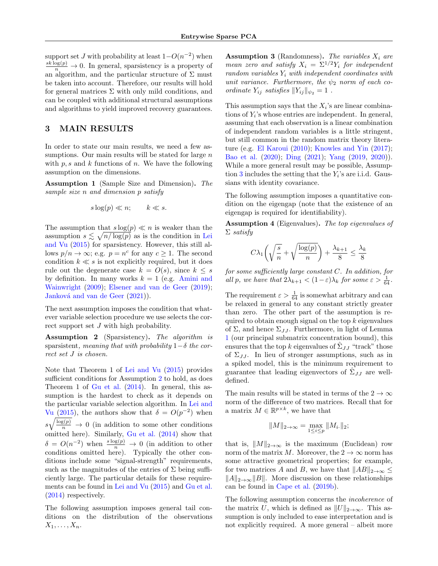support set J with probability at least  $1-O(n^{-2})$  when  $\frac{sk \log(p)}{n} \to 0$ . In general, sparsistency is a property of an algorithm, and the particular structure of  $\Sigma$  must be taken into account. Therefore, our results will hold for general matrices  $\Sigma$  with only mild conditions, and can be coupled with additional structural assumptions and algorithms to yield improved recovery guarantees.

# <span id="page-3-1"></span>3 MAIN RESULTS

In order to state our main results, we need a few assumptions. Our main results will be stated for large  $n$ with  $p, s$  and  $k$  functions of n. We have the following assumption on the dimensions.

<span id="page-3-4"></span>Assumption 1 (Sample Size and Dimension). The sample size n and dimension p satisfy

$$
s\log(p) \ll n; \qquad k \ll s.
$$

The assumption that  $s \log(p) \ll n$  is weaker than the assumption  $s \lesssim \sqrt{n/\log(p)}$  as is the condition in [Lei](#page-9-1) [and Vu](#page-9-1) [\(2015\)](#page-9-1) for sparsistency. However, this still allows  $p/n \to \infty$ ; e.g.  $p = n^c$  for any  $c \ge 1$ . The second condition  $k \ll s$  is not explicitly required, but it does rule out the degenerate case  $k = O(s)$ , since  $k \leq s$ by definition. In many works  $k = 1$  (e.g. [Amini and](#page-7-4) [Wainwright](#page-7-4) [\(2009\)](#page-7-4); [Elsener and van de Geer](#page-8-16) [\(2019\)](#page-8-16); Janková and van de Geer [\(2021\)](#page-8-15)).

The next assumption imposes the condition that whatever variable selection procedure we use selects the correct support set J with high probability.

<span id="page-3-2"></span>Assumption 2 (Sparsistency). The algorithm is sparsistent, meaning that with probability  $1-\delta$  the correct set J is chosen.

Note that Theorem 1 of [Lei and Vu](#page-9-1) [\(2015\)](#page-9-1) provides sufficient conditions for Assumption [2](#page-3-2) to hold, as does Theorem 1 of [Gu et al.](#page-8-4) [\(2014\)](#page-8-4). In general, this assumption is the hardest to check as it depends on the particular variable selection algorithm. In [Lei and](#page-9-1) [Vu](#page-9-1) [\(2015\)](#page-9-1), the authors show that  $\delta = O(p^{-2})$  when  $s\sqrt{\frac{\log(p)}{n}} \to 0$  (in addition to some other conditions omitted here). Similarly, [Gu et al.](#page-8-4) [\(2014\)](#page-8-4) show that  $\delta = O(n^{-2})$  when  $\frac{s \log(p)}{n} \to 0$  (in addition to other conditions omitted here). Typically the other conditions include some "signal-strength" requirements, such as the magnitudes of the entries of  $\Sigma$  being sufficiently large. The particular details for these requirements can be found in [Lei and Vu](#page-9-1) [\(2015\)](#page-9-1) and [Gu et al.](#page-8-4) [\(2014\)](#page-8-4) respectively.

The following assumption imposes general tail conditions on the distribution of the observations  $X_1, \ldots, X_n$ .

<span id="page-3-3"></span>Assumption 3 (Randomness). The variables  $X_i$  are mean zero and satisfy  $X_i = \sum^{1/2} Y_i$  for independent random variables  $Y_i$  with independent coordinates with unit variance. Furthermore, the  $\psi_2$  norm of each coordinate  $Y_{ij}$  satisfies  $||Y_{ij}||_{\psi_2} = 1$ .

This assumption says that the  $X_i$ 's are linear combinations of  $Y_i$ 's whose entries are independent. In general, assuming that each observation is a linear combination of independent random variables is a little stringent, but still common in the random matrix theory literature (e.g. [El Karoui](#page-8-17) [\(2010\)](#page-8-17); [Knowles and Yin](#page-9-16) [\(2017\)](#page-9-16); [Bao et al.](#page-7-1) [\(2020\)](#page-7-1); [Ding](#page-8-18) [\(2021\)](#page-8-18); [Yang](#page-10-4) [\(2019,](#page-10-4) [2020\)](#page-10-5)). While a more general result may be possible, Assump-tion [3](#page-3-3) includes the setting that the  $Y_i$ 's are i.i.d. Gaussians with identity covariance.

The following assumption imposes a quantitative condition on the eigengap (note that the existence of an eigengap is required for identifiability).

<span id="page-3-0"></span>Assumption 4 (Eigenvalues). The top eigenvalues of  $\Sigma$  satisfy

$$
C\lambda_1 \left(\sqrt{\frac{s}{n}} + \sqrt{\frac{\log(p)}{n}}\right) + \frac{\lambda_{k+1}}{8} \le \frac{\lambda_k}{8}
$$

for some sufficiently large constant C. In addition, for all p, we have that  $2\lambda_{k+1} < (1 - \varepsilon)\lambda_k$  for some  $\varepsilon > \frac{1}{64}$ .

The requirement  $\varepsilon > \frac{1}{64}$  is somewhat arbitrary and can be relaxed in general to any constant strictly greater than zero. The other part of the assumption is required to obtain enough signal on the top  $k$  eigenvalues of  $\Sigma$ , and hence  $\Sigma_{JJ}$ . Furthermore, in light of Lemma [1](#page-6-0) (our principal submatrix concentration bound), this ensures that the top k eigenvalues of  $\hat{\Sigma}_{JJ}$  "track" those of  $\Sigma_{JJ}$ . In lieu of stronger assumptions, such as in a spiked model, this is the minimum requirement to guarantee that leading eigenvectors of  $\hat{\Sigma}_{JJ}$  are welldefined.

The main results will be stated in terms of the  $2 \to \infty$ norm of the difference of two matrices. Recall that for a matrix  $M \in \mathbb{R}^{p \times k}$ , we have that

$$
||M||_{2\to\infty} = \max_{1 \le i \le p} ||M_{i\cdot}||_2;
$$

that is,  $||M||_{2\to\infty}$  is the maximum (Euclidean) row norm of the matrix M. Moreover, the  $2 \to \infty$  norm has some attractive geometrical properties; for example, for two matrices A and B, we have that  $||AB||_{2\rightarrow\infty} \leq$  $||A||_{2\rightarrow\infty}||B||$ . More discussion on these relationships can be found in [Cape et al.](#page-8-7) [\(2019b\)](#page-8-7).

The following assumption concerns the incoherence of the matrix U, which is defined as  $||U||_{2\rightarrow\infty}$ . This assumption is only included to ease interpretation and is not explicitly required. A more general – albeit more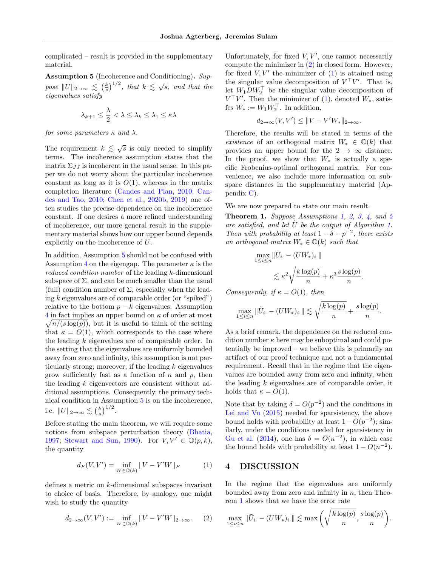complicated – result is provided in the supplementary material.

<span id="page-4-1"></span>Assumption 5 (Incoherence and Conditioning). Suppose  $||U||_{2\to\infty} \lesssim (\frac{k}{s})^{1/2}$ , that  $k \lesssim \sqrt{s}$ , and that the eigenvalues satisfy

$$
\lambda_{k+1} \le \frac{\lambda}{2} < \lambda \le \lambda_k \le \lambda_1 \le \kappa \lambda
$$

for some parameters  $\kappa$  and  $\lambda$ .

The requirement  $k \leq \sqrt{s}$  is only needed to simplify terms. The incoherence assumption states that the matrix  $\Sigma_{JJ}$  is incoherent in the usual sense. In this paper we do not worry about the particular incoherence constant as long as it is  $O(1)$ , whereas in the matrix completion literature [\(Candes and Plan,](#page-7-13) [2010;](#page-7-13) [Can](#page-7-14)[des and Tao,](#page-7-14) [2010;](#page-7-14) [Chen et al.,](#page-8-19) [2020b,](#page-8-19) [2019\)](#page-8-20) one often studies the precise dependence on the incoherence constant. If one desires a more refined understanding of incoherence, our more general result in the supplementary material shows how our upper bound depends explicitly on the incoherence of U.

In addition, Assumption [5](#page-4-1) should not be confused with Assumption [4](#page-3-0) on the eigengap. The parameter  $\kappa$  is the reduced condition number of the leading k-dimensional subspace of  $\Sigma$ , and can be much smaller than the usual (full) condition number of  $\Sigma$ , especially when the leading  $k$  eigenvalues are of comparable order (or "spiked") relative to the bottom  $p - k$  eigenvalues. Assumption [4](#page-3-0) in fact implies an upper bound on κ of order at most  $\sqrt{n/(s \log(p))}$ , but it is useful to think of the setting that  $\kappa = O(1)$ , which corresponds to the case where the leading  $k$  eigenvalues are of comparable order. In the setting that the eigenvalues are uniformly bounded away from zero and infinity, this assumption is not particularly strong; moreover, if the leading  $k$  eigenvalues grow sufficiently fast as a function of  $n$  and  $p$ , then the leading  $k$  eigenvectors are consistent without additional assumptions. Consequently, the primary technical condition in Assumption [5](#page-4-1) is on the incoherence, i.e.  $||U||_{2\to\infty} \lesssim \left(\frac{k}{s}\right)^{1/2}$ .

Before stating the main theorem, we will require some notions from subspace perturbation theory [\(Bhatia,](#page-7-12) [1997;](#page-7-12) [Stewart and Sun,](#page-9-14) [1990\)](#page-9-14). For  $V, V' \in \mathbb{O}(p,k)$ , the quantity

$$
d_F(V, V') = \inf_{W \in \mathbb{O}(k)} ||V - V'W||_F
$$
 (1)

defines a metric on k-dimensional subspaces invariant to choice of basis. Therefore, by analogy, one might wish to study the quantity

$$
d_{2\to\infty}(V,V'):=\inf_{W\in\mathbb{O}(k)}\|V-V'W\|_{2\to\infty}.\quad \ \ (2)
$$

Unfortunately, for fixed  $V, V'$ , one cannot necessarily compute the minimizer in [\(2\)](#page-4-2) in closed form. However, for fixed  $V, V'$  the minimizer of  $(1)$  is attained using the singular value decomposition of  $V<sup>T</sup>V'$ . That is, let  $W_1 D W_2^{\top}$  be the singular value decomposition of  $V^{\top}V'$ . Then the minimizer of [\(1\)](#page-4-3), denoted  $W_*$ , satisfes  $W_* := W_1 W_2^{\top}$ . In addition,

$$
d_{2\to\infty}(V,V')\leq\|V-V'W_*\|_{2\to\infty}.
$$

Therefore, the results will be stated in terms of the existence of an orthogonal matrix  $W_* \in \mathbb{O}(k)$  that provides an upper bound for the  $2 \rightarrow \infty$  distance. In the proof, we show that  $W_*$  is actually a specific Frobenius-optimal orthogonal matrix. For convenience, we also include more information on subspace distances in the supplementary material (Appendix [C\)](#page-38-0).

We are now prepared to state our main result.

<span id="page-4-4"></span>Theorem 1. Suppose Assumptions [1,](#page-3-4) [2,](#page-3-2) [3,](#page-3-3) [4,](#page-3-0) and [5](#page-4-1) are satisfied, and let  $\tilde{U}$  be the output of Algorithm [1.](#page-2-0) Then with probability at least  $1 - \delta - p^{-2}$ , there exists an orthogonal matrix  $W_* \in \mathbb{O}(k)$  such that

$$
\max_{1 \le i \le n} \|\tilde{U}_{i\cdot} - (UW_*)_i\cdot\|
$$
  

$$
\lesssim \kappa^2 \sqrt{\frac{k \log(p)}{n}} + \kappa^3 \frac{s \log(p)}{n}
$$

.

Consequently, if  $\kappa = O(1)$ , then

$$
\max_{1 \leq i \leq n} \|\tilde{U}_{i\cdot} - (UW_*)_i\| \lesssim \sqrt{\frac{k \log(p)}{n}} + \frac{s \log(p)}{n}.
$$

As a brief remark, the dependence on the reduced condition number  $\kappa$  here may be suboptimal and could potentially be improved – we believe this is primarily an artifact of our proof technique and not a fundamental requirement. Recall that in the regime that the eigenvalues are bounded away from zero and infinity, when the leading  $k$  eigenvalues are of comparable order, it holds that  $\kappa = O(1)$ .

Note that by taking  $\delta = O(p^{-2})$  and the conditions in [Lei and Vu](#page-9-1) [\(2015\)](#page-9-1) needed for sparsistency, the above bound holds with probability at least  $1 - O(p^{-2})$ ; similarly, under the conditions needed for sparsistency in [Gu et al.](#page-8-4) [\(2014\)](#page-8-4), one has  $\delta = O(n^{-2})$ , in which case the bound holds with probability at least  $1 - O(n^{-2})$ .

## <span id="page-4-3"></span><span id="page-4-0"></span>4 DISCUSSION

In the regime that the eigenvalues are uniformly bounded away from zero and infinity in  $n$ , then Theorem [1](#page-4-4) shows that we have the error rate

<span id="page-4-2"></span>
$$
\max_{1 \leq i \leq n} \|\tilde{U}_{i\cdot} - (UW_{*})_{i\cdot}\| \lesssim \max\left(\sqrt{\frac{k\log(p)}{n}}, \frac{s\log(p)}{n}\right).
$$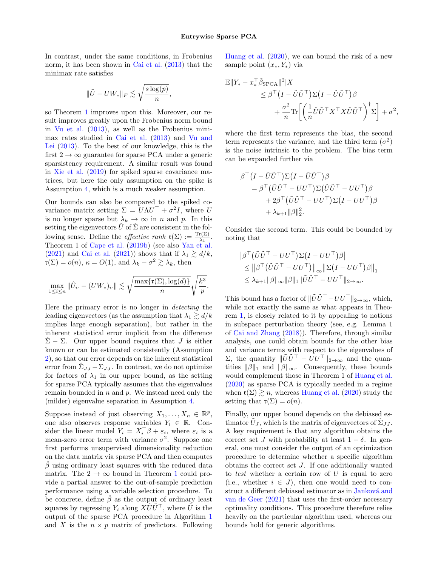In contrast, under the same conditions, in Frobenius norm, it has been shown in [Cai et al.](#page-7-5) [\(2013\)](#page-7-5) that the minimax rate satisfies

$$
\|\tilde{U}-UW_{*}\|_{F}\lesssim \sqrt{\frac{s\log(p)}{n}},
$$

so Theorem [1](#page-4-4) improves upon this. Moreover, our result improves greatly upon the Frobenius norm bound in [Vu et al.](#page-9-8) [\(2013\)](#page-9-8), as well as the Frobenius minimax rates studied in [Cai et al.](#page-7-5) [\(2013\)](#page-7-5) and [Vu and](#page-9-4) [Lei](#page-9-4) [\(2013\)](#page-9-4). To the best of our knowledge, this is the first  $2 \rightarrow \infty$  guarantee for sparse PCA under a generic sparsistency requirement. A similar result was found in [Xie et al.](#page-9-7) [\(2019\)](#page-9-7) for spiked sparse covariance matrices, but here the only assumption on the spike is Assumption [4,](#page-3-0) which is a much weaker assumption.

Our bounds can also be compared to the spiked covariance matrix setting  $\Sigma = U \Lambda U^{\top} + \sigma^2 I$ , where U is no longer sparse but  $\lambda_k \to \infty$  in n and p. In this setting the eigenvectors  $\hat{U}$  of  $\hat{\Sigma}$  are consistent in the following sense. Define the *effective rank*  $\mathfrak{r}(\Sigma) := \frac{\text{Tr}(\Sigma)}{\lambda_1}$ . Theorem 1 of [Cape et al.](#page-8-7) [\(2019b\)](#page-8-7) (see also [Yan et al.](#page-10-0) [\(2021\)](#page-7-3) and [Cai et al.](#page-7-3) (2021)) shows that if  $\lambda_1 \ge d/k$ ,  $\mathfrak{r}(\Sigma) = o(n), \ \kappa = O(1), \text{ and } \lambda_k - \sigma^2 \gtrsim \lambda_k, \text{ then}$ 

$$
\max_{1 \leq i \leq n} \|\hat{U}_{i\cdot} - (UW_*)_i\cdot\| \lesssim \sqrt{\frac{\max\{\mathfrak{r}(\Sigma), \log(d)\}}{n}} \sqrt{\frac{k^3}{p}}.
$$

Here the primary error is no longer in detecting the leading eigenvectors (as the assumption that  $\lambda_1 \gtrsim d/k$ implies large enough separation), but rather in the inherent statistical error implicit from the difference  $\hat{\Sigma}$  –  $\Sigma$ . Our upper bound requires that J is either known or can be estimated consistently (Assumption [2\)](#page-3-2), so that our error depends on the inherent statistical error from  $\hat{\Sigma}_{JJ} - \Sigma_{JJ}$ . In contrast, we do not optimize for factors of  $\lambda_1$  in our upper bound, as the setting for sparse PCA typically assumes that the eigenvalues remain bounded in  $n$  and  $p$ . We instead need only the (milder) eigenvalue separation in Assumption [4.](#page-3-0)

Suppose instead of just observing  $X_1, \ldots, X_n \in \mathbb{R}^p$ , one also observes response variables  $Y_i \in \mathbb{R}$ . Consider the linear model  $Y_i = X_i^{\top} \beta + \varepsilon_i$ , where  $\varepsilon_i$  is a mean-zero error term with variance  $\sigma^2$ . Suppose one first performs unsupervised dimensionality reduction on the data matrix via sparse PCA and then computes  $\beta$  using ordinary least squares with the reduced data matrix. The  $2 \rightarrow \infty$  bound in Theorem [1](#page-4-4) could provide a partial answer to the out-of-sample prediction performance using a variable selection procedure. To be concrete, define  $\hat{\beta}$  as the output of ordinary least squares by regressing  $Y_i$  along  $X\tilde{U}\tilde{U}^{\top}$ , where  $\tilde{U}$  is the output of the sparse PCA procedure in Algorithm [1](#page-2-0) and X is the  $n \times p$  matrix of predictors. Following [Huang et al.](#page-8-21) [\(2020\)](#page-8-21), we can bound the risk of a new sample point  $(x_*, Y_*)$  via

$$
\mathbb{E}||Y_{*} - x_{*}^{\top}\tilde{\beta}_{\text{SPCA}}||^{2}|X
$$
  
\n
$$
\leq \beta^{\top} (I - \tilde{U}\tilde{U}^{\top}) \Sigma (I - \tilde{U}\tilde{U}^{\top}) \beta
$$
  
\n
$$
+ \frac{\sigma^{2}}{n} \text{Tr}\left[\left(\frac{1}{n} \tilde{U}\tilde{U}^{\top} X^{\top} X \tilde{U}\tilde{U}^{\top}\right)^{\dagger} \Sigma\right] + \sigma^{2},
$$

where the first term represents the bias, the second term represents the variance, and the third term  $(\sigma^2)$ is the noise intrinsic to the problem. The bias term can be expanded further via

$$
\beta^{\top} (I - \tilde{U}\tilde{U}^{\top}) \Sigma (I - \tilde{U}\tilde{U}^{\top}) \beta \n= \beta^{\top} (\tilde{U}\tilde{U}^{\top} - UU^{\top}) \Sigma (\tilde{U}\tilde{U}^{\top} - UU^{\top}) \beta \n+ 2\beta^{\top} (\tilde{U}\tilde{U}^{\top} - UU^{\top}) \Sigma (I - UU^{\top}) \beta \n+ \lambda_{k+1} \|\beta\|_{2}^{2}.
$$

Consider the second term. This could be bounded by noting that

$$
\begin{aligned} & \left| \beta^{\top} \left( \tilde{U} \tilde{U}^{\top} - U U^{\top} \right) \Sigma \left( I - U U^{\top} \right) \beta \right| \\ &\leq \left\| \beta^{\top} \left( \tilde{U} \tilde{U}^{\top} - U U^{\top} \right) \right\|_{\infty} \left\| \Sigma \left( I - U U^{\top} \right) \beta \right\|_{1} \\ &\leq \lambda_{k+1} \|\beta\|_{\infty} \|\beta\|_{1} \|\tilde{U} \tilde{U}^{\top} - U U^{\top} \|_{2 \to \infty} . \end{aligned}
$$

This bound has a factor of  $\|\tilde{U}\tilde{U}^\top - U U^\top\|_{2\to\infty}$ , which, while not exactly the same as what appears in Theorem [1,](#page-4-4) is closely related to it by appealing to notions in subspace perturbation theory (see, e.g. Lemma 1 of [Cai and Zhang](#page-7-15) [\(2018\)](#page-7-15)). Therefore, through similar analysis, one could obtain bounds for the other bias and variance terms with respect to the eigenvalues of Σ, the quantity  $\|\tilde{U}\tilde{U}^{\top} - UU^{\top}\|_{2\to\infty}$  and the quantities  $||\beta||_1$  and  $||\beta||_{\infty}$ . Consequently, these bounds would complement those in Theorem 1 of [Huang et al.](#page-8-21) [\(2020\)](#page-8-21) as sparse PCA is typically needed in a regime when  $\mathfrak{r}(\Sigma) \gtrsim n$ , whereas [Huang et al.](#page-8-21) [\(2020\)](#page-8-21) study the setting that  $\mathfrak{r}(\Sigma) = o(n)$ .

Finally, our upper bound depends on the debiased estimator  $\tilde{U}_J$ , which is the matrix of eigenvectors of  $\hat{\Sigma}_{JJ}$ . A key requirement is that any algorithm obtains the correct set J with probability at least  $1 - \delta$ . In general, one must consider the output of an optimization procedure to determine whether a specific algorithm obtains the correct set J. If one additionally wanted to test whether a certain row of  $U$  is equal to zero (i.e., whether  $i \in J$ ), then one would need to construct a different debiased estimator as in Janková and [van de Geer](#page-8-15) [\(2021\)](#page-8-15) that uses the first-order necessary optimality conditions. This procedure therefore relies heavily on the particular algorithm used, whereas our bounds hold for generic algorithms.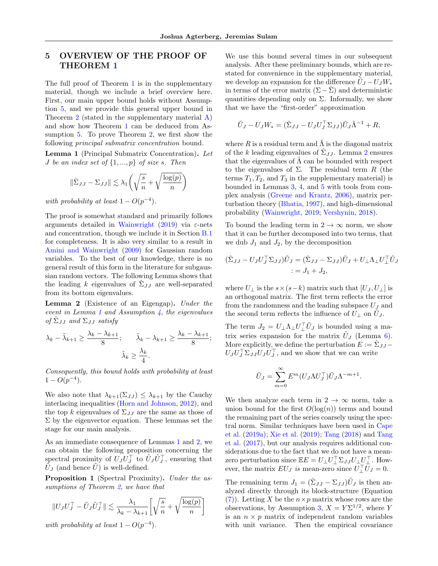# 5 OVERVIEW OF THE PROOF OF THEOREM [1](#page-4-4)

The full proof of Theorem [1](#page-4-4) is in the supplementary material, though we include a brief overview here. First, our main upper bound holds without Assumption [5,](#page-4-1) and we provide this general upper bound in Theorem [2](#page-11-1) (stated in the supplementary material [A\)](#page-11-0) and show how Theorem [1](#page-4-4) can be deduced from Assumption [5.](#page-4-1) To prove Theorem [2,](#page-11-1) we first show the following *principal submatrix concentration* bound.

<span id="page-6-0"></span>Lemma 1 (Principal Submatrix Concentration). Let *J* be an index set of  $\{1, ..., p\}$  of size s. Then

$$
\|\hat{\Sigma}_{JJ} - \Sigma_{JJ}\| \lesssim \lambda_1 \left(\sqrt{\frac{s}{n}} + \sqrt{\frac{\log(p)}{n}}\right)
$$

with probability at least  $1 - O(p^{-4})$ .

The proof is somewhat standard and primarily follows arguments detailed in [Wainwright](#page-9-17) [\(2019\)](#page-9-17) via  $\varepsilon$ -nets and concentration, though we include it in Section [B.1](#page-18-0) for completeness. It is also very similar to a result in [Amini and Wainwright](#page-7-4) [\(2009\)](#page-7-4) for Gaussian random variables. To the best of our knowledge, there is no general result of this form in the literature for subgaussian random vectors. The following Lemma shows that the leading k eigenvalues of  $\sum J$  are well-separated from its bottom eigenvalues.

<span id="page-6-1"></span>Lemma 2 (Existence of an Eigengap). Under the event in Lemma [1](#page-6-0) and Assumption  $\lambda$ , the eigenvalues of  $\hat{\Sigma}_{JJ}$  and  $\Sigma_{JJ}$  satisfy

$$
\lambda_k - \tilde{\lambda}_{k+1} \ge \frac{\lambda_k - \lambda_{k+1}}{8}; \qquad \tilde{\lambda}_k - \lambda_{k+1} \ge \frac{\lambda_k - \lambda_{k+1}}{8};
$$

$$
\tilde{\lambda}_k \ge \frac{\lambda_k}{4}.
$$

Consequently, this bound holds with probability at least  $1 - O(p^{-4}).$ 

We also note that  $\lambda_{k+1}(\Sigma_{JJ}) \leq \lambda_{k+1}$  by the Cauchy interlacing inequalities [\(Horn and Johnson,](#page-8-14) [2012\)](#page-8-14), and the top k eigenvalues of  $\Sigma_{JJ}$  are the same as those of  $\Sigma$  by the eigenvector equation. These lemmas set the stage for our main analysis.

As an immediate consequence of Lemmas [1](#page-6-0) and [2,](#page-6-1) we can obtain the following proposition concerning the spectral proximity of  $\widetilde{U}_J \widetilde{U}_J^\top$  to  $\widetilde{U}_J \widetilde{U}_J^\top$ , ensuring that  $\tilde{U}_J$  (and hence  $\tilde{U}$ ) is well-defined.

<span id="page-6-2"></span>Proposition 1 (Spectral Proximity). Under the as-sumptions of Theorem [2,](#page-11-1) we have that

$$
||U_J U_J^\top - \tilde{U}_J \tilde{U}_J^\top|| \lesssim \frac{\lambda_1}{\lambda_k - \lambda_{k+1}} \left[ \sqrt{\frac{s}{n}} + \sqrt{\frac{\log(p)}{n}} \right]
$$

with probability at least  $1 - O(p^{-4})$ .

We use this bound several times in our subsequent analysis. After these preliminary bounds, which are restated for convenience in the supplementary material, we develop an expansion for the difference  $\tilde{U}_J - U_J W_*$ in terms of the error matrix  $(\Sigma - \Sigma)$  and deterministic quantities depending only on  $\Sigma$ . Informally, we show that we have the "first-order" approximation

$$
\tilde{U}_J - U_J W_* = (\hat{\Sigma}_{JJ} - U_J U_J^\top \Sigma_{JJ}) \tilde{U}_J \tilde{\Lambda}^{-1} + R,
$$

where R is a residual term and  $\Lambda$  is the diagonal matrix of the k leading eigenvalues of  $\hat{\Sigma}_{JJ}$ . Lemma [2](#page-6-1) ensures that the eigenvalues of  $\tilde{\Lambda}$  can be bounded with respect to the eigenvalues of  $\Sigma$ . The residual term R (the terms  $T_1, T_2$ , and  $T_3$  in the supplementary material) is bounded in Lemmas [3,](#page-13-0) [4,](#page-13-1) and [5](#page-14-0) with tools from complex analysis [\(Greene and Krantz,](#page-8-22) [2006\)](#page-8-22), matrix perturbation theory [\(Bhatia,](#page-7-12) [1997\)](#page-7-12), and high-dimensional probability [\(Wainwright,](#page-9-17) [2019;](#page-9-17) [Vershynin,](#page-9-18) [2018\)](#page-9-18).

To bound the leading term in  $2 \rightarrow \infty$  norm, we show that it can be further decomposed into two terms, that we dub  $J_1$  and  $J_2$ , by the decomposition

$$
(\hat{\Sigma}_{JJ} - U_J U_J^\top \Sigma_{JJ}) \tilde{U}_J = (\hat{\Sigma}_{JJ} - \Sigma_{JJ}) \tilde{U}_J + U_\perp \Lambda_\perp U_\perp^\top \tilde{U}_J = J_1 + J_2,
$$

where  $U_{\perp}$  is the  $s \times (s-k)$  matrix such that  $[U_{J}, U_{\perp}]$  is an orthogonal matrix. The first term reflects the error from the randomness and the leading subspace  $U_I$  and the second term reflects the influence of  $\hat{U}_{\perp}$  on  $\tilde{U}_{J}$ .

The term  $J_2 = U_\perp \Lambda_\perp U_\perp^\top \tilde{U}_J$  is bounded using a matrix series expansion for the matrix  $\tilde{U}_J$  (Lemma [6\)](#page-14-1). More explicitly, we define the perturbation  $E := \hat{\Sigma}_{JJ} U_J U_J^\top \Sigma_{JJ} U_J U_J^\top$ , and we show that we can write

$$
\tilde{U}_J = \sum_{m=0}^{\infty} E^m (U_J \Lambda U_J^{\top}) \tilde{U}_J \Lambda^{-m+1}.
$$

We then analyze each term in  $2 \rightarrow \infty$  norm, take a union bound for the first  $O(log(n))$  terms and bound the remaining part of the series coarsely using the spectral norm. Similar techniques have been used in [Cape](#page-8-6) [et al.](#page-8-6) [\(2019a\)](#page-8-6); [Xie et al.](#page-9-7) [\(2019\)](#page-9-7); [Tang](#page-9-19) [\(2018\)](#page-9-19) and [Tang](#page-9-20) [et al.](#page-9-20) [\(2017\)](#page-9-20), but our analysis requires additional considerations due to the fact that we do not have a meanzero perturbation since  $\mathbb{E}E = U_{\perp}U_{\perp}^{\top}\Sigma_{JJ}U_{\perp}U_{\perp}^{\top}$ . However, the matrix  $EU_J$  is mean-zero since  $U_\perp^\top \overline{U}_J = 0$ .

The remaining term  $J_1 = (\hat{\Sigma}_{JJ} - \Sigma_{JJ}) \tilde{U}_J$  is then analyzed directly through its block-structure (Equation [\(7\)](#page-15-0)). Letting X be the  $n \times p$  matrix whose rows are the observations, by Assumption [3,](#page-3-3)  $X = Y\Sigma^{1/2}$ , where Y is an  $n \times p$  matrix of independent random variables with unit variance. Then the empirical covariance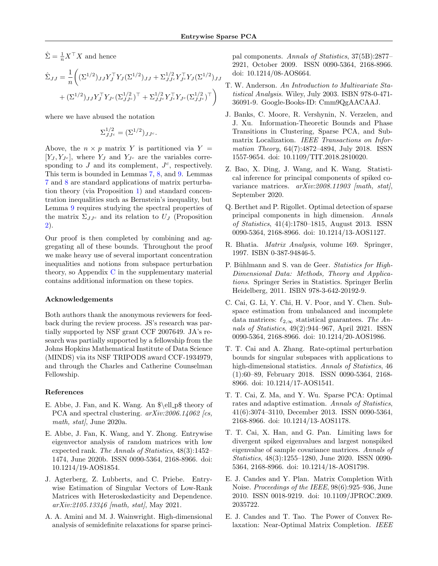$\hat{\Sigma} = \frac{1}{n} X^{\top} X$  and hence

$$
\hat{\Sigma}_{JJ} = \frac{1}{n} \left( (\Sigma^{1/2})_{JJ} Y_J^\top Y_J (\Sigma^{1/2})_{JJ} + \Sigma_{JJc}^{1/2} Y_{Jc}^\top Y_J (\Sigma^{1/2})_{JJ} + (\Sigma^{1/2})_{JJ} Y_J^\top Y_{Jc} (\Sigma_{JJc}^{1/2})^\top + \Sigma_{JJc}^{1/2} Y_{Jc}^\top Y_{Jc} (\Sigma_{JJc}^{1/2})^\top \right)
$$

where we have abused the notation

$$
\Sigma_{JJ^c}^{1/2} = (\Sigma^{1/2})_{JJ^c}.
$$

Above, the  $n \times p$  matrix Y is partitioned via Y =  $[Y_J, Y_{J^c}]$ , where  $Y_J$  and  $Y_{J^c}$  are the variables corresponding to  $J$  and its complement,  $J<sup>c</sup>$ , respectively. This term is bounded in Lemmas [7,](#page-15-1) [8,](#page-16-0) and [9.](#page-16-1) Lemmas [7](#page-15-1) and [8](#page-16-0) are standard applications of matrix perturbation theory (via Proposition [1\)](#page-6-2) and standard concentration inequalities such as Bernstein's inequality, but Lemma [9](#page-16-1) requires studying the spectral properties of the matrix  $\Sigma_{JJ^c}$  and its relation to  $U_J$  (Proposition [2\)](#page-35-0).

Our proof is then completed by combining and aggregating all of these bounds. Throughout the proof we make heavy use of several important concentration inequalities and notions from subspace perturbation theory, so Appendix [C](#page-38-0) in the supplementary material contains additional information on these topics.

#### Acknowledgements

Both authors thank the anonymous reviewers for feedback during the review process. JS's research was partially supported by NSF grant CCF 2007649. JA's research was partially supported by a fellowship from the Johns Hopkins Mathematical Institute of Data Science (MINDS) via its NSF TRIPODS award CCF-1934979, and through the Charles and Catherine Counselman Fellowship.

#### References

- <span id="page-7-8"></span>E. Abbe, J. Fan, and K. Wang. An  $\ell\leq \ell\$  theory of PCA and spectral clustering.  $arXiv:2006.14062$  [cs,  $math, stat$ , stat/, June 2020a.
- <span id="page-7-9"></span>E. Abbe, J. Fan, K. Wang, and Y. Zhong. Entrywise eigenvector analysis of random matrices with low expected rank. The Annals of Statistics, 48(3):1452– 1474, June 2020b. ISSN 0090-5364, 2168-8966. doi: 10.1214/19-AOS1854.
- <span id="page-7-10"></span>J. Agterberg, Z. Lubberts, and C. Priebe. Entrywise Estimation of Singular Vectors of Low-Rank Matrices with Heteroskedasticity and Dependence.  $arXiv:2105.13346$  [math, stat], May 2021.
- <span id="page-7-4"></span>A. A. Amini and M. J. Wainwright. High-dimensional analysis of semidefinite relaxations for sparse princi-

pal components. Annals of Statistics, 37(5B):2877– 2921, October 2009. ISSN 0090-5364, 2168-8966. doi: 10.1214/08-AOS664.

- <span id="page-7-0"></span>T. W. Anderson. An Introduction to Multivariate Statistical Analysis. Wiley, July 2003. ISBN 978-0-471- 36091-9. Google-Books-ID: Cmm9QgAACAAJ.
- <span id="page-7-6"></span>J. Banks, C. Moore, R. Vershynin, N. Verzelen, and J. Xu. Information-Theoretic Bounds and Phase Transitions in Clustering, Sparse PCA, and Submatrix Localization. IEEE Transactions on Information Theory, 64(7):4872–4894, July 2018. ISSN 1557-9654. doi: 10.1109/TIT.2018.2810020.
- <span id="page-7-1"></span>Z. Bao, X. Ding, J. Wang, and K. Wang. Statistical inference for principal components of spiked covariance matrices.  $arXiv:2008.11903$  [math, stat], September 2020.
- <span id="page-7-7"></span>Q. Berthet and P. Rigollet. Optimal detection of sparse principal components in high dimension. Annals of Statistics, 41(4):1780–1815, August 2013. ISSN 0090-5364, 2168-8966. doi: 10.1214/13-AOS1127.
- <span id="page-7-12"></span>R. Bhatia. Matrix Analysis, volume 169. Springer, 1997. ISBN 0-387-94846-5.
- <span id="page-7-11"></span>P. Bühlmann and S. van de Geer. Statistics for High-Dimensional Data: Methods, Theory and Applications. Springer Series in Statistics. Springer Berlin Heidelberg, 2011. ISBN 978-3-642-20192-9.
- <span id="page-7-3"></span>C. Cai, G. Li, Y. Chi, H. V. Poor, and Y. Chen. Subspace estimation from unbalanced and incomplete data matrices:  $\ell_{2,\infty}$  statistical guarantees. The Annals of Statistics, 49(2):944–967, April 2021. ISSN 0090-5364, 2168-8966. doi: 10.1214/20-AOS1986.
- <span id="page-7-15"></span>T. T. Cai and A. Zhang. Rate-optimal perturbation bounds for singular subspaces with applications to high-dimensional statistics. Annals of Statistics, 46 (1):60–89, February 2018. ISSN 0090-5364, 2168- 8966. doi: 10.1214/17-AOS1541.
- <span id="page-7-5"></span>T. T. Cai, Z. Ma, and Y. Wu. Sparse PCA: Optimal rates and adaptive estimation. Annals of Statistics, 41(6):3074–3110, December 2013. ISSN 0090-5364, 2168-8966. doi: 10.1214/13-AOS1178.
- <span id="page-7-2"></span>T. T. Cai, X. Han, and G. Pan. Limiting laws for divergent spiked eigenvalues and largest nonspiked eigenvalue of sample covariance matrices. Annals of Statistics, 48(3):1255–1280, June 2020. ISSN 0090- 5364, 2168-8966. doi: 10.1214/18-AOS1798.
- <span id="page-7-13"></span>E. J. Candes and Y. Plan. Matrix Completion With Noise. Proceedings of the IEEE, 98(6):925–936, June 2010. ISSN 0018-9219. doi: 10.1109/JPROC.2009. 2035722.
- <span id="page-7-14"></span>E. J. Candes and T. Tao. The Power of Convex Relaxation: Near-Optimal Matrix Completion. IEEE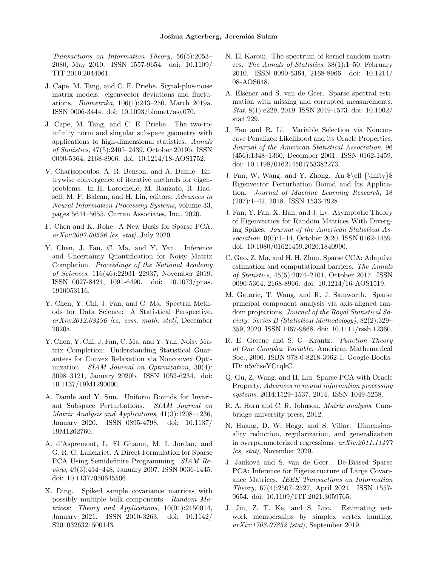Transactions on Information Theory, 56(5):2053– 2080, May 2010. ISSN 1557-9654. doi: 10.1109/ TIT.2010.2044061.

- <span id="page-8-6"></span>J. Cape, M. Tang, and C. E. Priebe. Signal-plus-noise matrix models: eigenvector deviations and fluctuations. Biometrika, 106(1):243–250, March 2019a. ISSN 0006-3444. doi: 10.1093/biomet/asy070.
- <span id="page-8-7"></span>J. Cape, M. Tang, and C. E. Priebe. The two-toinfinity norm and singular subspace geometry with applications to high-dimensional statistics. Annals of Statistics, 47(5):2405–2439, October 2019b. ISSN 0090-5364, 2168-8966. doi: 10.1214/18-AOS1752.
- <span id="page-8-8"></span>V. Charisopoulos, A. R. Benson, and A. Damle. Entrywise convergence of iterative methods for eigenproblems. In H. Larochelle, M. Ranzato, R. Hadsell, M. F. Balcan, and H. Lin, editors, Advances in Neural Information Processing Systems, volume 33, pages 5644–5655. Curran Associates, Inc., 2020.
- <span id="page-8-5"></span>F. Chen and K. Rohe. A New Basis for Sparse PCA. arXiv:2007.00596 [cs, stat], July 2020.
- <span id="page-8-20"></span>Y. Chen, J. Fan, C. Ma, and Y. Yan. Inference and Uncertainty Quantification for Noisy Matrix Completion. Proceedings of the National Academy of Sciences, 116(46):22931–22937, November 2019. ISSN 0027-8424, 1091-6490. doi: 10.1073/pnas. 1910053116.
- <span id="page-8-9"></span>Y. Chen, Y. Chi, J. Fan, and C. Ma. Spectral Methods for Data Science: A Statistical Perspective.  $arXiv:2012.08496$  (cs, eess, math, stat), December 2020a.
- <span id="page-8-19"></span>Y. Chen, Y. Chi, J. Fan, C. Ma, and Y. Yan. Noisy Matrix Completion: Understanding Statistical Guarantees for Convex Relaxation via Nonconvex Optimization. *SIAM Journal on Optimization*, 30(4): 3098–3121, January 2020b. ISSN 1052-6234. doi: 10.1137/19M1290000.
- <span id="page-8-10"></span>A. Damle and Y. Sun. Uniform Bounds for Invariant Subspace Perturbations. SIAM Journal on Matrix Analysis and Applications, 41(3):1208–1236, January 2020. ISSN 0895-4798. doi: 10.1137/ 19M1262760.
- <span id="page-8-1"></span>A. d'Aspremont, L. El Ghaoui, M. I. Jordan, and G. R. G. Lanckriet. A Direct Formulation for Sparse PCA Using Semidefinite Programming. SIAM Review, 49(3):434–448, January 2007. ISSN 0036-1445. doi: 10.1137/050645506.
- <span id="page-8-18"></span>X. Ding. Spiked sample covariance matrices with possibly multiple bulk components. Random Matrices: Theory and Applications, 10(01):2150014, January 2021. ISSN 2010-3263. doi: 10.1142/ S2010326321500143.
- <span id="page-8-17"></span>N. El Karoui. The spectrum of kernel random matrices. The Annals of Statistics, 38(1):1–50, February 2010. ISSN 0090-5364, 2168-8966. doi: 10.1214/ 08-AOS648.
- <span id="page-8-16"></span>A. Elsener and S. van de Geer. Sparse spectral estimation with missing and corrupted measurements. Stat, 8(1):e229, 2019. ISSN 2049-1573. doi: 10.1002/ sta4.229.
- <span id="page-8-13"></span>J. Fan and R. Li. Variable Selection via Nonconcave Penalized Likelihood and its Oracle Properties. Journal of the American Statistical Association, 96 (456):1348–1360, December 2001. ISSN 0162-1459. doi: 10.1198/016214501753382273.
- <span id="page-8-11"></span>J. Fan, W. Wang, and Y. Zhong. An  $\ell_{\infty}\$ Eigenvector Perturbation Bound and Its Application. Journal of Machine Learning Research, 18 (207):1–42, 2018. ISSN 1533-7928.
- <span id="page-8-0"></span>J. Fan, Y. Fan, X. Han, and J. Lv. Asymptotic Theory of Eigenvectors for Random Matrices With Diverging Spikes. Journal of the American Statistical Association, 0(0):1–14, October 2020. ISSN 0162-1459. doi: 10.1080/01621459.2020.1840990.
- <span id="page-8-2"></span>C. Gao, Z. Ma, and H. H. Zhou. Sparse CCA: Adaptive estimation and computational barriers. The Annals of Statistics, 45(5):2074–2101, October 2017. ISSN 0090-5364, 2168-8966. doi: 10.1214/16-AOS1519.
- <span id="page-8-3"></span>M. Gataric, T. Wang, and R. J. Samworth. Sparse principal component analysis via axis-aligned random projections. Journal of the Royal Statistical Society: Series B (Statistical Methodology), 82(2):329– 359, 2020. ISSN 1467-9868. doi: 10.1111/rssb.12360.
- <span id="page-8-22"></span>R. E. Greene and S. G. Krantz. Function Theory of One Complex Variable. American Mathematical Soc., 2006. ISBN 978-0-8218-3962-1. Google-Books-ID: u5vhseYCcqkC.
- <span id="page-8-4"></span>Q. Gu, Z. Wang, and H. Liu. Sparse PCA with Oracle Property. Advances in neural information processing systems, 2014:1529–1537, 2014. ISSN 1049-5258.
- <span id="page-8-14"></span>R. A. Horn and C. R. Johnson. Matrix analysis. Cambridge university press, 2012.
- <span id="page-8-21"></span>N. Huang, D. W. Hogg, and S. Villar. Dimensionality reduction, regularization, and generalization in overparameterized regressions. arXiv:2011.11477  $\int_{\mathcal{C}} \text{c} s$ , stat $\int_{\mathcal{C}}$ , November 2020.
- <span id="page-8-15"></span>J. Janková and S. van de Geer. De-Biased Sparse PCA: Inference for Eigenstructure of Large Covariance Matrices. IEEE Transactions on Information Theory, 67(4):2507–2527, April 2021. ISSN 1557- 9654. doi: 10.1109/TIT.2021.3059765.
- <span id="page-8-12"></span>J. Jin, Z. T. Ke, and S. Luo. Estimating network memberships by simplex vertex hunting. arXiv:1708.07852 [stat], September 2019.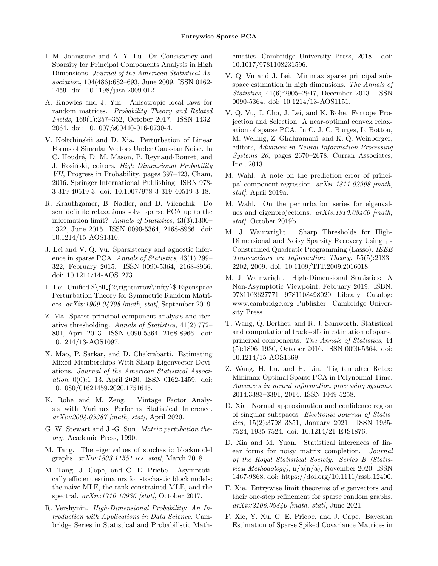- <span id="page-9-0"></span>I. M. Johnstone and A. Y. Lu. On Consistency and Sparsity for Principal Components Analysis in High Dimensions. Journal of the American Statistical Association, 104(486):682–693, June 2009. ISSN 0162- 1459. doi: 10.1198/jasa.2009.0121.
- <span id="page-9-16"></span>A. Knowles and J. Yin. Anisotropic local laws for random matrices. Probability Theory and Related Fields, 169(1):257–352, October 2017. ISSN 1432- 2064. doi: 10.1007/s00440-016-0730-4.
- <span id="page-9-21"></span>V. Koltchinskii and D. Xia. Perturbation of Linear Forms of Singular Vectors Under Gaussian Noise. In C. Houdré, D. M. Mason, P. Reynaud-Bouret, and J. Rosiński, editors, High Dimensional Probability VII, Progress in Probability, pages 397–423, Cham, 2016. Springer International Publishing. ISBN 978- 3-319-40519-3. doi: 10.1007/978-3-319-40519-3 18.
- <span id="page-9-3"></span>R. Krauthgamer, B. Nadler, and D. Vilenchik. Do semidefinite relaxations solve sparse PCA up to the information limit? Annals of Statistics, 43(3):1300– 1322, June 2015. ISSN 0090-5364, 2168-8966. doi: 10.1214/15-AOS1310.
- <span id="page-9-1"></span>J. Lei and V. Q. Vu. Sparsistency and agnostic inference in sparse PCA. Annals of Statistics, 43(1):299– 322, February 2015. ISSN 0090-5364, 2168-8966. doi: 10.1214/14-AOS1273.
- <span id="page-9-9"></span>L. Lei. Unified \$\ell {2\rightarrow\infty}\$ Eigenspace Perturbation Theory for Symmetric Random Matrices.  $arXiv:1909.04798$  [math, stat], September 2019.
- <span id="page-9-2"></span>Z. Ma. Sparse principal component analysis and iterative thresholding. Annals of Statistics, 41(2):772– 801, April 2013. ISSN 0090-5364, 2168-8966. doi: 10.1214/13-AOS1097.
- <span id="page-9-10"></span>X. Mao, P. Sarkar, and D. Chakrabarti. Estimating Mixed Memberships With Sharp Eigenvector Deviations. Journal of the American Statistical Association, 0(0):1–13, April 2020. ISSN 0162-1459. doi: 10.1080/01621459.2020.1751645.
- <span id="page-9-6"></span>K. Rohe and M. Zeng. Vintage Factor Analysis with Varimax Performs Statistical Inference. arXiv:2004.05387 [math, stat], April 2020.
- <span id="page-9-14"></span>G. W. Stewart and J.-G. Sun. Matrix pertubation theory. Academic Press, 1990.
- <span id="page-9-19"></span>M. Tang. The eigenvalues of stochastic blockmodel graphs.  $arXiv:1803.11551$  [cs, stat], March 2018.
- <span id="page-9-20"></span>M. Tang, J. Cape, and C. E. Priebe. Asymptotically efficient estimators for stochastic blockmodels: the naive MLE, the rank-constrained MLE, and the spectral. arXiv:1710.10936 [stat], October 2017.
- <span id="page-9-18"></span>R. Vershynin. High-Dimensional Probability: An Introduction with Applications in Data Science. Cambridge Series in Statistical and Probabilistic Math-

ematics. Cambridge University Press, 2018. doi: 10.1017/9781108231596.

- <span id="page-9-4"></span>V. Q. Vu and J. Lei. Minimax sparse principal subspace estimation in high dimensions. The Annals of Statistics, 41(6):2905–2947, December 2013. ISSN 0090-5364. doi: 10.1214/13-AOS1151.
- <span id="page-9-8"></span>V. Q. Vu, J. Cho, J. Lei, and K. Rohe. Fantope Projection and Selection: A near-optimal convex relaxation of sparse PCA. In C. J. C. Burges, L. Bottou, M. Welling, Z. Ghahramani, and K. Q. Weinberger, editors, Advances in Neural Information Processing Systems 26, pages 2670–2678. Curran Associates, Inc., 2013.
- <span id="page-9-23"></span>M. Wahl. A note on the prediction error of principal component regression. arXiv:1811.02998 [math, stat), April 2019a.
- <span id="page-9-24"></span>M. Wahl. On the perturbation series for eigenvalues and eigenprojections.  $arXiv:1910.08460$  [math, stat/, October 2019b.
- <span id="page-9-13"></span>M. J. Wainwright. Sharp Thresholds for High-Dimensional and Noisy Sparsity Recovery Using <sup>1</sup> - Constrained Quadratic Programming (Lasso). IEEE Transactions on Information Theory, 55(5):2183– 2202, 2009. doi: 10.1109/TIT.2009.2016018.
- <span id="page-9-17"></span>M. J. Wainwright. High-Dimensional Statistics: A Non-Asymptotic Viewpoint, February 2019. ISBN: 9781108627771 9781108498029 Library Catalog: www.cambridge.org Publisher: Cambridge University Press.
- <span id="page-9-5"></span>T. Wang, Q. Berthet, and R. J. Samworth. Statistical and computational trade-offs in estimation of sparse principal components. The Annals of Statistics, 44 (5):1896–1930, October 2016. ISSN 0090-5364. doi: 10.1214/15-AOS1369.
- <span id="page-9-15"></span>Z. Wang, H. Lu, and H. Liu. Tighten after Relax: Minimax-Optimal Sparse PCA in Polynomial Time. Advances in neural information processing systems, 2014:3383–3391, 2014. ISSN 1049-5258.
- <span id="page-9-22"></span>D. Xia. Normal approximation and confidence region of singular subspaces. Electronic Journal of Statistics, 15(2):3798–3851, January 2021. ISSN 1935- 7524, 1935-7524. doi: 10.1214/21-EJS1876.
- <span id="page-9-11"></span>D. Xia and M. Yuan. Statistical inferences of linear forms for noisy matrix completion. Journal of the Royal Statistical Society: Series B (Statistical Methodology),  $n/a(n/a)$ , November 2020. ISSN 1467-9868. doi: https://doi.org/10.1111/rssb.12400.
- <span id="page-9-12"></span>F. Xie. Entrywise limit theorems of eigenvectors and their one-step refinement for sparse random graphs.  $arXiv:2106.09840$  [math, stat], June 2021.
- <span id="page-9-7"></span>F. Xie, Y. Xu, C. E. Priebe, and J. Cape. Bayesian Estimation of Sparse Spiked Covariance Matrices in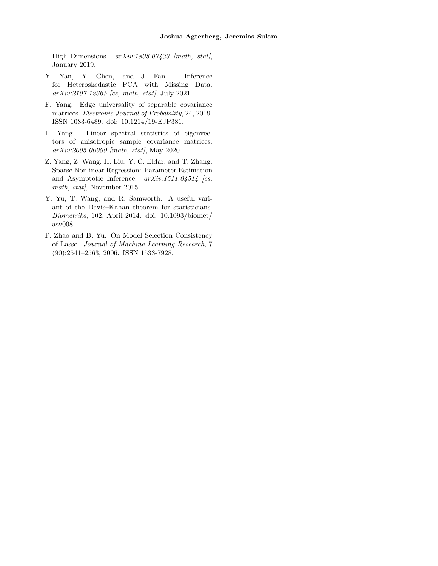High Dimensions.  $arXiv:1808.07433$  [math, stat], January 2019.

- <span id="page-10-0"></span>Y. Yan, Y. Chen, and J. Fan. Inference for Heteroskedastic PCA with Missing Data. arXiv:2107.12365 [cs, math, stat], July 2021.
- <span id="page-10-4"></span>F. Yang. Edge universality of separable covariance matrices. Electronic Journal of Probability, 24, 2019. ISSN 1083-6489. doi: 10.1214/19-EJP381.
- <span id="page-10-5"></span>F. Yang. Linear spectral statistics of eigenvectors of anisotropic sample covariance matrices. arXiv:2005.00999 [math, stat], May 2020.
- <span id="page-10-1"></span>Z. Yang, Z. Wang, H. Liu, Y. C. Eldar, and T. Zhang. Sparse Nonlinear Regression: Parameter Estimation and Asymptotic Inference.  $arXiv:1511.04514$  /cs, math, stat), November 2015.
- <span id="page-10-3"></span>Y. Yu, T. Wang, and R. Samworth. A useful variant of the Davis–Kahan theorem for statisticians. Biometrika, 102, April 2014. doi: 10.1093/biomet/ asv008.
- <span id="page-10-2"></span>P. Zhao and B. Yu. On Model Selection Consistency of Lasso. Journal of Machine Learning Research, 7 (90):2541–2563, 2006. ISSN 1533-7928.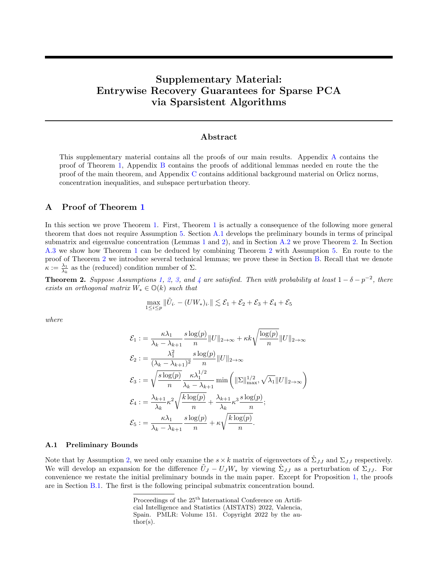# Supplementary Material: Entrywise Recovery Guarantees for Sparse PCA via Sparsistent Algorithms

# Abstract

This supplementary material contains all the proofs of our main results. Appendix [A](#page-11-0) contains the proof of Theorem [1,](#page-4-4) Appendix [B](#page-17-0) contains the proofs of additional lemmas needed en route the the proof of the main theorem, and Appendix [C](#page-38-0) contains additional background material on Orlicz norms, concentration inequalities, and subspace perturbation theory.

## <span id="page-11-0"></span>A Proof of Theorem [1](#page-4-4)

In this section we prove Theorem [1.](#page-4-4) First, Theorem [1](#page-4-4) is actually a consequence of the following more general theorem that does not require Assumption [5.](#page-4-1) Section [A.1](#page-11-2) develops the preliminary bounds in terms of principal submatrix and eigenvalue concentration (Lemmas [1](#page-6-0) and [2\)](#page-6-1), and in Section [A.2](#page-12-0) we prove Theorem [2.](#page-11-1) In Section [A.3](#page-16-2) we show how Theorem [1](#page-4-4) can be deduced by combining Theorem [2](#page-11-1) with Assumption [5.](#page-4-1) En route to the proof of Theorem [2](#page-11-1) we introduce several technical lemmas; we prove these in Section [B.](#page-17-0) Recall that we denote  $\kappa := \frac{\lambda_1}{\lambda_k}$  as the (reduced) condition number of  $\Sigma$ .

<span id="page-11-1"></span>**Theorem 2.** Suppose Assumptions [1,](#page-3-4) [2,](#page-3-2) [3,](#page-3-3) and [4](#page-3-0) are satisfied. Then with probability at least  $1 - \delta - p^{-2}$ , there exists an orthogonal matrix  $W_* \in \mathbb{O}(k)$  such that

$$
\max_{1 \leq i \leq p} \|\tilde{U}_{i.} - (U W_*)_i.\| \lesssim \mathcal{E}_1 + \mathcal{E}_2 + \mathcal{E}_3 + \mathcal{E}_4 + \mathcal{E}_5
$$

where

$$
\mathcal{E}_1 := \frac{\kappa \lambda_1}{\lambda_k - \lambda_{k+1}} \frac{s \log(p)}{n} ||U||_{2 \to \infty} + \kappa k \sqrt{\frac{\log(p)}{n}} ||U||_{2 \to \infty}
$$
  

$$
\mathcal{E}_2 := \frac{\lambda_1^2}{(\lambda_k - \lambda_{k+1})^2} \frac{s \log(p)}{n} ||U||_{2 \to \infty}
$$
  

$$
\mathcal{E}_3 := \sqrt{\frac{s \log(p)}{n}} \frac{\kappa \lambda_1^{1/2}}{\lambda_k - \lambda_{k+1}} \min\left(||\Sigma||_{\max}^{1/2}, \sqrt{\lambda_1} ||U||_{2 \to \infty}\right)
$$
  

$$
\mathcal{E}_4 := \frac{\lambda_{k+1}}{\lambda_k} \kappa^2 \sqrt{\frac{k \log(p)}{n}} + \frac{\lambda_{k+1}}{\lambda_k} \kappa^3 \frac{s \log(p)}{n};
$$
  

$$
\mathcal{E}_5 := \frac{\kappa \lambda_1}{\lambda_k - \lambda_{k+1}} \frac{s \log(p)}{n} + \kappa \sqrt{\frac{k \log(p)}{n}}.
$$

#### <span id="page-11-2"></span>A.1 Preliminary Bounds

Note that by Assumption [2,](#page-3-2) we need only examine the  $s \times k$  matrix of eigenvectors of  $\hat{\Sigma}_{JJ}$  and  $\Sigma_{JJ}$  respectively. We will develop an expansion for the difference  $\tilde{U}_J - U_J W_*$  by viewing  $\hat{\Sigma}_{JJ}$  as a perturbation of  $\Sigma_{JJ}$ . For convenience we restate the initial preliminary bounds in the main paper. Except for Proposition [1,](#page-6-2) the proofs are in Section [B.1.](#page-18-0) The first is the following principal submatrix concentration bound.

Proceedings of the  $25<sup>th</sup>$  International Conference on Artificial Intelligence and Statistics (AISTATS) 2022, Valencia, Spain. PMLR: Volume 151. Copyright 2022 by the author(s).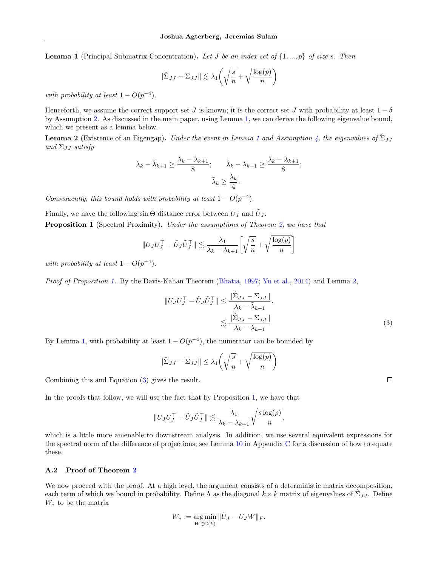**Lemma 1** (Principal Submatrix Concentration). Let J be an index set of  $\{1, ..., p\}$  of size s. Then

$$
\|\hat{\Sigma}_{JJ} - \Sigma_{JJ}\| \lesssim \lambda_1 \left(\sqrt{\frac{s}{n}} + \sqrt{\frac{\log(p)}{n}}\right)
$$

with probability at least  $1 - O(p^{-4})$ .

Henceforth, we assume the correct support set J is known; it is the correct set J with probability at least  $1 - \delta$ by Assumption [2.](#page-3-2) As discussed in the main paper, using Lemma [1,](#page-6-0) we can derive the following eigenvalue bound, which we present as a lemma below.

**Lemma 2** (Existence of an Eigengap). Under the event in Lemma [1](#page-6-0) and Assumption [4,](#page-3-0) the eigenvalues of  $\hat{\Sigma}_{JJ}$ and  $\Sigma_{JJ}$  satisfy

$$
\lambda_k - \tilde{\lambda}_{k+1} \ge \frac{\lambda_k - \lambda_{k+1}}{8}; \qquad \tilde{\lambda}_k - \lambda_{k+1} \ge \frac{\lambda_k - \lambda_{k+1}}{8};
$$

$$
\tilde{\lambda}_k \ge \frac{\lambda_k}{4}.
$$

Consequently, this bound holds with probability at least  $1 - O(p^{-4})$ .

Finally, we have the following  $\sin \Theta$  distance error between  $U_J$  and  $\tilde{U}_J$ . **Proposition 1** (Spectral Proximity). Under the assumptions of Theorem [2,](#page-11-1) we have that

$$
||U_J U_J^\top - \tilde{U}_J \tilde{U}_J^\top|| \lesssim \frac{\lambda_1}{\lambda_k - \lambda_{k+1}} \left[ \sqrt{\frac{s}{n}} + \sqrt{\frac{\log(p)}{n}} \right]
$$

with probability at least  $1 - O(p^{-4})$ .

Proof of Proposition [1.](#page-6-2) By the Davis-Kahan Theorem [\(Bhatia,](#page-7-12) [1997;](#page-7-12) [Yu et al.,](#page-10-3) [2014\)](#page-10-3) and Lemma [2,](#page-6-1)

$$
||U_J U_J^\top - \tilde{U}_J \tilde{U}_J^\top || \le \frac{||\hat{\Sigma}_{JJ} - \Sigma_{JJ}||}{\lambda_k - \tilde{\lambda}_{k+1}}.
$$
  

$$
\lesssim \frac{||\hat{\Sigma}_{JJ} - \Sigma_{JJ}||}{\lambda_k - \lambda_{k+1}}
$$
 (3)

By Lemma [1,](#page-6-0) with probability at least  $1 - O(p^{-4})$ , the numerator can be bounded by

$$
\|\hat{\Sigma}_{JJ} - \Sigma_{JJ}\| \le \lambda_1 \left(\sqrt{\frac{s}{n}} + \sqrt{\frac{\log(p)}{n}}\right)
$$

Combining this and Equation [\(3\)](#page-12-1) gives the result.

In the proofs that follow, we will use the fact that by Proposition [1,](#page-6-2) we have that

$$
||U_J U_J^\top - \tilde{U}_J \tilde{U}_J^\top || \lesssim \frac{\lambda_1}{\lambda_k - \lambda_{k+1}} \sqrt{\frac{s \log(p)}{n}},
$$

which is a little more amenable to downstream analysis. In addition, we use several equivalent expressions for the spectral norm of the difference of projections; see Lemma  $10$  in Appendix [C](#page-38-0) for a discussion of how to equate these.

#### <span id="page-12-0"></span>A.2 Proof of Theorem [2](#page-11-1)

We now proceed with the proof. At a high level, the argument consists of a deterministic matrix decomposition, each term of which we bound in probability. Define  $\tilde{\Lambda}$  as the diagonal  $k \times k$  matrix of eigenvalues of  $\hat{\Sigma}_{JJ}$ . Define  $W_*$  to be the matrix

$$
W_* := \underset{W \in \mathbb{O}(k)}{\arg \min} \|\tilde{U}_J - U_J W\|_F.
$$

<span id="page-12-1"></span> $\Box$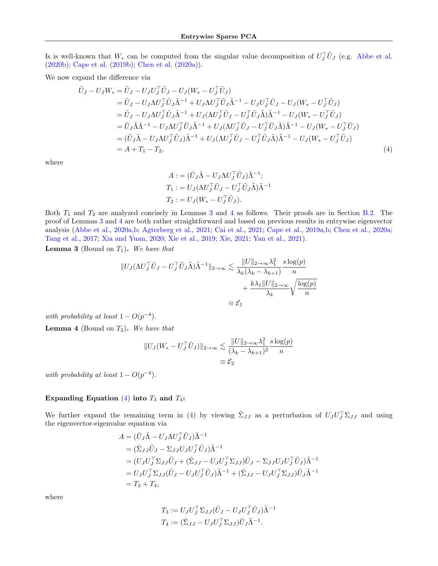Is is well-known that  $W_*$  can be computed from the singular value decomposition of  $U_J^{\dagger}U_J$  (e.g. [Abbe et al.](#page-7-9) [\(2020b\)](#page-7-9); [Cape et al.](#page-8-7) [\(2019b\)](#page-8-7); [Chen et al.](#page-8-9) [\(2020a\)](#page-8-9)).

We now expand the difference via

$$
\tilde{U}_{J} - U_{J}W_{*} = \tilde{U}_{J} - U_{J}U_{J}^{\top}\tilde{U}_{J} - U_{J}(W_{*} - U_{J}^{\top}\tilde{U}_{J}) \n= \tilde{U}_{J} - U_{J}\Lambda U_{J}^{\top}\tilde{U}_{J}\tilde{\Lambda}^{-1} + U_{J}\Lambda U_{J}^{\top}\tilde{U}_{J}\tilde{\Lambda}^{-1} - U_{J}U_{J}^{\top}\tilde{U}_{J} - U_{J}(W_{*} - U_{J}^{\top}\tilde{U}_{J}) \n= \tilde{U}_{J} - U_{J}\Lambda U_{J}^{\top}\tilde{U}_{J}\tilde{\Lambda}^{-1} + U_{J}(\Lambda U_{J}^{\top}\tilde{U}_{J} - U_{J}^{\top}\tilde{U}_{J}\tilde{\Lambda})\tilde{\Lambda}^{-1} - U_{J}(W_{*} - U_{J}^{\top}\tilde{U}_{J}) \n= \tilde{U}_{J}\tilde{\Lambda}\tilde{\Lambda}^{-1} - U_{J}\Lambda U_{J}^{\top}\tilde{U}_{J}\tilde{\Lambda}^{-1} + U_{J}(\Lambda U_{J}^{\top}\tilde{U}_{J} - U_{J}^{\top}\tilde{U}_{J}\tilde{\Lambda})\tilde{\Lambda}^{-1} - U_{J}(W_{*} - U_{J}^{\top}\tilde{U}_{J}) \n= (\tilde{U}_{J}\tilde{\Lambda} - U_{J}\Lambda U_{J}^{\top}\tilde{U}_{J})\tilde{\Lambda}^{-1} + U_{J}(\Lambda U_{J}^{\top}\tilde{U}_{J} - U_{J}^{\top}\tilde{U}_{J}\tilde{\Lambda})\tilde{\Lambda}^{-1} - U_{J}(W_{*} - U_{J}^{\top}\tilde{U}_{J}) \n= A + T_{1} - T_{2},
$$
\n(4)

where

<span id="page-13-2"></span>
$$
A := (\tilde{U}_J \tilde{\Lambda} - U_J \Lambda U_J^\top \tilde{U}_J) \tilde{\Lambda}^{-1};
$$
  
\n
$$
T_1 := U_J (\Lambda U_J^\top \tilde{U}_J - U_J^\top \tilde{U}_J \tilde{\Lambda}) \tilde{\Lambda}^{-1}
$$
  
\n
$$
T_2 := U_J (W_* - U_J^\top \tilde{U}_J).
$$

Both  $T_1$  and  $T_2$  are analyzed concisely in Lemmas [3](#page-13-0) and [4](#page-13-1) as follows. Their proofs are in Section [B.2.](#page-20-0) The proof of Lemmas [3](#page-13-0) and [4](#page-13-1) are both rather straightforward and based on previous results in entrywise eigenvector analysis [\(Abbe et al.,](#page-7-8) [2020a](#page-7-8)[,b;](#page-7-9) [Agterberg et al.,](#page-7-10) [2021;](#page-7-10) [Cai et al.,](#page-7-3) [2021;](#page-7-3) [Cape et al.,](#page-8-6) [2019a,](#page-8-6)[b;](#page-8-7) [Chen et al.,](#page-8-9) [2020a;](#page-8-9) [Tang et al.,](#page-9-20) [2017;](#page-9-20) [Xia and Yuan,](#page-9-11) [2020;](#page-9-11) [Xie et al.,](#page-9-7) [2019;](#page-9-7) [Xie,](#page-9-12) [2021;](#page-9-12) [Yan et al.,](#page-10-0) [2021\)](#page-10-0).

<span id="page-13-0"></span>**Lemma 3** (Bound on  $T_1$ ). We have that

$$
||U_J(\Lambda U_J^\top \tilde{U}_J - U_J^\top \tilde{U}_J \tilde{\Lambda})\tilde{\Lambda}^{-1}||_{2 \to \infty} \lesssim \frac{||U||_{2 \to \infty} \lambda_1^2}{\lambda_k(\lambda_k - \lambda_{k+1})} \frac{s \log(p)}{n} + \frac{k\lambda_1 ||U||_{2 \to \infty}}{\lambda_k} \sqrt{\frac{\log(p)}{n}}
$$
  

$$
\equiv \mathcal{E}_1
$$

with probability at least  $1 - O(p^{-4})$ .

<span id="page-13-1"></span>**Lemma 4** (Bound on  $T_2$ ). We have that

$$
||U_J(W_* - U_J^\top \tilde{U}_J)||_{2 \to \infty} \lesssim \frac{||U||_{2 \to \infty} \lambda_1^2}{(\lambda_k - \lambda_{k+1})^2} \frac{s \log(p)}{n}
$$
  

$$
\equiv \mathcal{E}_2
$$

with probability at least  $1 - O(p^{-4})$ .

# Expanding Equation [\(4\)](#page-13-2) into  $T_3$  and  $T_4$ :

We further expand the remaining term in [\(4\)](#page-13-2) by viewing  $\hat{\Sigma}_{JJ}$  as a perturbation of  $U_J U_J^{\top} \Sigma_{JJ}$  and using the eigenvector-eigenvalue equation via

$$
A = (\tilde{U}_J \tilde{\Lambda} - U_J \Lambda U_J^\top \tilde{U}_J) \tilde{\Lambda}^{-1}
$$
  
\n
$$
= (\hat{\Sigma}_{JJ} \tilde{U}_J - \Sigma_{JJ} U_J U_J^\top \tilde{U}_J) \tilde{\Lambda}^{-1}
$$
  
\n
$$
= (U_J U_J^\top \Sigma_{JJ} \tilde{U}_J + (\hat{\Sigma}_{JJ} - U_J U_J^\top \Sigma_{JJ}) \tilde{U}_J - \Sigma_{JJ} U_J U_J^\top \tilde{U}_J) \tilde{\Lambda}^{-1}
$$
  
\n
$$
= U_J U_J^\top \Sigma_{JJ} (\tilde{U}_J - U_J U_J^\top \tilde{U}_J) \tilde{\Lambda}^{-1} + (\hat{\Sigma}_{JJ} - U_J U_J^\top \Sigma_{JJ}) \tilde{U}_J \tilde{\Lambda}^{-1}
$$
  
\n
$$
= T_3 + T_4,
$$

where

$$
T_3 := U_J U_J^\top \Sigma_{JJ} (\tilde{U}_J - U_J U_J^\top \tilde{U}_J) \tilde{\Lambda}^{-1}
$$
  

$$
T_4 := (\hat{\Sigma}_{JJ} - U_J U_J^\top \Sigma_{JJ}) \tilde{U}_J \tilde{\Lambda}^{-1}.
$$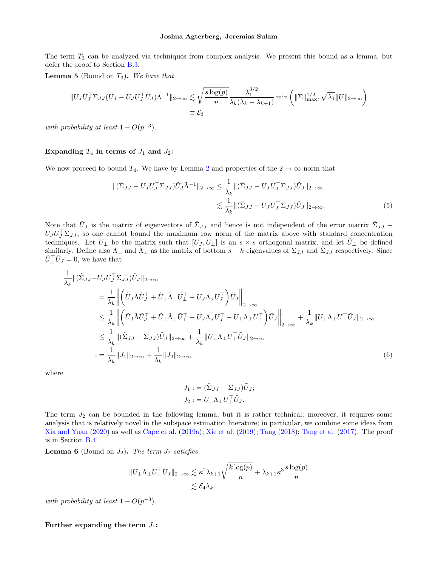The term  $T_3$  can be analyzed via techniques from complex analysis. We present this bound as a lemma, but defer the proof to Section [B.3.](#page-23-0)

<span id="page-14-0"></span>**Lemma 5** (Bound on  $T_3$ ). We have that

$$
||U_J U_J^\top \Sigma_{JJ} (\tilde{U}_J - U_J U_J^\top \tilde{U}_J) \tilde{\Lambda}^{-1}||_{2 \to \infty} \lesssim \sqrt{\frac{s \log(p)}{n}} \frac{\lambda_1^{3/2}}{\lambda_k(\lambda_k - \lambda_{k+1})} \min\left( ||\Sigma||_{\max}^{1/2}, \sqrt{\lambda_1} ||U||_{2 \to \infty} \right)
$$
  

$$
\equiv \mathcal{E}_3
$$

with probability at least  $1 - O(p^{-3})$ .

# Expanding  $T_4$  in terms of  $J_1$  and  $J_2$ :

We now proceed to bound  $T_4$ . We have by Lemma [2](#page-6-1) and properties of the  $2 \rightarrow \infty$  norm that

$$
\begin{split} \|(\hat{\Sigma}_{JJ} - U_J U_J^\top \Sigma_{JJ}) \tilde{U}_J \tilde{\Lambda}^{-1} \|_{2 \to \infty} &\leq \frac{1}{\tilde{\lambda}_k} \|(\hat{\Sigma}_{JJ} - U_J U_J^\top \Sigma_{JJ}) \tilde{U}_J \|_{2 \to \infty} \\ &\leq \frac{1}{\lambda_k} \|(\hat{\Sigma}_{JJ} - U_J U_J^\top \Sigma_{JJ}) \tilde{U}_J \|_{2 \to \infty} . \end{split} \tag{5}
$$

Note that  $\tilde{U}_J$  is the matrix of eigenvectors of  $\hat{\Sigma}_{JJ}$  and hence is not independent of the error matrix  $\hat{\Sigma}_{JJ}$  –  $U_J U_J^\top \Sigma_{JJ}$ , so one cannot bound the maximum row norm of the matrix above with standard concentration techniques. Let  $U_{\perp}$  be the matrix such that  $[U_J, U_{\perp}]$  is an  $s \times s$  orthogonal matrix, and let  $U_{\perp}$  be defined similarly. Define also  $\Lambda_{\perp}$  and  $\tilde{\Lambda}_{\perp}$  as the matrix of bottom  $s-k$  eigenvalues of  $\Sigma_{JJ}$  and  $\hat{\Sigma}_{JJ}$  respectively. Since  $\tilde{U}_{\perp}^{\top} \tilde{U}_J = 0$ , we have that

$$
\frac{1}{\lambda_k} \| (\hat{\Sigma}_{JJ} - U_J U_J^\top \Sigma_{JJ}) \tilde{U}_J \|_{2 \to \infty} \n= \frac{1}{\lambda_k} \left\| \left( \tilde{U}_J \tilde{\Lambda} \tilde{U}_J^\top + \tilde{U}_\perp \tilde{\Lambda}_\perp \tilde{U}_\perp^\top - U_J \Lambda_J U_J^\top \right) \tilde{U}_J \right\|_{2 \to \infty} \n\leq \frac{1}{\lambda_k} \left\| \left( \tilde{U}_J \tilde{\Lambda} \tilde{U}_J^\top + \tilde{U}_\perp \tilde{\Lambda}_\perp \tilde{U}_\perp^\top - U_J \Lambda_J U_J^\top - U_\perp \Lambda_\perp U_\perp^\top \right) \tilde{U}_J \right\|_{2 \to \infty} + \frac{1}{\lambda_k} \| U_\perp \Lambda_\perp U_\perp^\top \tilde{U}_J \|_{2 \to \infty} \n\leq \frac{1}{\lambda_k} \| (\hat{\Sigma}_{JJ} - \Sigma_{JJ}) \tilde{U}_J \|_{2 \to \infty} + \frac{1}{\lambda_k} \| U_\perp \Lambda_\perp U_\perp^\top \tilde{U}_J \|_{2 \to \infty} \n:= \frac{1}{\lambda_k} \| J_1 \|_{2 \to \infty} + \frac{1}{\lambda_k} \| J_2 \|_{2 \to \infty}
$$
\n(6)

where

<span id="page-14-2"></span>
$$
J_1 := (\hat{\Sigma}_{JJ} - \Sigma_{JJ})\tilde{U}_J;
$$
  

$$
J_2 := U_\perp \Lambda_\perp U_\perp^\top \tilde{U}_J.
$$

The term  $J_2$  can be bounded in the following lemma, but it is rather technical; moreover, it requires some analysis that is relatively novel in the subspace estimation literature; in particular, we combine some ideas from [Xia and Yuan](#page-9-11) [\(2020\)](#page-9-11) as well as [Cape et al.](#page-8-6) [\(2019a\)](#page-8-6); [Xie et al.](#page-9-7) [\(2019\)](#page-9-7); [Tang](#page-9-19) [\(2018\)](#page-9-19); [Tang et al.](#page-9-20) [\(2017\)](#page-9-20). The proof is in Section [B.4.](#page-27-0)

<span id="page-14-1"></span>**Lemma 6** (Bound on  $J_2$ ). The term  $J_2$  satisfies

$$
||U_{\perp}\Lambda_{\perp}U_{\perp}^{\top}\tilde{U}_{J}||_{2\to\infty} \lesssim \kappa^{2}\lambda_{k+1}\sqrt{\frac{k\log(p)}{n}} + \lambda_{k+1}\kappa^{3}\frac{s\log(p)}{n}
$$

$$
\lesssim \mathcal{E}_{4}\lambda_{k}
$$

with probability at least  $1 - O(p^{-3})$ .

#### Further expanding the term  $J_1$ :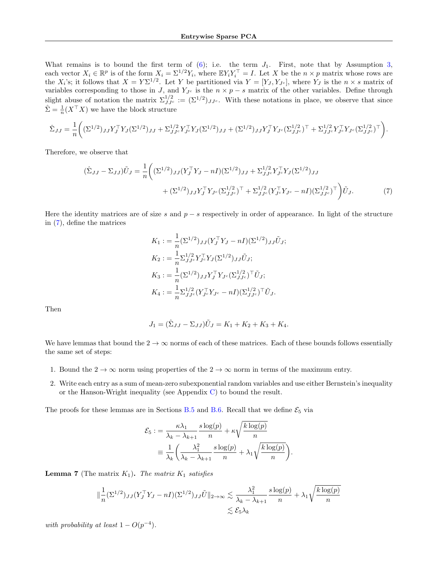What remains is to bound the first term of  $(6)$ ; i.e. the term  $J_1$ . First, note that by Assumption [3,](#page-3-3) each vector  $X_i \in \mathbb{R}^p$  is of the form  $X_i = \Sigma^{1/2} Y_i$ , where  $\mathbb{E} Y_i Y_i^\top = I$ . Let X be the  $n \times p$  matrix whose rows are the  $X_i$ 's; it follows that  $X = Y\Sigma^{1/2}$ . Let Y be partitioned via  $Y = [Y_J, Y_{J^c}]$ , where  $Y_J$  is the  $n \times s$  matrix of variables corresponding to those in J, and  $Y_{Jc}$  is the  $n \times p - s$  matrix of the other variables. Define through slight abuse of notation the matrix  $\Sigma^{1/2}_{JJ^c} := (\Sigma^{1/2})_{JJ^c}$ . With these notations in place, we observe that since  $\hat{\Sigma} = \frac{1}{n} (X^{\top} X)$  we have the block structure

$$
\hat{\Sigma}_{JJ} = \frac{1}{n} \bigg( (\Sigma^{1/2})_{JJ} Y_J^\top Y_J (\Sigma^{1/2})_{JJ} + \Sigma_{JJ^c}^{1/2} Y_{J^c}^\top Y_J (\Sigma^{1/2})_{JJ} + (\Sigma^{1/2})_{JJ} Y_J^\top Y_{J^c} (\Sigma_{JJ^c}^{1/2})^\top + \Sigma_{JJ^c}^{1/2} Y_{J^c}^\top Y_{J^c} (\Sigma_{JJ^c}^{1/2})^\top \bigg).
$$

Therefore, we observe that

$$
(\hat{\Sigma}_{JJ} - \Sigma_{JJ})\tilde{U}_J = \frac{1}{n} \left( (\Sigma^{1/2})_{JJ} (Y_J^{\top} Y_J - nI) (\Sigma^{1/2})_{JJ} + \Sigma_{JJc}^{1/2} Y_{Jc}^{\top} Y_J (\Sigma^{1/2})_{JJ} + (\Sigma^{1/2})_{JJ} Y_J^{\top} Y_{Jc} (\Sigma_{JJc}^{1/2})^{\top} + \Sigma_{JJc}^{1/2} (Y_{Jc}^{\top} Y_{Jc} - nI) (\Sigma_{JJc}^{1/2})^{\top} \right) \tilde{U}_J.
$$
\n(7)

Here the identity matrices are of size s and  $p - s$  respectively in order of appearance. In light of the structure in [\(7\)](#page-15-0), define the matrices

<span id="page-15-0"></span>
$$
K_1 := \frac{1}{n} (\Sigma^{1/2})_{JJ} (Y_J^{\top} Y_J - nI) (\Sigma^{1/2})_{JJ} \tilde{U}_J;
$$
  
\n
$$
K_2 := \frac{1}{n} \Sigma_{JJ^c}^{1/2} Y_J^{\top} Y_J (\Sigma^{1/2})_{JJ} \tilde{U}_J;
$$
  
\n
$$
K_3 := \frac{1}{n} (\Sigma^{1/2})_{JJ} Y_J^{\top} Y_{J^c} (\Sigma_{JJ^c}^{1/2})^{\top} \tilde{U}_J;
$$
  
\n
$$
K_4 := \frac{1}{n} \Sigma_{JJ^c}^{1/2} (Y_{J^c}^{\top} Y_{J^c} - nI) (\Sigma_{JJ^c}^{1/2})^{\top} \tilde{U}_J.
$$

Then

$$
J_1 = (\hat{\Sigma}_{JJ} - \Sigma_{JJ})\tilde{U}_J = K_1 + K_2 + K_3 + K_4.
$$

We have lemmas that bound the  $2 \to \infty$  norms of each of these matrices. Each of these bounds follows essentially the same set of steps:

- 1. Bound the  $2 \to \infty$  norm using properties of the  $2 \to \infty$  norm in terms of the maximum entry.
- 2. Write each entry as a sum of mean-zero subexponential random variables and use either Bernstein's inequality or the Hanson-Wright inequality (see Appendix  $C$ ) to bound the result.

The proofs for these lemmas are in Sections [B.5](#page-32-0) and [B.6.](#page-35-1) Recall that we define  $\mathcal{E}_5$  via

$$
\mathcal{E}_5 := \frac{\kappa \lambda_1}{\lambda_k - \lambda_{k+1}} \frac{s \log(p)}{n} + \kappa \sqrt{\frac{k \log(p)}{n}}
$$

$$
\equiv \frac{1}{\lambda_k} \left( \frac{\lambda_1^2}{\lambda_k - \lambda_{k+1}} \frac{s \log(p)}{n} + \lambda_1 \sqrt{\frac{k \log(p)}{n}} \right).
$$

<span id="page-15-1"></span>**Lemma 7** (The matrix  $K_1$ ). The matrix  $K_1$  satisfies

$$
\|\frac{1}{n}(\Sigma^{1/2})_{JJ}(Y_J^{\top}Y_J - nI)(\Sigma^{1/2})_{JJ}\tilde{U}\|_{2\to\infty} \lesssim \frac{\lambda_1^2}{\lambda_k - \lambda_{k+1}} \frac{s \log(p)}{n} + \lambda_1 \sqrt{\frac{k \log(p)}{n}}
$$
  

$$
\lesssim \mathcal{E}_5 \lambda_k
$$

with probability at least  $1 - O(p^{-4})$ .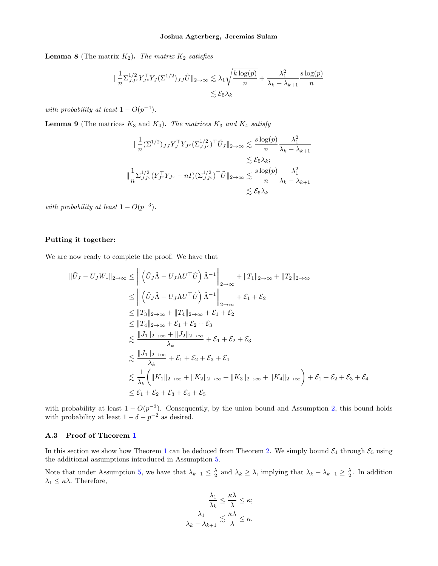<span id="page-16-0"></span>**Lemma 8** (The matrix  $K_2$ ). The matrix  $K_2$  satisfies

$$
\|\frac{1}{n}\Sigma_{JJ^c}^{1/2}Y_{J^c}^\top Y_J(\Sigma^{1/2})_{JJ}\tilde{U}\|_{2\to\infty} \lesssim \lambda_1 \sqrt{\frac{k\log(p)}{n}} + \frac{\lambda_1^2}{\lambda_k - \lambda_{k+1}}\frac{s\log(p)}{n}
$$

$$
\lesssim \mathcal{E}_5\lambda_k
$$

with probability at least  $1 - O(p^{-4})$ .

<span id="page-16-1"></span>**Lemma 9** (The matrices  $K_3$  and  $K_4$ ). The matrices  $K_3$  and  $K_4$  satisfy

$$
\|\frac{1}{n}(\Sigma^{1/2})_{JJ}Y_J^\top Y_{J^c}(\Sigma^{1/2}_{JJ^c})^\top \tilde{U}_J\|_{2\to\infty} \lesssim \frac{s \log(p)}{n} \frac{\lambda_1^2}{\lambda_k - \lambda_{k+1}} \n\lesssim \mathcal{E}_5 \lambda_k; \|\frac{1}{n}\Sigma_{JJ^c}^{1/2}(Y_{J^c}^\top Y_{J^c} - nI)(\Sigma_{JJ^c}^{1/2})^\top \tilde{U}\|_{2\to\infty} \lesssim \frac{s \log(p)}{n} \frac{\lambda_1^2}{\lambda_k - \lambda_{k+1}} \n\lesssim \mathcal{E}_5 \lambda_k
$$

with probability at least  $1 - O(p^{-3})$ .

## Putting it together:

We are now ready to complete the proof. We have that

$$
\|\tilde{U}_{J} - U_{J}W_{*}\|_{2\to\infty} \leq \left\| \left( \tilde{U}_{J}\tilde{\Lambda} - U_{J}\Lambda U^{\top}\hat{U} \right) \tilde{\Lambda}^{-1} \right\|_{2\to\infty} + \|T_{1}\|_{2\to\infty} + \|T_{2}\|_{2\to\infty}
$$
  
\n
$$
\leq \left\| \left( \tilde{U}_{J}\tilde{\Lambda} - U_{J}\Lambda U^{\top}\hat{U} \right) \tilde{\Lambda}^{-1} \right\|_{2\to\infty} + \mathcal{E}_{1} + \mathcal{E}_{2}
$$
  
\n
$$
\leq \|T_{3}\|_{2\to\infty} + \|T_{4}\|_{2\to\infty} + \mathcal{E}_{1} + \mathcal{E}_{2}
$$
  
\n
$$
\leq \|T_{4}\|_{2\to\infty} + \mathcal{E}_{1} + \mathcal{E}_{2} + \mathcal{E}_{3}
$$
  
\n
$$
\leq \frac{\|J_{1}\|_{2\to\infty} + \|J_{2}\|_{2\to\infty}}{\lambda_{k}} + \mathcal{E}_{1} + \mathcal{E}_{2} + \mathcal{E}_{3}
$$
  
\n
$$
\leq \frac{\|J_{1}\|_{2\to\infty}}{\lambda_{k}} + \mathcal{E}_{1} + \mathcal{E}_{2} + \mathcal{E}_{3} + \mathcal{E}_{4}
$$
  
\n
$$
\leq \frac{1}{\lambda_{k}} \left( \|K_{1}\|_{2\to\infty} + \|K_{2}\|_{2\to\infty} + \|K_{3}\|_{2\to\infty} + \|K_{4}\|_{2\to\infty} \right) + \mathcal{E}_{1} + \mathcal{E}_{2} + \mathcal{E}_{3} + \mathcal{E}_{4}
$$
  
\n
$$
\leq \mathcal{E}_{1} + \mathcal{E}_{2} + \mathcal{E}_{3} + \mathcal{E}_{4} + \mathcal{E}_{5}
$$

with probability at least  $1 - O(p^{-3})$ . Consequently, by the union bound and Assumption [2,](#page-3-2) this bound holds with probability at least  $1 - \delta - p^{-2}$  as desired.

## <span id="page-16-2"></span>A.3 Proof of Theorem [1](#page-4-4)

In this section we show how Theorem [1](#page-4-4) can be deduced from Theorem [2.](#page-11-1) We simply bound  $\mathcal{E}_1$  through  $\mathcal{E}_5$  using the additional assumptions introduced in Assumption [5.](#page-4-1)

Note that under Assumption [5,](#page-4-1) we have that  $\lambda_{k+1} \leq \frac{\lambda}{2}$  and  $\lambda_k \geq \lambda$ , implying that  $\lambda_k - \lambda_{k+1} \geq \frac{\lambda}{2}$ . In addition  $\lambda_1 \leq \kappa \lambda$ . Therefore,

$$
\frac{\lambda_1}{\lambda_k} \leq \frac{\kappa \lambda}{\lambda} \leq \kappa;
$$
  

$$
\frac{\lambda_1}{\lambda_k - \lambda_{k+1}} \lesssim \frac{\kappa \lambda}{\lambda} \leq \kappa.
$$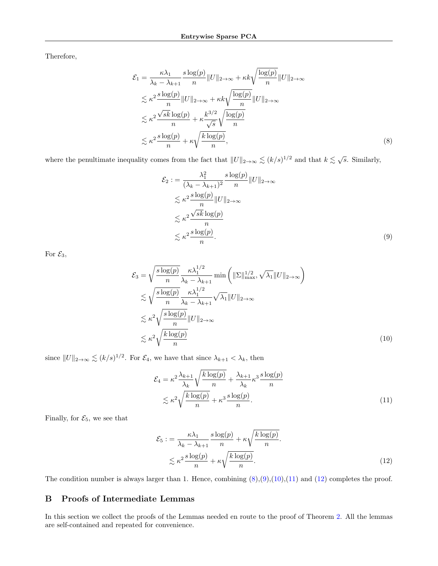Therefore,

$$
\mathcal{E}_1 = \frac{\kappa \lambda_1}{\lambda_k - \lambda_{k+1}} \frac{s \log(p)}{n} ||U||_{2 \to \infty} + \kappa k \sqrt{\frac{\log(p)}{n}} ||U||_{2 \to \infty}
$$
  

$$
\lesssim \kappa^2 \frac{s \log(p)}{n} ||U||_{2 \to \infty} + \kappa k \sqrt{\frac{\log(p)}{n}} ||U||_{2 \to \infty}
$$
  

$$
\lesssim \kappa^2 \frac{\sqrt{s k} \log(p)}{n} + \kappa \frac{k^{3/2}}{\sqrt{s}} \sqrt{\frac{\log(p)}{n}}
$$
  

$$
\lesssim \kappa^2 \frac{s \log(p)}{n} + \kappa \sqrt{\frac{k \log(p)}{n}}, \tag{8}
$$

where the penultimate inequality comes from the fact that  $||U||_{2\to\infty} \lesssim (k/s)^{1/2}$  and that  $k \lesssim \sqrt{s}$ . Similarly,

<span id="page-17-2"></span><span id="page-17-1"></span>
$$
\mathcal{E}_2 := \frac{\lambda_1^2}{(\lambda_k - \lambda_{k+1})^2} \frac{s \log(p)}{n} ||U||_{2 \to \infty}
$$
  
\n
$$
\lesssim \kappa^2 \frac{s \log(p)}{n} ||U||_{2 \to \infty}
$$
  
\n
$$
\lesssim \kappa^2 \frac{\sqrt{sk} \log(p)}{n}
$$
  
\n
$$
\lesssim \kappa^2 \frac{s \log(p)}{n}.
$$
  
\n(9)

For  $\mathcal{E}_3$ ,

$$
\mathcal{E}_{3} = \sqrt{\frac{s \log(p)}{n}} \frac{\kappa \lambda_{1}^{1/2}}{\lambda_{k} - \lambda_{k+1}} \min\left(\|\Sigma\|_{\max}^{1/2}, \sqrt{\lambda_{1}} \|U\|_{2 \to \infty}\right)
$$
  
\n
$$
\lesssim \sqrt{\frac{s \log(p)}{n}} \frac{\kappa \lambda_{1}^{1/2}}{\lambda_{k} - \lambda_{k+1}} \sqrt{\lambda_{1}} \|U\|_{2 \to \infty}
$$
  
\n
$$
\lesssim \kappa^{2} \sqrt{\frac{s \log(p)}{n}} \|U\|_{2 \to \infty}
$$
  
\n
$$
\lesssim \kappa^{2} \sqrt{\frac{k \log(p)}{n}} \tag{10}
$$

since  $||U||_{2\to\infty} \lesssim (k/s)^{1/2}$ . For  $\mathcal{E}_4$ , we have that since  $\lambda_{k+1} < \lambda_k$ , then

<span id="page-17-4"></span><span id="page-17-3"></span>
$$
\mathcal{E}_4 = \kappa^2 \frac{\lambda_{k+1}}{\lambda_k} \sqrt{\frac{k \log(p)}{n}} + \frac{\lambda_{k+1}}{\lambda_k} \kappa^3 \frac{s \log(p)}{n}
$$
  

$$
\lesssim \kappa^2 \sqrt{\frac{k \log(p)}{n}} + \kappa^3 \frac{s \log(p)}{n}.
$$
 (11)

Finally, for  $\mathcal{E}_5$ , we see that

<span id="page-17-5"></span>
$$
\mathcal{E}_5 := \frac{\kappa \lambda_1}{\lambda_k - \lambda_{k+1}} \frac{s \log(p)}{n} + \kappa \sqrt{\frac{k \log(p)}{n}}.
$$
  

$$
\lesssim \kappa^2 \frac{s \log(p)}{n} + \kappa \sqrt{\frac{k \log(p)}{n}}.
$$
 (12)

The condition number is always larger than 1. Hence, combining  $(8), (9), (10), (11)$  $(8), (9), (10), (11)$  $(8), (9), (10), (11)$  $(8), (9), (10), (11)$  $(8), (9), (10), (11)$  $(8), (9), (10), (11)$  $(8), (9), (10), (11)$  and  $(12)$  completes the proof.

# <span id="page-17-0"></span>B Proofs of Intermediate Lemmas

In this section we collect the proofs of the Lemmas needed en route to the proof of Theorem [2.](#page-11-1) All the lemmas are self-contained and repeated for convenience.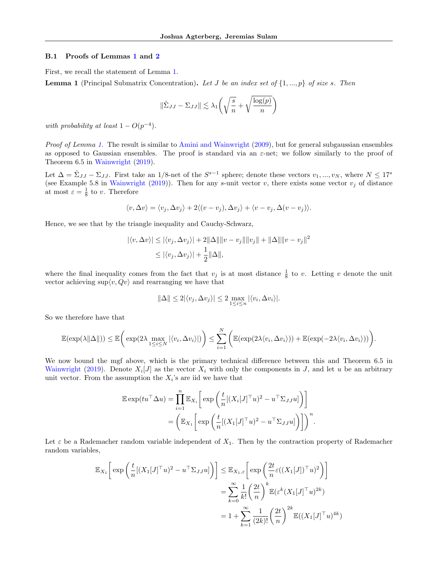#### <span id="page-18-0"></span>B.1 Proofs of Lemmas [1](#page-6-0) and [2](#page-6-1)

First, we recall the statement of Lemma [1.](#page-6-0)

**Lemma 1** (Principal Submatrix Concentration). Let J be an index set of  $\{1, ..., p\}$  of size s. Then

$$
\|\hat{\Sigma}_{JJ} - \Sigma_{JJ}\| \lesssim \lambda_1 \left(\sqrt{\frac{s}{n}} + \sqrt{\frac{\log(p)}{n}}\right)
$$

with probability at least  $1 - O(p^{-4})$ .

Proof of Lemma [1.](#page-6-0) The result is similar to [Amini and Wainwright](#page-7-4) [\(2009\)](#page-7-4), but for general subgaussian ensembles as opposed to Gaussian ensembles. The proof is standard via an  $\varepsilon$ -net; we follow similarly to the proof of Theorem 6.5 in [Wainwright](#page-9-17) [\(2019\)](#page-9-17).

Let  $\Delta = \hat{\Sigma}_{JJ} - \Sigma_{JJ}$ . First take an 1/8-net of the  $S^{s-1}$  sphere; denote these vectors  $v_1, ..., v_N$ , where  $N \leq 17^s$ (see Example 5.8 in [Wainwright](#page-9-17) [\(2019\)](#page-9-17)). Then for any s-unit vector v, there exists some vector  $v_j$  of distance at most  $\varepsilon = \frac{1}{8}$  to v. Therefore

$$
\langle v, \Delta v \rangle = \langle v_j, \Delta v_j \rangle + 2 \langle (v - v_j), \Delta v_j \rangle + \langle v - v_j, \Delta (v - v_j) \rangle.
$$

Hence, we see that by the triangle inequality and Cauchy-Schwarz,

$$
|\langle v, \Delta v \rangle| \le |\langle v_j, \Delta v_j \rangle| + 2 \|\Delta\| \|v - v_j\| \|v_j\| + \|\Delta\| \|v - v_j\|^2
$$
  

$$
\le |\langle v_j, \Delta v_j \rangle| + \frac{1}{2} \|\Delta\|,
$$

where the final inequality comes from the fact that  $v_j$  is at most distance  $\frac{1}{8}$  to v. Letting v denote the unit vector achieving  $\sup \langle v, Qv \rangle$  and rearranging we have that

$$
\|\Delta\| \le 2|\langle v_j, \Delta v_j \rangle| \le 2 \max_{1 \le i \le n} |\langle v_i, \Delta v_i \rangle|.
$$

So we therefore have that

$$
\mathbb{E}(\exp(\lambda||\Delta||)) \leq \mathbb{E}\bigg(\exp(2\lambda \max_{1\leq i\leq N}|\langle v_i,\Delta v_i\rangle|)\bigg) \leq \sum_{i=1}^N\bigg(\mathbb{E}(\exp(2\lambda\langle v_i,\Delta v_i\rangle)) + \mathbb{E}(\exp(-2\lambda\langle v_i,\Delta v_i\rangle))\bigg).
$$

We now bound the mgf above, which is the primary technical difference between this and Theorem 6.5 in [Wainwright](#page-9-17) [\(2019\)](#page-9-17). Denote  $X_i[J]$  as the vector  $X_i$  with only the components in J, and let u be an arbitrary unit vector. From the assumption the  $X_i$ 's are iid we have that

$$
\mathbb{E} \exp(tu^\top \Delta u) = \prod_{i=1}^n \mathbb{E}_{X_i} \left[ \exp \left( \frac{t}{n} [(X_i[J]^\top u)^2 - u^\top \Sigma_{JJ} u] \right) \right]
$$
  
= 
$$
\left( \mathbb{E}_{X_1} \left[ \exp \left( \frac{t}{n} [(X_1[J]^\top u)^2 - u^\top \Sigma_{JJ} u] \right) \right] \right)^n.
$$

Let  $\varepsilon$  be a Rademacher random variable independent of  $X_1$ . Then by the contraction property of Rademacher random variables,

$$
\mathbb{E}_{X_1} \left[ \exp \left( \frac{t}{n} [(X_1[J]^{\top} u)^2 - u^{\top} \Sigma_{JJ} u] \right) \right] \leq \mathbb{E}_{X_1, \varepsilon} \left[ \exp \left( \frac{2t}{n} \varepsilon ((X_1[J])^{\top} u)^2 \right) \right]
$$
  

$$
= \sum_{k=0}^{\infty} \frac{1}{k!} \left( \frac{2t}{n} \right)^k \mathbb{E} (\varepsilon^k (X_1[J]^{\top} u)^{2k})
$$
  

$$
= 1 + \sum_{k=1}^{\infty} \frac{1}{(2k)!} \left( \frac{2t}{n} \right)^{2k} \mathbb{E}((X_1[J]^{\top} u)^{4k})
$$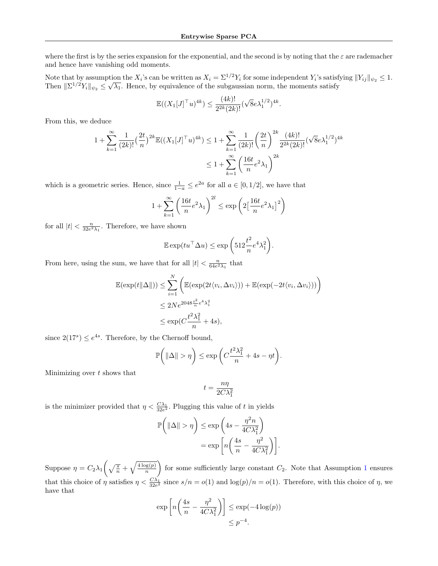where the first is by the series expansion for the exponential, and the second is by noting that the  $\varepsilon$  are rademacher and hence have vanishing odd moments.

Note that by assumption the  $X_i$ 's can be written as  $X_i = \Sigma^{1/2} Y_i$  for some independent  $Y_i$ 's satisfying  $||Y_{ij}||_{\psi_2} \leq 1$ . Note that by assumption the  $\Lambda_i$  s can be written as  $\Lambda_i = \Sigma^{1/2} \Gamma_i$  for some independent  $\Gamma_i$  s satisfy Then  $\|\Sigma^{1/2} Y_i\|_{\psi_2} \leq \sqrt{\lambda_1}$ . Hence, by equivalence of the subgaussian norm, the moments satisfy

$$
\mathbb{E}((X_1[J]^{\top}u)^{4k}) \le \frac{(4k)!}{2^{2k}(2k)!}(\sqrt{8}e\lambda_1^{1/2})^{4k}.
$$

From this, we deduce

$$
1 + \sum_{k=1}^{\infty} \frac{1}{(2k)!} \left(\frac{2t}{n}\right)^{2k} \mathbb{E}((X_1[J]^{\top}u)^{4k}) \leq 1 + \sum_{k=1}^{\infty} \frac{1}{(2k)!} \left(\frac{2t}{n}\right)^{2k} \frac{(4k)!}{2^{2k}(2k)!} (\sqrt{8}e\lambda_1^{1/2})^{4k}
$$

$$
\leq 1 + \sum_{k=1}^{\infty} \left(\frac{16t}{n}e^2\lambda_1\right)^{2k}
$$

which is a geometric series. Hence, since  $\frac{1}{1-a} \leq e^{2a}$  for all  $a \in [0, 1/2]$ , we have that

$$
1 + \sum_{k=1}^{\infty} \left(\frac{16t}{n}e^2\lambda_1\right)^{2l} \le \exp\left(2\left[\frac{16t}{n}e^2\lambda_1\right]^2\right)
$$

for all  $|t| < \frac{n}{32e^2\lambda_1}$ . Therefore, we have shown

$$
\mathbb{E}\exp(tu^\top \Delta u) \le \exp\bigg(512\frac{t^2}{n}e^4\lambda_1^2\bigg).
$$

From here, using the sum, we have that for all  $|t| < \frac{n}{64e^2\lambda_1}$  that

$$
\mathbb{E}(\exp(t\|\Delta\|)) \le \sum_{i=1}^{N} \left( \mathbb{E}(\exp(2t\langle v_i, \Delta v_i \rangle)) + \mathbb{E}(\exp(-2t\langle v_i, \Delta v_i \rangle)) \right)
$$
  

$$
\le 2Ne^{2048\frac{t^2}{n}e^4\lambda_1^2}
$$
  

$$
\le \exp(C\frac{t^2\lambda_1^2}{n} + 4s),
$$

since  $2(17<sup>s</sup>) \le e^{4s}$ . Therefore, by the Chernoff bound,

$$
\mathbb{P}\bigg(\|\Delta\| > \eta\bigg) \le \exp\bigg(C\frac{t^2\lambda_1^2}{n} + 4s - \eta t\bigg).
$$

Minimizing over  $t$  shows that

$$
t = \frac{n\eta}{2C\lambda_1^2}
$$

is the minimizer provided that  $\eta < \frac{C\lambda_1}{32e^2}$ . Plugging this value of t in yields

$$
\mathbb{P}\left(\left\|\Delta\right\| > \eta\right) \le \exp\left(4s - \frac{\eta^2 n}{4C\lambda_1^2}\right)
$$

$$
= \exp\left[n\left(\frac{4s}{n} - \frac{\eta^2}{4C\lambda_1^2}\right)\right].
$$

Suppose  $\eta = C_2 \lambda_1 \left( \sqrt{\frac{s}{n}} + \sqrt{\frac{4 \log(p)}{n}} \right)$ n for some sufficiently large constant  $C_2$ . Note that Assumption [1](#page-3-4) ensures that this choice of  $\eta$  satisfies  $\eta < \frac{C\lambda_1}{32e^2}$  since  $s/n = o(1)$  and  $\log(p)/n = o(1)$ . Therefore, with this choice of  $\eta$ , we have that

$$
\exp\left[n\left(\frac{4s}{n} - \frac{\eta^2}{4C\lambda_1^2}\right)\right] \le \exp(-4\log(p))
$$
  

$$
\le p^{-4}.
$$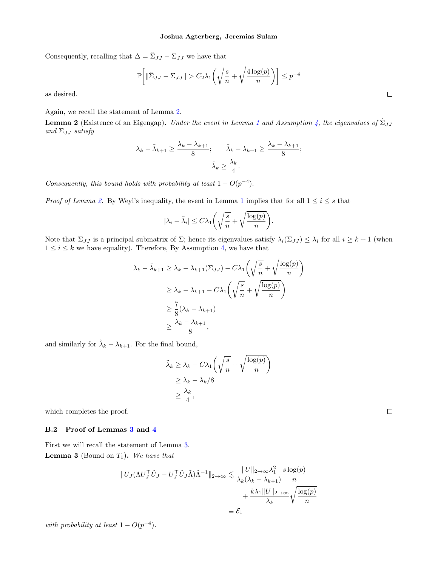Consequently, recalling that  $\Delta = \hat{\Sigma}_{JJ} - \Sigma_{JJ}$  we have that

$$
\mathbb{P}\bigg[\|\hat{\Sigma}_{JJ} - \Sigma_{JJ}\| > C_2\lambda_1 \left(\sqrt{\frac{s}{n}} + \sqrt{\frac{4\log(p)}{n}}\right)\bigg] \le p^{-4}
$$

as desired.

Again, we recall the statement of Lemma [2.](#page-6-1)

**Lemma 2** (Existence of an Eigengap). Under the event in Lemma [1](#page-6-0) and Assumption [4,](#page-3-0) the eigenvalues of  $\hat{\Sigma}_{JJ}$ and  $\Sigma_{JJ}$  satisfy

$$
\lambda_k - \tilde{\lambda}_{k+1} \ge \frac{\lambda_k - \lambda_{k+1}}{8}; \qquad \tilde{\lambda}_k - \lambda_{k+1} \ge \frac{\lambda_k - \lambda_{k+1}}{8};
$$

$$
\tilde{\lambda}_k \ge \frac{\lambda_k}{4}.
$$

Consequently, this bound holds with probability at least  $1 - O(p^{-4})$ .

*Proof of Lemma [2.](#page-6-1)* By Weyl's inequality, the event in Lemma [1](#page-6-0) implies that for all  $1 \le i \le s$  that

$$
|\lambda_i - \tilde{\lambda}_i| \le C\lambda_1 \left(\sqrt{\frac{s}{n}} + \sqrt{\frac{\log(p)}{n}}\right).
$$

Note that  $\Sigma_{JJ}$  is a principal submatrix of  $\Sigma$ ; hence its eigenvalues satisfy  $\lambda_i(\Sigma_{JJ}) \leq \lambda_i$  for all  $i \geq k+1$  (when  $1 \leq i \leq k$  we have equality). Therefore, By Assumption [4,](#page-3-0) we have that

$$
\lambda_k - \tilde{\lambda}_{k+1} \ge \lambda_k - \lambda_{k+1}(\Sigma_{JJ}) - C\lambda_1 \left(\sqrt{\frac{s}{n}} + \sqrt{\frac{\log(p)}{n}}\right)
$$
  

$$
\ge \lambda_k - \lambda_{k+1} - C\lambda_1 \left(\sqrt{\frac{s}{n}} + \sqrt{\frac{\log(p)}{n}}\right)
$$
  

$$
\ge \frac{7}{8}(\lambda_k - \lambda_{k+1})
$$
  

$$
\ge \frac{\lambda_k - \lambda_{k+1}}{8},
$$

and similarly for  $\tilde{\lambda}_k - \lambda_{k+1}$ . For the final bound,

$$
\tilde{\lambda}_k \geq \lambda_k - C\lambda_1 \left( \sqrt{\frac{s}{n}} + \sqrt{\frac{\log(p)}{n}} \right) \\
\geq \lambda_k - \lambda_k / 8 \\
\geq \frac{\lambda_k}{4},
$$

 $\Box$ 

which completes the proof.

#### <span id="page-20-0"></span>B.2 Proof of Lemmas [3](#page-13-0) and [4](#page-13-1)

First we will recall the statement of Lemma [3.](#page-13-0) **Lemma 3** (Bound on  $T_1$ ). We have that

$$
||U_J(\Lambda U_J^\top \tilde{U}_J - U_J^\top \tilde{U}_J \tilde{\Lambda})\tilde{\Lambda}^{-1}||_{2\to\infty} \lesssim \frac{||U||_{2\to\infty} \lambda_1^2}{\lambda_k(\lambda_k - \lambda_{k+1})} \frac{s \log(p)}{n} + \frac{k\lambda_1 ||U||_{2\to\infty}}{\lambda_k} \sqrt{\frac{\log(p)}{n}}
$$
  

$$
\equiv \mathcal{E}_1
$$

with probability at least  $1 - O(p^{-4})$ .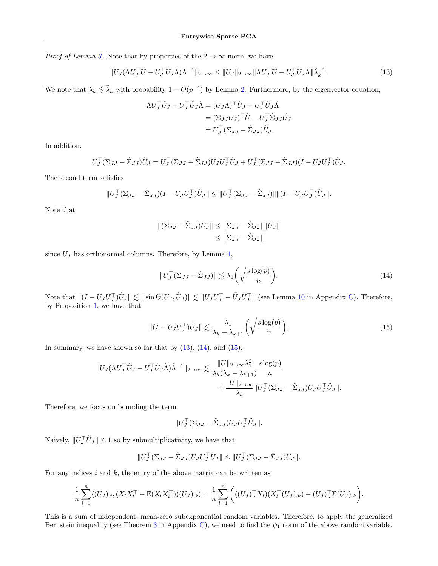*Proof of Lemma [3.](#page-13-0)* Note that by properties of the  $2 \rightarrow \infty$  norm, we have

$$
||U_J(\Lambda U_J^\top \tilde{U} - U_J^\top \tilde{U}_J \tilde{\Lambda}) \tilde{\Lambda}^{-1}||_{2 \to \infty} \le ||U_J||_{2 \to \infty} ||\Lambda U_J^\top \tilde{U} - U_J^\top \tilde{U}_J \tilde{\Lambda}||\hat{\lambda}_k^{-1}.
$$
\n(13)

We note that  $\lambda_k \lesssim \tilde{\lambda}_k$  with probability  $1 - O(p^{-4})$  by Lemma [2.](#page-6-1) Furthermore, by the eigenvector equation,

<span id="page-21-0"></span>
$$
\Lambda U_J^\top \tilde{U}_J - U_J^\top \tilde{U}_J \tilde{\Lambda} = (U_J \Lambda)^\top \tilde{U}_J - U_J^\top \tilde{U}_J \tilde{\Lambda}
$$
  
=  $(\Sigma_{JJ} U_J)^\top \tilde{U} - U_J^\top \hat{\Sigma}_{JJ} \tilde{U}_J$   
=  $U_J^\top (\Sigma_{JJ} - \hat{\Sigma}_{JJ}) \tilde{U}_J.$ 

In addition,

$$
U_J^\top (\Sigma_{JJ} - \hat{\Sigma}_{JJ}) \tilde{U}_J = U_J^\top (\Sigma_{JJ} - \hat{\Sigma}_{JJ}) U_J U_J^\top \tilde{U}_J + U_J^\top (\Sigma_{JJ} - \hat{\Sigma}_{JJ}) (I - U_J U_J^\top) \tilde{U}_J.
$$

The second term satisfies

$$
||U_J^\top (\Sigma_{JJ} - \hat{\Sigma}_{JJ})(I - U_J U_J^\top) \tilde{U}_J|| \leq ||U_J^\top (\Sigma_{JJ} - \hat{\Sigma}_{JJ})||||(I - U_J U_J^\top) \tilde{U}_J||.
$$

Note that

$$
\begin{aligned} \|(\Sigma_{JJ} - \hat{\Sigma}_{JJ})U_J\| &\le \|(\Sigma_{JJ} - \hat{\Sigma}_{JJ})\| \|U_J\| \\ &\le \|\Sigma_{JJ} - \hat{\Sigma}_{JJ}\| \end{aligned}
$$

since  $U_J$  has orthonormal columns. Therefore, by Lemma [1,](#page-6-0)

<span id="page-21-2"></span><span id="page-21-1"></span>
$$
||U_J^\top (\Sigma_{JJ} - \hat{\Sigma}_{JJ})|| \lesssim \lambda_1 \left( \sqrt{\frac{s \log(p)}{n}} \right).
$$
\n(14)

Note that  $||(I - U_J U_J^{\top})\tilde{U}_J || \lesssim ||\sin\Theta(U_J, \tilde{U}_J)|| \lesssim ||U_J U_J^{\top} - \tilde{U}_J \tilde{U}_J^{\top}||$  (see Lemma [10](#page-38-1) in Appendix [C\)](#page-38-0). Therefore, by Proposition [1,](#page-6-2) we have that

$$
\|(I - U_J U_J^\top) \tilde{U}_J\| \lesssim \frac{\lambda_1}{\lambda_k - \lambda_{k+1}} \left( \sqrt{\frac{s \log(p)}{n}} \right). \tag{15}
$$

In summary, we have shown so far that by  $(13)$ ,  $(14)$ , and  $(15)$ ,

$$
||U_J(\Lambda U_J^\top \tilde{U}_J - U_J^\top \tilde{U}_J \tilde{\Lambda})\tilde{\Lambda}^{-1}||_{2\to\infty} \lesssim \frac{||U||_{2\to\infty}\lambda_1^2}{\lambda_k(\lambda_k - \lambda_{k+1})} \frac{s \log(p)}{n} + \frac{||U||_{2\to\infty}}{\lambda_k} ||U_J^\top (\Sigma_{JJ} - \hat{\Sigma}_{JJ})U_J U_J^\top \tilde{U}_J||.
$$

Therefore, we focus on bounding the term

$$
||U_J^\top (\Sigma_{JJ} - \hat{\Sigma}_{JJ}) U_J U_J^\top \tilde{U}_J||.
$$

Naively,  $||U_J^\top \tilde{U}_J|| \leq 1$  so by submultiplicativity, we have that

$$
||U_J^\top (\Sigma_{JJ} - \hat{\Sigma}_{JJ}) U_J U_J^\top \tilde{U}_J|| \leq ||U_J^\top (\Sigma_{JJ} - \hat{\Sigma}_{JJ}) U_J||.
$$

For any indices  $i$  and  $k$ , the entry of the above matrix can be written as

$$
\frac{1}{n}\sum_{l=1}^n \langle (U_J)_{\cdot i}, (X_l X_l^\top - \mathbb{E}(X_l X_l^\top))(U_J)_{\cdot k} \rangle = \frac{1}{n}\sum_{l=1}^n \Big( ((U_J)_{\cdot i}^\top X_l)(X_l^\top (U_J)_{\cdot k}) - (U_J)_{\cdot i}^\top \Sigma (U_J)_{\cdot k} \Big).
$$

This is a sum of independent, mean-zero subexponential random variables. Therefore, to apply the generalized Bernstein inequality (see Theorem [3](#page-38-2) in Appendix [C\)](#page-38-0), we need to find the  $\psi_1$  norm of the above random variable.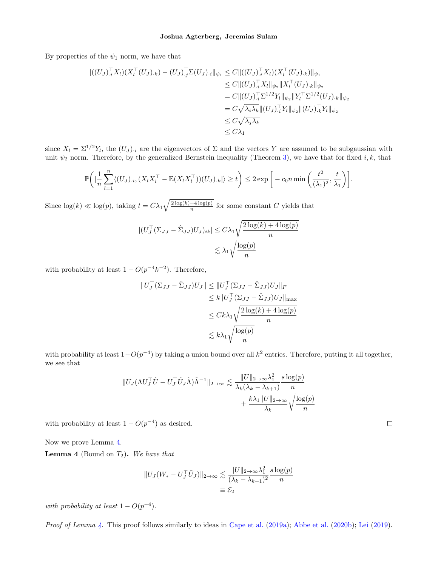By properties of the  $\psi_1$  norm, we have that

$$
\begin{aligned} \|((U_J)_{\cdot i}^\top X_l)(X_l^\top (U_J)_{\cdot k}) - (U_J)_{\cdot j}^\top \Sigma (U_J)_{\cdot i} \|_{\psi_1} &\leq C \|((U_J)_{\cdot i}^\top X_l)(X_l^\top (U_J)_{\cdot k})\|_{\psi_1} \\ &\leq C \|((U_J)_{\cdot i}^\top X_l\|_{\psi_2} \|X_l^\top (U_J)_{\cdot k}\|_{\psi_2} \\ &= C \|((U_J)_{\cdot i}^\top \Sigma^{1/2} Y_l\|_{\psi_2} \|Y_l^\top \Sigma^{1/2} (U_J)_{\cdot k} \|_{\psi_2} \\ &= C \sqrt{\lambda_i \lambda_k} \|((U_J)_{\cdot i}^\top Y_l\|_{\psi_2} \|U_J)_{\cdot k}^\top Y_l\|_{\psi_2} \\ &\leq C \sqrt{\lambda_j \lambda_k} \\ &\leq C \lambda_1 \end{aligned}
$$

since  $X_l = \Sigma^{1/2} Y_l$ , the  $(U_J)_{\cdot i}$  are the eigenvectors of  $\Sigma$  and the vectors Y are assumed to be subgaussian with unit  $\psi_2$  norm. Therefore, by the generalized Bernstein inequality (Theorem [3\)](#page-38-2), we have that for fixed i, k, that

$$
\mathbb{P}\bigg(\big|\frac{1}{n}\sum_{l=1}^n \langle (U_J)_{\cdot i}, (X_l X_l^\top - \mathbb{E}(X_l X_l^\top))(U_J)_{\cdot k}\big|\rangle \ge t\bigg) \le 2 \exp\bigg[-c_0 n \min\bigg(\frac{t^2}{(\lambda_1)^2}, \frac{t}{\lambda_1}\bigg)\bigg].
$$

Since  $\log(k) \ll \log(p)$ , taking  $t = C \lambda_1 \sqrt{\frac{2 \log(k) + 4 \log(p)}{n}}$  $\frac{f^2 + 4 \log(p)}{n}$  for some constant C yields that

$$
\begin{aligned} |(U_J^\top (\Sigma_{JJ} - \hat{\Sigma}_{JJ}) U_J)_{ik}| &\leq C \lambda_1 \sqrt{\frac{2 \log(k) + 4 \log(p)}{n}} \\ &\lesssim \lambda_1 \sqrt{\frac{\log(p)}{n}} \end{aligned}
$$

with probability at least  $1 - O(p^{-4}k^{-2})$ . Therefore,

$$
||U_J^{\top}(\Sigma_{JJ} - \hat{\Sigma}_{JJ})U_J|| \le ||U_J^{\top}(\Sigma_{JJ} - \hat{\Sigma}_{JJ})U_J||_F
$$
  
\n
$$
\le k||U_J^{\top}(\Sigma_{JJ} - \hat{\Sigma}_{JJ})U_J||_{\text{max}}
$$
  
\n
$$
\le Ck\lambda_1 \sqrt{\frac{2\log(k) + 4\log(p)}{n}}
$$
  
\n
$$
\le k\lambda_1 \sqrt{\frac{\log(p)}{n}}
$$

with probability at least  $1-O(p^{-4})$  by taking a union bound over all  $k^2$  entries. Therefore, putting it all together, we see that

$$
||U_J(\Lambda U_J^\top \tilde{U} - U_J^\top \tilde{U}_J \tilde{\Lambda})\tilde{\Lambda}^{-1}||_{2\to\infty} \lesssim \frac{||U||_{2\to\infty} \lambda_1^2}{\lambda_k(\lambda_k - \lambda_{k+1})} \frac{s \log(p)}{n} + \frac{k\lambda_1 ||U||_{2\to\infty}}{\lambda_k} \sqrt{\frac{\log(p)}{n}}
$$

with probability at least  $1 - O(p^{-4})$  as desired.

Now we prove Lemma [4.](#page-13-1)

**Lemma 4** (Bound on  $T_2$ ). We have that

$$
||U_J(W_* - U_J^\top \tilde{U}_J)||_{2 \to \infty} \lesssim \frac{||U||_{2 \to \infty} \lambda_1^2}{(\lambda_k - \lambda_{k+1})^2} \frac{s \log(p)}{n}
$$
  

$$
\equiv \mathcal{E}_2
$$

with probability at least  $1 - O(p^{-4})$ .

Proof of Lemma [4.](#page-13-1) This proof follows similarly to ideas in [Cape et al.](#page-8-6) [\(2019a\)](#page-8-6); [Abbe et al.](#page-7-9) [\(2020b\)](#page-7-9); [Lei](#page-9-9) [\(2019\)](#page-9-9).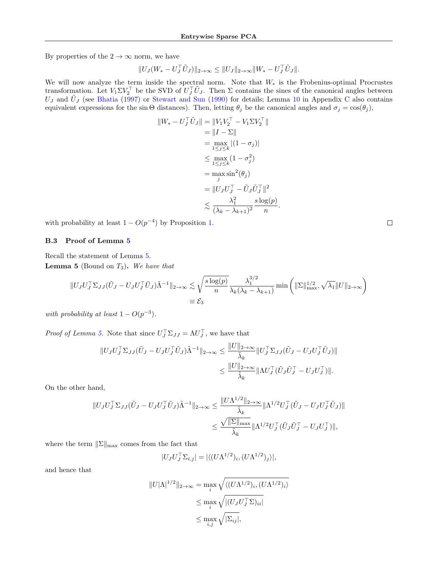By properties of the  $2 \rightarrow \infty$  norm, we have

$$
||U_J(W_* - U_J^{\top} \tilde{U}_J)||_{2 \to \infty} \le ||U_J||_{2 \to \infty} ||W_* - U_J^{\top} \tilde{U}_J||.
$$

We will now analyze the term inside the spectral norm. Note that  $W_*$  is the Frobenius-optimal Procrustes transformation. Let  $V_1 \Sigma V_2^{\top}$  be the SVD of  $U_J^{\top} \tilde{U}_J$ . Then  $\Sigma$  contains the sines of the canonical angles between  $U_J$  and  $\tilde{U}_J$  (see [Bhatia](#page-7-12) [\(1997\)](#page-7-12) or [Stewart and Sun](#page-9-14) [\(1990\)](#page-9-14) for details; Lemma [10](#page-38-1) in Appendix [C](#page-38-0) also contains equivalent expressions for the sin Θ distances). Then, letting  $\theta_j$  be the canonical angles and  $\sigma_j = \cos(\theta_j)$ ,

$$
||W_{*} - U_{J}^{\top}\tilde{U}_{J}|| = ||V_{1}V_{2}^{\top} - V_{1}\Sigma V_{2}^{\top}||
$$
  
\n
$$
= ||I - \Sigma||
$$
  
\n
$$
= \max_{1 \leq j \leq k} |(1 - \sigma_{j})|
$$
  
\n
$$
\leq \max_{1 \leq j \leq k} (1 - \sigma_{j}^{2})
$$
  
\n
$$
= \max_{j} \sin^{2}(\theta_{j})
$$
  
\n
$$
= ||U_{J}U_{J}^{\top} - \tilde{U}_{J}\tilde{U}_{J}^{\top}||^{2}
$$
  
\n
$$
\leq \frac{\lambda_{1}^{2}}{(\lambda_{k} - \lambda_{k+1})^{2}} \frac{s \log(p)}{n}.
$$

with probability at least  $1 - O(p^{-4})$  by Proposition [1.](#page-6-2)

#### B.3 Proof of Lemma [5](#page-14-0)

<span id="page-23-0"></span>Recall the statement of Lemma [5.](#page-14-0) **Lemma 5** (Bound on  $T_3$ ). We have that

$$
||U_J U_J^\top \Sigma_{JJ} (\tilde{U}_J - U_J U_J^\top \tilde{U}_J) \tilde{\Lambda}^{-1}||_{2 \to \infty} \lesssim \sqrt{\frac{s \log(p)}{n}} \frac{\lambda_1^{3/2}}{\lambda_k (\lambda_k - \lambda_{k+1})} \min\left( ||\Sigma||_{\max}^{1/2}, \sqrt{\lambda_1} ||U||_{2 \to \infty} \right)
$$
  

$$
\equiv \mathcal{E}_3
$$

with probability at least  $1 - O(p^{-3})$ .

*Proof of Lemma [5.](#page-14-0)* Note that since  $U_J^{\top} \Sigma_{JJ} = \Lambda U_J^{\top}$ , we have that

$$
\|U_J U_J^\top \Sigma_{JJ} (\tilde{U}_J - U_J U_J^\top \tilde{U}_J) \tilde{\Lambda}^{-1} \|_{2 \to \infty} \le \frac{\|U\|_{2 \to \infty}}{\tilde{\lambda}_k} \|U_J^\top \Sigma_{JJ} (\tilde{U}_J - U_J U_J^\top \tilde{U}_J) \| \le \frac{\|U\|_{2 \to \infty}}{\tilde{\lambda}_k} \| \Lambda U_J^\top (\tilde{U}_J \tilde{U}_J^\top - U_J U_J^\top) \|.
$$

On the other hand,

$$
||U_J U_J^\top \Sigma_{JJ} (\tilde{U}_J - U_J U_J^\top \tilde{U}_J) \tilde{\Lambda}^{-1}||_{2 \to \infty} \le \frac{||U \Lambda^{1/2}||_{2 \to \infty}}{\tilde{\lambda}_k} ||\Lambda^{1/2} U_J^\top (\tilde{U}_J - U_J U_J^\top \tilde{U}_J) ||
$$
  

$$
\le \frac{\sqrt{||\Sigma||_{\max}}}{\tilde{\lambda}_k} ||\Lambda^{1/2} U_J^\top (\tilde{U}_J \tilde{U}_J^\top - U_J U_J^\top) ||,
$$

where the term  $||\Sigma||_{\text{max}}$  comes from the fact that

$$
|U_J U_J^\top \Sigma_{i,j}| = |\langle (U \Lambda^{1/2})_i, (U \Lambda^{1/2})_j \rangle|,
$$

and hence that

$$
||U|\Lambda|^{1/2}||_{2\to\infty} = \max_{i} \sqrt{\langle (U\Lambda^{1/2})_i, (U\Lambda^{1/2})_i \rangle}
$$
  

$$
\leq \max_{i} \sqrt{|(U_J U_J^\top \Sigma)_{ii}|}
$$
  

$$
\leq \max_{i,j} \sqrt{|\Sigma_{ij}|},
$$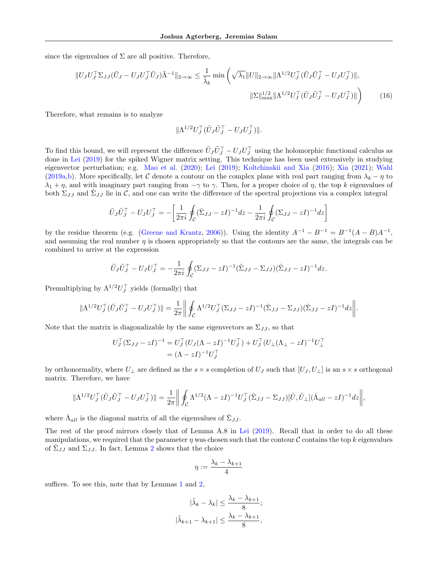since the eigenvalues of  $\Sigma$  are all positive. Therefore,

$$
||U_J U_J^\top \Sigma_{JJ} (\tilde{U}_J - U_J U_J^\top \tilde{U}_J) \tilde{\Lambda}^{-1}||_{2 \to \infty} \le \frac{1}{\tilde{\lambda}_k} \min \left( \sqrt{\lambda_1} ||U||_{2 \to \infty} ||\Lambda^{1/2} U_J^\top (\tilde{U}_J \tilde{U}_J^\top - U_J U_J^\top) ||,
$$
  

$$
||\Sigma||_{\text{max}}^{1/2} ||\Lambda^{1/2} U_J^\top (\tilde{U}_J \tilde{U}_J^\top - U_J U_J^\top) || \right)
$$
(16)

Therefore, what remains is to analyze

<span id="page-24-0"></span>
$$
\|\Lambda^{1/2}U_J^\top (\tilde{U}_J\tilde{U}_J^\top - U_JU_J^\top)\|.
$$

To find this bound, we will represent the difference  $\tilde{U}_J \tilde{U}_J^\top - U_J U_J^\top$  using the holomorphic functional calculus as done in [Lei](#page-9-9) [\(2019\)](#page-9-9) for the spiked Wigner matrix setting. This technique has been used extensively in studying eigenvector perturbation; e.g. [Mao et al.](#page-9-10) [\(2020\)](#page-9-10); [Lei](#page-9-9) [\(2019\)](#page-9-9); [Koltchinskii and Xia](#page-9-21) [\(2016\)](#page-9-21); [Xia](#page-9-22) [\(2021\)](#page-9-22); [Wahl](#page-9-23) [\(2019a,](#page-9-23)[b\)](#page-9-24). More specifically, let C denote a contour on the complex plane with real part ranging from  $\lambda_k - \eta$  to  $\lambda_1 + \eta$ , and with imaginary part ranging from  $-\gamma$  to  $\gamma$ . Then, for a proper choice of  $\eta$ , the top k eigenvalues of both  $\Sigma_{JJ}$  and  $\hat{\Sigma}_{JJ}$  lie in C, and one can write the difference of the spectral projections via a complex integral

$$
\tilde{U}_J \tilde{U}_J^\top - U_J U_J^\top = -\left[\frac{1}{2\pi i} \oint_C (\hat{\Sigma}_{JJ} - zI)^{-1} dz - \frac{1}{2\pi i} \oint_C (\Sigma_{JJ} - zI)^{-1} dz\right]
$$

by the residue theorem (e.g. [\(Greene and Krantz,](#page-8-22) [2006\)](#page-8-22)). Using the identity  $A^{-1} - B^{-1} = B^{-1}(A - B)A^{-1}$ , and assuming the real number  $\eta$  is chosen appropriately so that the contours are the same, the integrals can be combined to arrive at the expression

$$
\tilde{U}_J \tilde{U}_J^\top - U_J U_J^\top = -\frac{1}{2\pi i} \oint_C (\Sigma_{JJ} - zI)^{-1} (\hat{\Sigma}_{JJ} - \Sigma_{JJ}) (\hat{\Sigma}_{JJ} - zI)^{-1} dz.
$$

Premultiplying by  $\Lambda^{1/2}U_J^{\top}$  yields (formally) that

$$
\|\Lambda^{1/2}U_J^\top(\tilde{U}_J\tilde{U}_J^\top - U_JU_J^\top)\| = \frac{1}{2\pi} \left\| \oint_C \Lambda^{1/2}U_J^\top (\Sigma_{JJ} - zI)^{-1}(\hat{\Sigma}_{JJ} - \Sigma_{JJ})(\hat{\Sigma}_{JJ} - zI)^{-1}dz \right\|.
$$

Note that the matrix is diagonalizable by the same eigenvectors as  $\Sigma_{JJ}$ , so that

$$
U_J^{\top} (\Sigma_{JJ} - zI)^{-1} = U_J^{\top} (U_J (\Lambda - zI)^{-1} U_J^{\top}) + U_J^{\top} (U_\perp (\Lambda_\perp - zI)^{-1} U_\perp^{\top})
$$
  
=  $(\Lambda - zI)^{-1} U_J^{\top}$ 

by orthonormality, where  $U_{\perp}$  are defined as the  $s \times s$  completion of  $U_J$  such that  $[U_J, U_{\perp}]$  is an  $s \times s$  orthogonal matrix. Therefore, we have

$$
\|\Lambda^{1/2}U_J^\top(\tilde{U}_J\tilde{U}_J^\top - U_JU_J^\top)\| = \frac{1}{2\pi} \left\| \oint_C \Lambda^{1/2} (\Lambda - zI)^{-1} U_J^\top (\hat{\Sigma}_{JJ} - \Sigma_{JJ}) [\tilde{U}, \tilde{U}_\perp] (\hat{\Lambda}_{all} - zI)^{-1} dz \right\|,
$$

where  $\hat{\Lambda}_{all}$  is the diagonal matrix of all the eigenvalues of  $\hat{\Sigma}_{JJ}$ .

The rest of the proof mirrors closely that of Lemma A.8 in [Lei](#page-9-9) [\(2019\)](#page-9-9). Recall that in order to do all these manipulations, we required that the parameter  $\eta$  was chosen such that the contour C contains the top k eigenvalues of  $\hat{\Sigma}_{JJ}$  and  $\Sigma_{JJ}$ . In fact, Lemma [2](#page-6-1) shows that the choice

$$
\eta:=\frac{\lambda_k-\lambda_{k+1}}{4}
$$

suffices. To see this, note that by Lemmas [1](#page-6-0) and [2,](#page-6-1)

$$
|\tilde{\lambda}_k - \lambda_k| \le \frac{\lambda_k - \lambda_{k+1}}{8};
$$
  

$$
|\tilde{\lambda}_{k+1} - \lambda_{k+1}| \le \frac{\lambda_k - \lambda_{k+1}}{8},
$$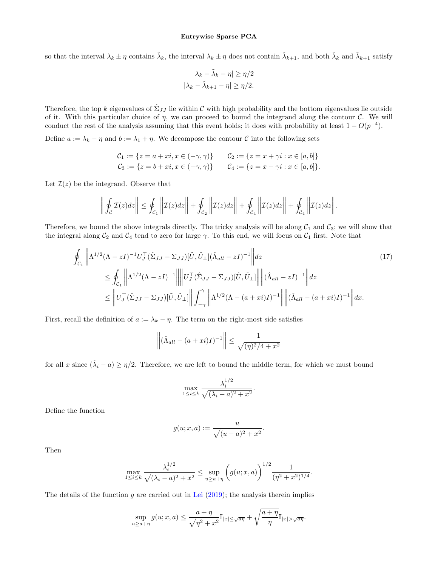so that the interval  $\lambda_k \pm \eta$  contains  $\tilde{\lambda}_k$ , the interval  $\lambda_k \pm \eta$  does not contain  $\tilde{\lambda}_{k+1}$ , and both  $\tilde{\lambda}_k$  and  $\tilde{\lambda}_{k+1}$  satisfy

$$
|\lambda_k - \tilde{\lambda}_k - \eta| \ge \eta/2
$$
  

$$
|\lambda_k - \tilde{\lambda}_{k+1} - \eta| \ge \eta/2.
$$

Therefore, the top k eigenvalues of  $\hat{\Sigma}_{JJ}$  lie within C with high probability and the bottom eigenvalues lie outside of it. With this particular choice of  $\eta$ , we can proceed to bound the integrand along the contour  $\mathcal{C}$ . We will conduct the rest of the analysis assuming that this event holds; it does with probability at least  $1 - O(p^{-4})$ .

Define  $a := \lambda_k - \eta$  and  $b := \lambda_1 + \eta$ . We decompose the contour C into the following sets

$$
C_1 := \{ z = a + xi, x \in (-\gamma, \gamma) \} \qquad C_2 := \{ z = x + \gamma i : x \in [a, b] \}
$$
  

$$
C_3 := \{ z = b + xi, x \in (-\gamma, \gamma) \} \qquad C_4 := \{ z = x - \gamma i : x \in [a, b] \}.
$$

Let  $\mathcal{I}(z)$  be the integrand. Observe that

$$
\left\| \oint_{\mathcal{C}} \mathcal{I}(z) dz \right\| \leq \oint_{\mathcal{C}_1} \left\| \mathcal{I}(z) dz \right\| + \oint_{\mathcal{C}_2} \left\| \mathcal{I}(z) dz \right\| + \oint_{\mathcal{C}_4} \left\| \mathcal{I}(z) dz \right\| + \oint_{\mathcal{C}_4} \left\| \mathcal{I}(z) dz \right\|.
$$

Therefore, we bound the above integrals directly. The tricky analysis will be along  $C_1$  and  $C_3$ ; we will show that the integral along  $C_2$  and  $C_4$  tend to zero for large  $\gamma$ . To this end, we will focus on  $C_1$  first. Note that

$$
\oint_{\mathcal{C}_{1}} \left\| \Lambda^{1/2} (\Lambda - zI)^{-1} U_{J}^{\top} (\hat{\Sigma}_{JJ} - \Sigma_{JJ}) [\tilde{U}, \tilde{U}_{\perp}] (\hat{\Lambda}_{all} - zI)^{-1} \right\| dz \tag{17}
$$
\n
$$
\leq \oint_{\mathcal{C}_{1}} \left\| \Lambda^{1/2} (\Lambda - zI)^{-1} \right\| \left\| U_{J}^{\top} (\hat{\Sigma}_{JJ} - \Sigma_{JJ}) [\tilde{U}, \tilde{U}_{\perp}] \right\| \left\| (\hat{\Lambda}_{all} - zI)^{-1} \right\| dz
$$
\n
$$
\leq \left\| U_{J}^{\top} (\hat{\Sigma}_{JJ} - \Sigma_{JJ}) [\tilde{U}, \tilde{U}_{\perp}] \right\| \int_{-\gamma}^{\gamma} \left\| \Lambda^{1/2} (\Lambda - (a + xi)I)^{-1} \right\| \left\| (\hat{\Lambda}_{all} - (a + xi)I)^{-1} \right\| dx.
$$

First, recall the definition of  $a := \lambda_k - \eta$ . The term on the right-most side satisfies

$$
\left\| (\hat{\Lambda}_{all} - (a + xi)I)^{-1} \right\| \le \frac{1}{\sqrt{(\eta)^2/4 + x^2}}
$$

for all x since  $(\hat{\lambda}_i - a) \ge \eta/2$ . Therefore, we are left to bound the middle term, for which we must bound

$$
\max_{1 \le i \le k} \frac{\lambda_i^{1/2}}{\sqrt{(\lambda_i - a)^2 + x^2}}.
$$

Define the function

$$
g(u; x, a) := \frac{u}{\sqrt{(u - a)^2 + x^2}}.
$$

Then

$$
\max_{1 \le i \le k} \frac{\lambda_i^{1/2}}{\sqrt{(\lambda_i - a)^2 + x^2}} \le \sup_{u \ge a + \eta} \left( g(u; x, a) \right)^{1/2} \frac{1}{(\eta^2 + x^2)^{1/4}}
$$

<span id="page-25-0"></span>.

The details of the function  $g$  are carried out in [Lei](#page-9-9) [\(2019\)](#page-9-9); the analysis therein implies

$$
\sup_{u\geq a+\eta} g(u; x, a) \leq \frac{a+\eta}{\sqrt{\eta^2+x^2}} \mathbb{I}_{|x|\leq \sqrt{a\eta}} + \sqrt{\frac{a+\eta}{\eta}} \mathbb{I}_{|x|>\sqrt{a\eta}}.
$$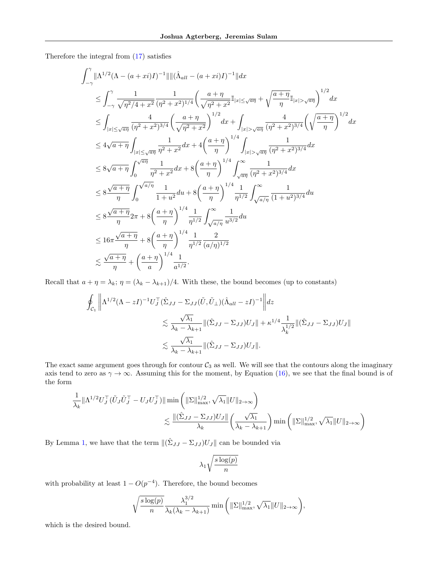Therefore the integral from [\(17\)](#page-25-0) satisfies

$$
\int_{-\gamma}^{\gamma} \|\Lambda^{1/2}(\Lambda - (a + xi)I)^{-1}\| \|(\hat{\Lambda}_{all} - (a + xi)I)^{-1}\| dx
$$
\n
$$
\leq \int_{-\gamma}^{\gamma} \frac{1}{\sqrt{\eta^{2}/4 + x^{2}}} \frac{1}{(\eta^{2} + x^{2})^{1/4}} \left(\frac{a + \eta}{\sqrt{\eta^{2} + x^{2}}} \mathbb{I}_{|x| \leq \sqrt{a\eta}} + \sqrt{\frac{a + \eta}{\eta}} \mathbb{I}_{|x| > \sqrt{a\eta}}\right)^{1/2} dx
$$
\n
$$
\leq \int_{|x| \leq \sqrt{a\eta}} \frac{4}{(\eta^{2} + x^{2})^{3/4}} \left(\frac{a + \eta}{\sqrt{\eta^{2} + x^{2}}}\right)^{1/2} dx + \int_{|x| > \sqrt{a\eta}} \frac{4}{(\eta^{2} + x^{2})^{3/4}} \left(\sqrt{\frac{a + \eta}{\eta}}\right)^{1/2} dx
$$
\n
$$
\leq 4\sqrt{a + \eta} \int_{|x| \leq \sqrt{a\eta}} \frac{1}{\eta^{2} + x^{2}} dx + 4\left(\frac{a + \eta}{\eta}\right)^{1/4} \int_{|x| > \sqrt{a\eta}} \frac{1}{(\eta^{2} + x^{2})^{3/4}} dx
$$
\n
$$
\leq 8\sqrt{a + \eta} \int_{0}^{\sqrt{a\eta}} \frac{1}{\eta^{2} + x^{2}} dx + 8\left(\frac{a + \eta}{\eta}\right)^{1/4} \int_{\sqrt{a\eta}}^{\infty} \frac{1}{(\eta^{2} + x^{2})^{3/4}} dx
$$
\n
$$
\leq 8\frac{\sqrt{a + \eta}}{\eta} \int_{0}^{\sqrt{a/\eta}} \frac{1}{1 + u^{2}} du + 8\left(\frac{a + \eta}{\eta}\right)^{1/4} \frac{1}{\eta^{1/2}} \int_{\sqrt{a/\eta}}^{\infty} \frac{1}{(1 + u^{2})^{3/4}} du
$$
\n
$$
\leq 8\frac{\sqrt{a + \eta}}{\eta} 2\pi + 8\left(\frac{a + \eta}{\eta}\right)^{1/4} \frac{1}{\eta^{1/2}} \int_{\sqrt{a/\eta}}^{\infty} \frac{1}{
$$

Recall that  $a + \eta = \lambda_k$ ;  $\eta = (\lambda_k - \lambda_{k+1})/4$ . With these, the bound becomes (up to constants)

$$
\oint_{\mathcal{C}_1} \left\| \Lambda^{1/2} (\Lambda - zI)^{-1} U_J^\top (\hat{\Sigma}_{JJ} - \Sigma_{JJ} (\tilde{U}, \tilde{U}_\perp) (\hat{\Lambda}_{all} - zI)^{-1} \right\| dz
$$
\n
$$
\lesssim \frac{\sqrt{\lambda_1}}{\lambda_k - \lambda_{k+1}} \| (\hat{\Sigma}_{JJ} - \Sigma_{JJ}) U_J \| + \kappa^{1/4} \frac{1}{\lambda_k^{1/2}} \| (\hat{\Sigma}_{JJ} - \Sigma_{JJ}) U_J \|
$$
\n
$$
\lesssim \frac{\sqrt{\lambda_1}}{\lambda_k - \lambda_{k+1}} \| (\hat{\Sigma}_{JJ} - \Sigma_{JJ}) U_J \|.
$$

The exact same argument goes through for contour  $C_3$  as well. We will see that the contours along the imaginary axis tend to zero as  $\gamma \to \infty$ . Assuming this for the moment, by Equation [\(16\)](#page-24-0), we see that the final bound is of the form

$$
\frac{1}{\lambda_k} \|\Lambda^{1/2} U_J^\top (\tilde{U}_J \tilde{U}_J^\top - U_J U_J^\top) \| \min \left( \|\Sigma\|_{\max}^{1/2}, \sqrt{\lambda_1} \|U\|_{2\to\infty} \right)
$$
  

$$
\lesssim \frac{\| (\hat{\Sigma}_{JJ} - \Sigma_{JJ}) U_J \|}{\lambda_k} \left( \frac{\sqrt{\lambda_1}}{\lambda_k - \lambda_{k+1}} \right) \min \left( \|\Sigma\|_{\max}^{1/2}, \sqrt{\lambda_1} \|U\|_{2\to\infty} \right)
$$

By Lemma [1,](#page-6-0) we have that the term  $\|(\hat{\Sigma}_{JJ} - \Sigma_{JJ})U_J\|$  can be bounded via

$$
\lambda_1\sqrt{\frac{s\log(p)}{n}}
$$

with probability at least  $1 - O(p^{-4})$ . Therefore, the bound becomes

$$
\sqrt{\frac{s\log(p)}{n}}\frac{\lambda_1^{3/2}}{\lambda_k(\lambda_k-\lambda_{k+1})}\min\left(\|\Sigma\|_{\max}^{1/2},\sqrt{\lambda_1}\|U\|_{2\to\infty}\right),\,
$$

which is the desired bound.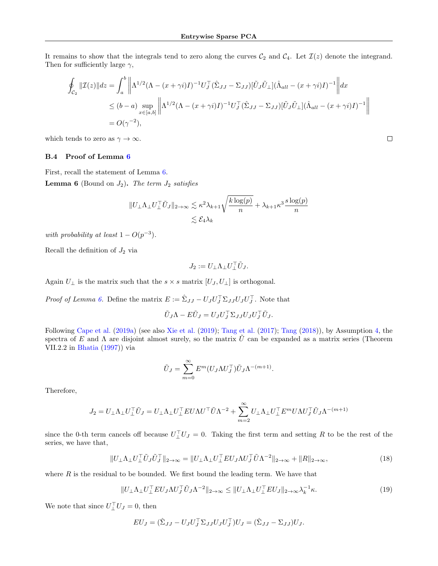It remains to show that the integrals tend to zero along the curves  $C_2$  and  $C_4$ . Let  $\mathcal{I}(z)$  denote the integrand. Then for sufficiently large  $\gamma$ ,

$$
\oint_{\mathcal{C}_2} \|\mathcal{I}(z)\|dz = \int_a^b \left\| \Lambda^{1/2} (\Lambda - (x + \gamma i)I)^{-1} U_J^\top (\hat{\Sigma}_{JJ} - \Sigma_{JJ}) [\tilde{U}_J \tilde{U}_\perp] (\hat{\Lambda}_{all} - (x + \gamma i)I)^{-1} \right\| dx
$$
\n
$$
\leq (b - a) \sup_{x \in [a, b]} \left\| \Lambda^{1/2} (\Lambda - (x + \gamma i)I)^{-1} U_J^\top (\hat{\Sigma}_{JJ} - \Sigma_{JJ}) [\tilde{U}_J \tilde{U}_\perp] (\hat{\Lambda}_{all} - (x + \gamma i)I)^{-1} \right\|
$$
\n
$$
= O(\gamma^{-2}),
$$

which tends to zero as  $\gamma\to\infty.$ 

#### <span id="page-27-0"></span>B.4 Proof of Lemma [6](#page-14-1)

First, recall the statement of Lemma [6.](#page-14-1)

**Lemma 6** (Bound on  $J_2$ ). The term  $J_2$  satisfies

$$
||U_{\perp}\Lambda_{\perp}U_{\perp}^{\top}\tilde{U}_{J}||_{2\to\infty} \lesssim \kappa^{2}\lambda_{k+1}\sqrt{\frac{k\log(p)}{n}} + \lambda_{k+1}\kappa^{3}\frac{s\log(p)}{n}
$$

$$
\lesssim \mathcal{E}_{4}\lambda_{k}
$$

with probability at least  $1 - O(p^{-3})$ .

Recall the definition of  $J_2$  via

$$
J_2 := U_\perp \Lambda_\perp U_\perp^\top \tilde{U}_J.
$$

Again  $U_{\perp}$  is the matrix such that the  $s \times s$  matrix  $[U_J, U_{\perp}]$  is orthogonal.

*Proof of Lemma [6.](#page-14-1)* Define the matrix  $E := \hat{\Sigma}_{JJ} - U_J U_J^\top \Sigma_{JJ} U_J U_J^\top$ . Note that

$$
\tilde{U}_J \Lambda - E \tilde{U}_J = U_J U_J^\top \Sigma_{JJ} U_J U_J^\top \tilde{U}_J.
$$

Following [Cape et al.](#page-8-6) [\(2019a\)](#page-8-6) (see also [Xie et al.](#page-9-7) [\(2019\)](#page-9-7); [Tang et al.](#page-9-20) [\(2017\)](#page-9-20); [Tang](#page-9-19) [\(2018\)](#page-9-19)), by Assumption [4,](#page-3-0) the spectra of E and  $\Lambda$  are disjoint almost surely, so the matrix  $\tilde{U}$  can be expanded as a matrix series (Theorem VII.2.2 in [Bhatia](#page-7-12) [\(1997\)](#page-7-12)) via

$$
\tilde{U}_J = \sum_{m=0}^{\infty} E^m (U_J \Lambda U_J^{\top}) \tilde{U}_J \Lambda^{-(m+1)}
$$

Therefore,

$$
J_2 = U_\perp \Lambda_\perp U_\perp^\top \tilde U_J = U_\perp \Lambda_\perp U_\perp^\top E U \Lambda U^\top \tilde U \Lambda^{-2} + \sum_{m=2}^\infty U_\perp \Lambda_\perp U_\perp^\top E^m U \Lambda U_J^\top \tilde U_J \Lambda^{-(m+1)}
$$

since the 0-th term cancels off because  $U_1^{\top}U_J = 0$ . Taking the first term and setting R to be the rest of the series, we have that,

$$
||U_{\perp}\Lambda_{\perp}U_{\perp}^{\top}\tilde{U}_{J}\tilde{U}_{J}^{\top}||_{2\to\infty} = ||U_{\perp}\Lambda_{\perp}U_{\perp}^{\top}EU_{J}\Lambda U_{J}^{\top}\tilde{U}\Lambda^{-2}||_{2\to\infty} + ||R||_{2\to\infty},
$$
\n(18)

<span id="page-27-2"></span><span id="page-27-1"></span>.

 $\Box$ 

where  $R$  is the residual to be bounded. We first bound the leading term. We have that

$$
||U_{\perp}\Lambda_{\perp}U_{\perp}^{\top}EU_J\Lambda U_J^{\top}\tilde{U}_J\Lambda^{-2}||_{2\to\infty} \le ||U_{\perp}\Lambda_{\perp}U_{\perp}^{\top}EU_J||_{2\to\infty}\lambda_k^{-1}\kappa.
$$
\n(19)

We note that since  $U_L^{\top} U_J = 0$ , then

$$
EU_J = (\hat{\Sigma}_{JJ} - U_J U_J^\top \Sigma_{JJ} U_J U_J^\top) U_J = (\hat{\Sigma}_{JJ} - \Sigma_{JJ}) U_J.
$$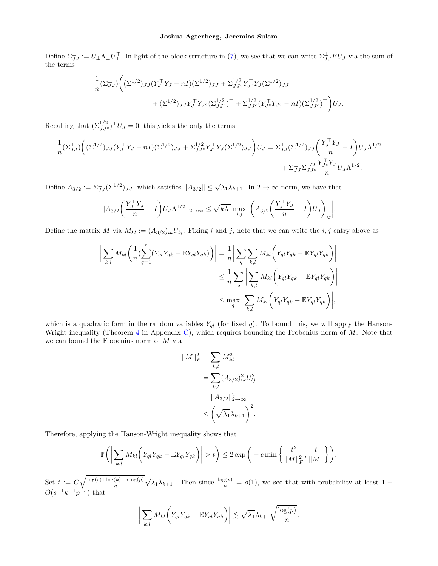Define  $\Sigma_{JJ}^{\perp}:=U_{\perp}\Lambda_{\perp}U_{\perp}^{\top}$ . In light of the block structure in [\(7\)](#page-15-0), we see that we can write  $\Sigma_{JJ}^{\perp}EU_J$  via the sum of the terms

$$
\frac{1}{n} \left( \Sigma_{JJ}^{\perp} \right) \left( \left( \Sigma^{1/2} \right)_{JJ} \left( Y_J^{\top} Y_J - nI \right) \left( \Sigma^{1/2} \right)_{JJ} + \Sigma_{JJ^c}^{1/2} Y_{J^c}^{\top} Y_J \left( \Sigma^{1/2} \right)_{JJ} + \left( \Sigma^{1/2} \right)_{JJ} Y_J^{\top} Y_{J^c} \left( \Sigma_{JJ^c}^{1/2} \right)^{\top} + \Sigma_{JJ^c}^{1/2} (Y_{J^c}^{\top} Y_{J^c} - nI) \left( \Sigma_{JJ^c}^{1/2} \right)^{\top} \right) U_J.
$$

Recalling that  $(\Sigma_{JJ^c}^{1/2})^{\top}U_J = 0$ , this yields the only the terms

$$
\frac{1}{n} (\Sigma_{JJ}^{\perp}) \bigg( (\Sigma^{1/2})_{JJ} (Y_J^{\top} Y_J - nI) (\Sigma^{1/2})_{JJ} + \Sigma_{JJ^c}^{1/2} Y_{J^c}^{\top} Y_J (\Sigma^{1/2})_{JJ} \bigg) U_J = \Sigma_{JJ}^{\perp} (\Sigma^{1/2})_{JJ} \bigg( \frac{Y_J^{\top} Y_J}{n} - I \bigg) U_J \Lambda^{1/2} + \Sigma_{JJ^c}^{\perp} \frac{Y_{J^c}^{\top} Y_J}{n} U_J \Lambda^{1/2}.
$$

Define  $A_{3/2} := \sum_{J}^{\perp} (\Sigma^{1/2})_{JJ}$ , which satisfies  $||A_{3/2}|| \le \sqrt{\lambda_1} \lambda_{k+1}$ . In  $2 \to \infty$  norm, we have that

$$
||A_{3/2}\left(\frac{Y_J^\top Y_J}{n} - I\right)U_J\Lambda^{1/2}||_{2\to\infty} \le \sqrt{k\lambda_1} \max_{i,j} \left| \left(A_{3/2}\left(\frac{Y_J^\top Y_J}{n} - I\right)U_J\right)_{ij} \right|.
$$

Define the matrix M via  $M_{kl} := (A_{3/2})_{ik}U_{lj}$ . Fixing i and j, note that we can write the i, j entry above as

$$
\left| \sum_{k,l} M_{kl} \left( \frac{1}{n} (\sum_{q=1}^n (Y_{ql} Y_{qk} - \mathbb{E}Y_{ql} Y_{qk})) \right) \right| = \frac{1}{n} \left| \sum_q \sum_{k,l} M_{kl} \left( Y_{ql} Y_{qk} - \mathbb{E}Y_{ql} Y_{qk} \right) \right|
$$
  

$$
\leq \frac{1}{n} \sum_q \left| \sum_{k,l} M_{kl} \left( Y_{ql} Y_{qk} - \mathbb{E}Y_{ql} Y_{qk} \right) \right|
$$
  

$$
\leq \max_q \left| \sum_{k,l} M_{kl} \left( Y_{ql} Y_{qk} - \mathbb{E}Y_{ql} Y_{qk} \right) \right|,
$$

which is a quadratic form in the random variables  $Y_{ql}$  (for fixed q). To bound this, we will apply the Hanson-Wright inequality (Theorem [4](#page-38-3) in Appendix [C\)](#page-38-0), which requires bounding the Frobenius norm of  $M$ . Note that we can bound the Frobenius norm of M via

$$
||M||_F^2 = \sum_{k,l} M_{kl}^2
$$
  
= 
$$
\sum_{k,l} (A_{3/2})_{ik}^2 U_{lj}^2
$$
  
= 
$$
||A_{3/2}||_{2\to\infty}^2
$$
  

$$
\leq \left(\sqrt{\lambda_1}\lambda_{k+1}\right)^2.
$$

Therefore, applying the Hanson-Wright inequality shows that

$$
\mathbb{P}\bigg(\bigg|\sum_{k,l}M_{kl}\bigg(Y_{ql}Y_{qk}-\mathbb{E}Y_{ql}Y_{qk}\bigg)\bigg|>t\bigg)\leq 2\exp\bigg(-c\min\bigg\{\frac{t^2}{\|M\|_F^2},\frac{t}{\|M\|}\bigg\}\bigg).
$$

Set  $t := C \sqrt{\frac{\log(s) + \log(k) + 5 \log(p)}{n}}$ n  $\sqrt{\lambda_1} \lambda_{k+1}$ . Then since  $\frac{\log(p)}{n} = o(1)$ , we see that with probability at least 1 –  $O(s^{-1}k^{-1}p^{-5})$  that

$$
\bigg|\sum_{k,l}M_{kl}\bigg(Y_{ql}Y_{qk}-\mathbb{E}Y_{ql}Y_{qk}\bigg)\bigg|\lesssim \sqrt{\lambda_1}\lambda_{k+1}\sqrt{\frac{\log(p)}{n}}.
$$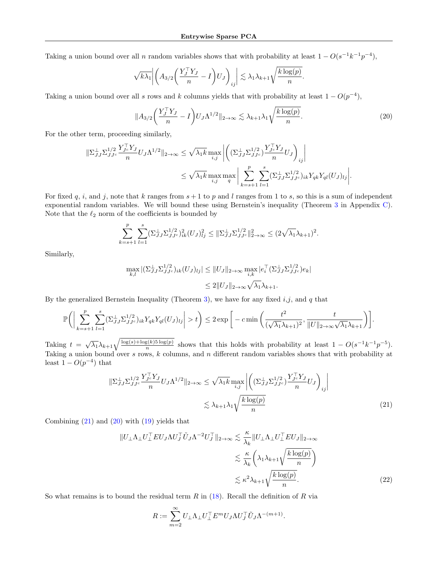Taking a union bound over all n random variables shows that with probability at least  $1 - O(s^{-1}k^{-1}p^{-4})$ ,

$$
\sqrt{k\lambda_1} \left| \left( A_{3/2} \left( \frac{Y_J^\top Y_J}{n} - I \right) U_J \right)_{ij} \right| \lesssim \lambda_1 \lambda_{k+1} \sqrt{\frac{k \log(p)}{n}}.
$$

Taking a union bound over all s rows and k columns yields that with probability at least  $1 - O(p^{-4})$ ,

<span id="page-29-1"></span>
$$
||A_{3/2}\left(\frac{Y_J^\top Y_J}{n} - I\right) U_J \Lambda^{1/2}||_{2 \to \infty} \lesssim \lambda_{k+1} \lambda_1 \sqrt{\frac{k \log(p)}{n}}.\tag{20}
$$

For the other term, proceeding similarly,

$$
\|\Sigma_{JJ}^{1/2} \Sigma_{JJ^c}^{T_{J^c}} \frac{Y_{J^c}^{\top} Y_J}{n} U_J \Lambda^{1/2} \|_{2 \to \infty} \leq \sqrt{\lambda_1 k} \max_{i,j} \left| \left( (\Sigma_{JJ}^{1/2} \Sigma_{JJ^c}^{1/2}) \frac{Y_{J^c}^{\top} Y_J}{n} U_J \right)_{ij} \right|
$$
  

$$
\leq \sqrt{\lambda_1 k} \max_{i,j} \max_{q} \left| \sum_{k=s+1}^p \sum_{l=1}^s (\Sigma_{JJ}^{1/2} \Sigma_{JJ^c}^{1/2})_{ik} Y_{qk} Y_{ql} (U_J)_{lj} \right|.
$$

For fixed q, i, and j, note that k ranges from  $s + 1$  to p and l ranges from 1 to s, so this is a sum of independent exponential random variables. We will bound these using Bernstein's inequality (Theorem [3](#page-38-2) in Appendix [C\)](#page-38-0). Note that the  $\ell_2$  norm of the coefficients is bounded by

$$
\sum_{k=s+1}^p \sum_{l=1}^s (\Sigma_{JJ}^{\perp} \Sigma_{JJ^c}^{1/2})_{ik}^2 (U_J)_{lj}^2 \leq \|\Sigma_{JJ}^{\perp} \Sigma_{JJ^c}^{1/2}\|_{2\to\infty}^2 \leq (2\sqrt{\lambda_1}\lambda_{k+1})^2.
$$

Similarly,

$$
\max_{k,l} |(\Sigma_{JJ}^{\perp} \Sigma_{JJ^c}^{1/2})_{ik} (U_J)_{lj}| \leq ||U_J||_{2 \to \infty} \max_{i,k} |e_i^{\top} (\Sigma_{JJ}^{\perp} \Sigma_{JJ^c}^{1/2}) e_k|
$$
  

$$
\leq 2||U_J||_{2 \to \infty} \sqrt{\lambda_1} \lambda_{k+1}.
$$

By the generalized Bernstein Inequality (Theorem [3\)](#page-38-2), we have for any fixed  $i,j$ , and q that

$$
\mathbb{P}\bigg(\bigg|\sum_{k=s+1}^p\sum_{l=1}^s(\Sigma_{JJ}^{\perp}\Sigma_{JJ^c}^{1/2})_{ik}Y_{qk}Y_{ql}(U_J)_{lj}\bigg|>t\bigg)\leq 2\exp\bigg[-c\min\bigg(\frac{t^2}{(\sqrt{\lambda_1}\lambda_{k+1})^2},\frac{t}{\|U\|_{2\to\infty}\sqrt{\lambda_1}\lambda_{k+1}}\bigg)\bigg].
$$

Taking  $t = \sqrt{\lambda_1} \lambda_{k+1} \sqrt{\frac{\log(s) + \log(k)5 \log(p)}{n}}$  $\frac{s(k)5\log(p)}{n}$  shows that this holds with probability at least  $1 - O(s^{-1}k^{-1}p^{-5})$ . Taking a union bound over s rows,  $k$  columns, and n different random variables shows that with probability at least  $1 - O(p^{-4})$  that

$$
\|\Sigma_{JJ}^{\perp}\Sigma_{JJ^c}^{1/2} \frac{Y_{J^c}^{\top} Y_J}{n} U_J \Lambda^{1/2} \|_{2\to\infty} \le \sqrt{\lambda_1 k} \max_{i,j} \left| \left( (\Sigma_{JJ}^{\perp} \Sigma_{JJ^c}^{1/2}) \frac{Y_{J^c}^{\top} Y_J}{n} U_J \right)_{ij} \right|
$$
  

$$
\lesssim \lambda_{k+1} \lambda_1 \sqrt{\frac{k \log(p)}{n}}
$$
 (21)

Combining  $(21)$  and  $(20)$  with  $(19)$  yields that

$$
||U_{\perp}\Lambda_{\perp}U_{\perp}^{\top}EU_J\Lambda U_J^{\top}\tilde{U}_J\Lambda^{-2}U_J^{\top}||_{2\to\infty} \lesssim \frac{\kappa}{\lambda_k}||U_{\perp}\Lambda_{\perp}U_{\perp}^{\top}EU_J||_{2\to\infty}
$$

$$
\lesssim \frac{\kappa}{\lambda_k} \left(\lambda_1\lambda_{k+1}\sqrt{\frac{k\log(p)}{n}}\right)
$$

$$
\lesssim \kappa^2 \lambda_{k+1} \sqrt{\frac{k\log(p)}{n}}.
$$
 (22)

<span id="page-29-2"></span><span id="page-29-0"></span>.

So what remains is to bound the residual term  $R$  in [\(18\)](#page-27-2). Recall the definition of  $R$  via

$$
R:=\sum_{m=2}^\infty U_\perp \Lambda_\perp U_\perp^\top E^m U_J \Lambda U_J^\top \tilde U_J \Lambda^{-(m+1)}
$$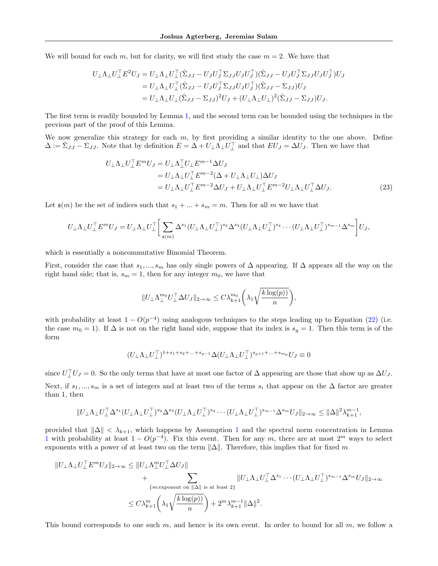We will bound for each m, but for clarity, we will first study the case  $m = 2$ . We have that

$$
U_{\perp}\Lambda_{\perp}U_{\perp}^{\top}E^{2}U_{J} = U_{\perp}\Lambda_{\perp}U_{\perp}^{\top}(\hat{\Sigma}_{JJ}-U_{J}U_{J}^{\top}\Sigma_{JJ}U_{J}U_{J}^{\top})(\hat{\Sigma}_{JJ}-U_{J}U_{J}^{\top}\Sigma_{JJ}U_{J}U_{J}^{\top})U_{J}
$$
  
\n
$$
= U_{\perp}\Lambda_{\perp}U_{\perp}^{\top}(\hat{\Sigma}_{JJ}-U_{J}U_{J}^{\top}\Sigma_{JJ}U_{J}U_{J}^{\top})(\hat{\Sigma}_{JJ}-\Sigma_{JJ})U_{J}
$$
  
\n
$$
= U_{\perp}\Lambda_{\perp}U_{\perp}(\hat{\Sigma}_{JJ}-\Sigma_{JJ})^{2}U_{J} + (U_{\perp}\Lambda_{\perp}U_{\perp})^{2}(\hat{\Sigma}_{JJ}-\Sigma_{JJ})U_{J}.
$$

The first term is readily bounded by Lemma [1,](#page-6-0) and the second term can be bounded using the techniques in the previous part of the proof of this Lemma.

We now generalize this strategy for each  $m$ , by first providing a similar identity to the one above. Define  $\Delta := \hat{\Sigma}_{JJ} - \Sigma_{JJ}$ . Note that by definition  $E = \Delta + U_{\perp} \Lambda_{\perp} U_{\perp}^{\top}$  and that  $EU_J = \Delta U_J$ . Then we have that

$$
U_{\perp}\Lambda_{\perp}U_{\perp}^{\top}E^{m}U_{J} = U_{\perp}\Lambda_{\perp}^{\top}U_{\perp}E^{m-1}\Delta U_{J}
$$
  
\n
$$
= U_{\perp}\Lambda_{\perp}U_{\perp}^{\top}E^{m-2}(\Delta + U_{\perp}\Lambda_{\perp}U_{\perp})\Delta U_{J}
$$
  
\n
$$
= U_{\perp}\Lambda_{\perp}U_{\perp}^{\top}E^{m-2}\Delta U_{J} + U_{\perp}\Lambda_{\perp}U_{\perp}^{\top}E^{m-2}U_{\perp}\Lambda_{\perp}U_{\perp}^{\top}\Delta U_{J}. \qquad (23)
$$

Let  $\mathfrak{s}(m)$  be the set of indices such that  $s_1 + ... + s_m = m$ . Then for all m we have that

$$
U_{\perp} \Lambda_{\perp} U_{\perp}^{\top} E^{m} U_{J} = U_{\perp} \Lambda_{\perp} U_{\perp}^{\top} \bigg[ \sum_{\mathfrak{s}(m)} \Delta^{s_1} (U_{\perp} \Lambda_{\perp} U_{\perp}^{\top})^{s_2} \Delta^{s_3} (U_{\perp} \Lambda_{\perp} U_{\perp}^{\top})^{s_4} \cdots (U_{\perp} \Lambda_{\perp} U_{\perp}^{\top})^{s_{m-1}} \Delta^{s_m} \bigg] U_{J},
$$

which is essentially a noncommutative Binomial Theorem.

First, consider the case that  $s_1, ..., s_m$  has only single powers of  $\Delta$  appearing. If  $\Delta$  appears all the way on the right hand side; that is,  $s_m = 1$ , then for any integer  $m_0$ , we have that

$$
||U_{\perp} \Lambda_{\perp}^{m_0} U_{\perp}^{\top} \Delta U_J ||_{2 \to \infty} \leq C \lambda_{k+1}^{m_0} \left( \lambda_1 \sqrt{\frac{k \log(p)}{n}} \right),
$$

with probability at least  $1 - O(p^{-4})$  using analogous techniques to the steps leading up to Equation [\(22\)](#page-29-2) (i.e. the case  $m_0 = 1$ ). If  $\Delta$  is not on the right hand side, suppose that its index is  $s_g = 1$ . Then this term is of the form

$$
(U_\perp \Lambda_\perp U_\perp^\top)^{1+s_1+s_2+\ldots+s_{g-1}}\Delta (U_\perp \Lambda_\perp U_\perp^\top)^{s_{g+1}+\ldots+s_{m_0}}U_J\equiv 0
$$

since  $U_{\perp}^{\top}U_J=0$ . So the only terms that have at most one factor of  $\Delta$  appearing are those that show up as  $\Delta U_J$ . Next, if  $s_1, ..., s_m$  is a set of integers and at least two of the terms  $s_i$  that appear on the  $\Delta$  factor are greater than 1, then

$$
\|U_\perp \Lambda_\perp U_\perp^\top \Delta^{s_1} (U_\perp \Lambda_\perp U_\perp^\top)^{s_2} \Delta^{s_3} (U_\perp \Lambda_\perp U_\perp^\top)^{s_4} \cdots (U_\perp \Lambda_\perp U_\perp^\top)^{s_{m-1}} \Delta^{s_m} U_J \|_{2 \to \infty} \le \|\Delta\|^2 \lambda_{k+1}^{m-1},
$$

provided that  $\|\Delta\| < \lambda_{k+1}$  $\|\Delta\| < \lambda_{k+1}$  $\|\Delta\| < \lambda_{k+1}$ , which happens by Assumption 1 and the spectral norm concentration in Lemma [1](#page-6-0) with probability at least  $1 - O(p^{-4})$ . Fix this event. Then for any m, there are at most  $2^m$  ways to select exponents with a power of at least two on the term  $\|\Delta\|$ . Therefore, this implies that for fixed m

$$
||U_{\perp}\Lambda_{\perp}U_{\perp}^{\top}E^{m}U_{J}||_{2\to\infty} \leq ||U_{\perp}\Lambda_{\perp}^{m}U_{\perp}^{\top}\Delta U_{J}||
$$
  
+
$$
\sum_{\{m:\text{exponent on }||\Delta|| \text{ is at least }2\}} ||U_{\perp}\Lambda_{\perp}U_{\perp}^{\top}\Delta^{s_{1}}\cdots (U_{\perp}\Lambda_{\perp}U_{\perp}^{\top})^{s_{m-1}}\Delta^{s_{m}}U_{J}||_{2\to\infty}
$$
  

$$
\leq C\lambda_{k+1}^{m}\left(\lambda_{1}\sqrt{\frac{k\log(p))}{n}}\right) + 2^{m}\lambda_{k+1}^{m-1}||\Delta||^{2}.
$$

This bound corresponds to one such m, and hence is its own event. In order to bound for all m, we follow a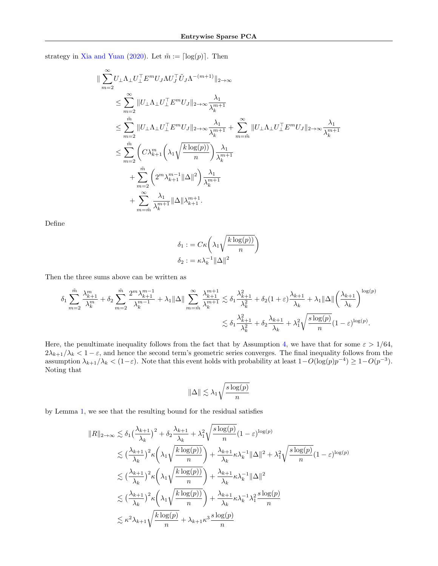strategy in [Xia and Yuan](#page-9-11) [\(2020\)](#page-9-11). Let  $\tilde{m} := \lceil \log(p) \rceil$ . Then

$$
\label{eq:3.1} \begin{split} \|\sum_{m=2}^{\infty} & U_{\perp} \Lambda_{\perp} U_{\perp}^{\top} E^{m} U_{J} \Lambda U_{J}^{\top} \tilde{U}_{J} \Lambda^{-(m+1)} \|_{2 \rightarrow \infty} \\ & \leq \sum_{m=2}^{\infty} \| U_{\perp} \Lambda_{\perp} U_{\perp}^{\top} E^{m} U_{J} \|_{2 \rightarrow \infty} \frac{\lambda_{1}}{\lambda_{k}^{m+1}} \\ & \leq \sum_{m=2}^{\tilde{m}} \| U_{\perp} \Lambda_{\perp} U_{\perp}^{\top} E^{m} U_{J} \|_{2 \rightarrow \infty} \frac{\lambda_{1}}{\lambda_{k}^{m+1}} + \sum_{m=\tilde{m}}^{\infty} \| U_{\perp} \Lambda_{\perp} U_{\perp}^{\top} E^{m} U_{J} \|_{2 \rightarrow \infty} \frac{\lambda_{1}}{\lambda_{k}^{m+1}} \\ & \leq \sum_{m=2}^{\tilde{m}} \Bigg( C \lambda_{k+1}^{m} \Bigg( \lambda_{1} \sqrt{\frac{k \log(p))}{n}} \Bigg) \frac{\lambda_{1}}{\lambda_{k}^{m+1}} \\ & + \sum_{m=2}^{\tilde{m}} \Bigg( 2^{m} \lambda_{k+1}^{m-1} \| \Delta \|^{2} \Bigg) \frac{\lambda_{1}}{\lambda_{k}^{m+1}} \\ & + \sum_{m=\tilde{m}}^{\infty} \frac{\lambda_{1}}{\lambda_{k}^{m+1}} \| \Delta \| \lambda_{k+1}^{m+1}. \end{split}
$$

Define

$$
\delta_1 := C\kappa \left(\lambda_1 \sqrt{\frac{k \log(p))}{n}}\right)
$$

$$
\delta_2 := \kappa \lambda_k^{-1} ||\Delta||^2
$$

Then the three sums above can be written as

$$
\delta_1 \sum_{m=2}^{\tilde{m}} \frac{\lambda_{k+1}^m}{\lambda_k^m} + \delta_2 \sum_{m=2}^{\tilde{m}} \frac{2^m \lambda_{k+1}^{m-1}}{\lambda_k^{m-1}} + \lambda_1 \|\Delta\| \sum_{m=\tilde{m}}^{\infty} \frac{\lambda_{k+1}^{m+1}}{\lambda_k^m} \lesssim \delta_1 \frac{\lambda_{k+1}^2}{\lambda_k^2} + \delta_2 (1+\varepsilon) \frac{\lambda_{k+1}}{\lambda_k} + \lambda_1 \|\Delta\| \left(\frac{\lambda_{k+1}}{\lambda_k}\right)^{\log(p)} \lesssim \delta_1 \frac{\lambda_{k+1}^2}{\lambda_k^2} + \delta_2 \frac{\lambda_{k+1}}{\lambda_k} + \lambda_1^2 \sqrt{\frac{s \log(p)}{n}} (1-\varepsilon)^{\log(p)}.
$$

Here, the penultimate inequality follows from the fact that by Assumption [4,](#page-3-0) we have that for some  $\varepsilon > 1/64$ ,  $2\lambda_{k+1}/\lambda_k < 1-\varepsilon$ , and hence the second term's geometric series converges. The final inequality follows from the assumption  $\lambda_{k+1}/\lambda_k < (1-\varepsilon)$ . Note that this event holds with probability at least  $1-O(\log(p)p^{-4}) \geq 1-O(p^{-3})$ . Noting that

$$
\|\Delta\| \lesssim \lambda_1 \sqrt{\frac{s \log(p)}{n}}
$$

by Lemma [1,](#page-6-0) we see that the resulting bound for the residual satisfies

$$
||R||_{2\to\infty} \lesssim \delta_1 \left(\frac{\lambda_{k+1}}{\lambda_k}\right)^2 + \delta_2 \frac{\lambda_{k+1}}{\lambda_k} + \lambda_1^2 \sqrt{\frac{s \log(p)}{n}} (1 - \varepsilon)^{\log(p)} \n\lesssim \left(\frac{\lambda_{k+1}}{\lambda_k}\right)^2 \kappa \left(\lambda_1 \sqrt{\frac{k \log(p)}{n}}\right) + \frac{\lambda_{k+1}}{\lambda_k} \kappa \lambda_k^{-1} ||\Delta||^2 + \lambda_1^2 \sqrt{\frac{s \log(p)}{n}} (1 - \varepsilon)^{\log(p)} \n\lesssim \left(\frac{\lambda_{k+1}}{\lambda_k}\right)^2 \kappa \left(\lambda_1 \sqrt{\frac{k \log(p)}{n}}\right) + \frac{\lambda_{k+1}}{\lambda_k} \kappa \lambda_k^{-1} ||\Delta||^2 \n\lesssim \left(\frac{\lambda_{k+1}}{\lambda_k}\right)^2 \kappa \left(\lambda_1 \sqrt{\frac{k \log(p)}{n}}\right) + \frac{\lambda_{k+1}}{\lambda_k} \kappa \lambda_k^{-1} \lambda_1^2 \frac{s \log(p)}{n} \n\lesssim \kappa^2 \lambda_{k+1} \sqrt{\frac{k \log(p)}{n}} + \lambda_{k+1} \kappa^3 \frac{s \log(p)}{n}
$$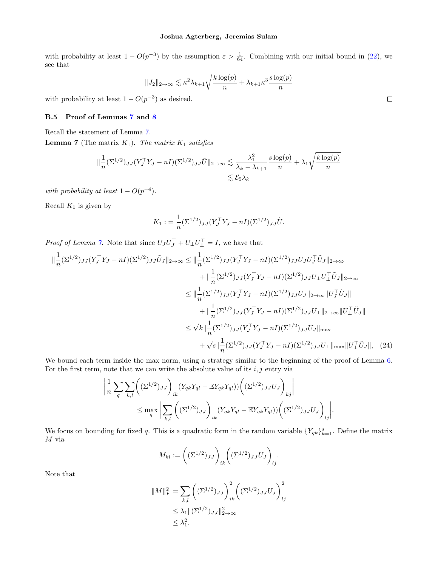with probability at least  $1 - O(p^{-3})$  by the assumption  $\varepsilon > \frac{1}{64}$ . Combining with our initial bound in [\(22\)](#page-29-2), we see that

$$
||J_2||_{2\to\infty} \lesssim \kappa^2 \lambda_{k+1} \sqrt{\frac{k \log(p)}{n}} + \lambda_{k+1} \kappa^3 \frac{s \log(p)}{n}
$$

with probability at least  $1 - O(p^{-3})$  as desired.

## <span id="page-32-0"></span>B.5 Proof of Lemmas [7](#page-15-1) and [8](#page-16-0)

Recall the statement of Lemma [7.](#page-15-1)

**Lemma 7** (The matrix  $K_1$ ). The matrix  $K_1$  satisfies

$$
\|\frac{1}{n}(\Sigma^{1/2})_{JJ}(Y_J^\top Y_J - nI)(\Sigma^{1/2})_{JJ}\tilde{U}\|_{2\to\infty} \lesssim \frac{\lambda_1^2}{\lambda_k - \lambda_{k+1}} \frac{s \log(p)}{n} + \lambda_1 \sqrt{\frac{k \log(p)}{n}}
$$

$$
\lesssim \mathcal{E}_5 \lambda_k
$$

with probability at least  $1 - O(p^{-4})$ .

Recall  $K_1$  is given by

$$
K_1 := \frac{1}{n} (\Sigma^{1/2})_{JJ} (Y_J^\top Y_J - nI) (\Sigma^{1/2})_{JJ} \tilde{U}.
$$

*Proof of Lemma [7.](#page-15-1)* Note that since  $U_J U_J^\top + U_\perp U_\perp^\top = I$ , we have that

$$
\|\frac{1}{n}(\Sigma^{1/2})_{JJ}(Y_J^{\top}Y_J - nI)(\Sigma^{1/2})_{JJ}\tilde{U}_J\|_{2\to\infty} \le \|\frac{1}{n}(\Sigma^{1/2})_{JJ}(Y_J^{\top}Y_J - nI)(\Sigma^{1/2})_{JJ}U_JU_J^{\top}\tilde{U}_J\|_{2\to\infty} \n+ \|\frac{1}{n}(\Sigma^{1/2})_{JJ}(Y_J^{\top}Y_J - nI)(\Sigma^{1/2})_{JJ}U_LU_L^{\top}\tilde{U}_J\|_{2\to\infty} \n\le \|\frac{1}{n}(\Sigma^{1/2})_{JJ}(Y_J^{\top}Y_J - nI)(\Sigma^{1/2})_{JJ}U_J\|_{2\to\infty}\|U_J^{\top}\tilde{U}_J\| \n+ \|\frac{1}{n}(\Sigma^{1/2})_{JJ}(Y_J^{\top}Y_J - nI)(\Sigma^{1/2})_{JJ}U_L\|_{2\to\infty}\|U_L^{\top}\tilde{U}_J\| \n\le \sqrt{k}\|\frac{1}{n}(\Sigma^{1/2})_{JJ}(Y_J^{\top}Y_J - nI)(\Sigma^{1/2})_{JJ}U_J\|_{\max} \n+ \sqrt{s}\|\frac{1}{n}(\Sigma^{1/2})_{JJ}(Y_J^{\top}Y_J - nI)(\Sigma^{1/2})_{JJ}U_L\|_{\max}\|U_L^{\top}\tilde{U}_J\|, (24)
$$

We bound each term inside the max norm, using a strategy similar to the beginning of the proof of Lemma [6.](#page-14-1) For the first term, note that we can write the absolute value of its  $i, j$  entry via

$$
\left| \frac{1}{n} \sum_{q} \sum_{k,l} \left( (\Sigma^{1/2})_{JJ} \right)_{ik} (Y_{qk}Y_{ql} - \mathbb{E}Y_{qk}Y_{ql})) \left( (\Sigma^{1/2})_{JJ} U_J \right)_{kj} \right|
$$
  

$$
\leq \max_{q} \left| \sum_{k,l} \left( (\Sigma^{1/2})_{JJ} \right)_{ik} (Y_{qk}Y_{ql} - \mathbb{E}Y_{qk}Y_{ql})) \left( (\Sigma^{1/2})_{JJ} U_J \right)_{lj} \right|.
$$

We focus on bounding for fixed q. This is a quadratic form in the random variable  $\{Y_{qk}\}_{k=1}^s$ . Define the matrix  $M$  via

$$
M_{kl} := \left( (\Sigma^{1/2})_{JJ} \right)_{ik} \left( (\Sigma^{1/2})_{JJ} U_J \right)_{lj}.
$$

Note that

$$
||M||_F^2 = \sum_{k,l} \left( (\Sigma^{1/2})_{JJ} \right)_{ik}^2 \left( (\Sigma^{1/2})_{JJ} U_J \right)_{lj}^2
$$
  
 
$$
\leq \lambda_1 ||(\Sigma^{1/2})_{JJ}||_{2 \to \infty}^2
$$
  
 
$$
\leq \lambda_1^2.
$$

<span id="page-32-1"></span>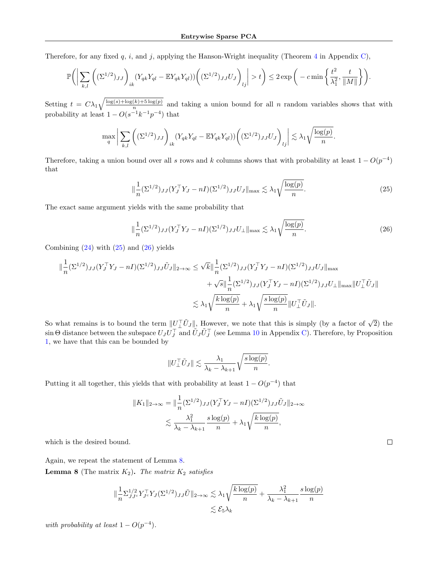Therefore, for any fixed q, i, and j, applying the Hanson-Wright inequality (Theorem [4](#page-38-3) in Appendix [C\)](#page-38-0),

$$
\mathbb{P}\bigg(\bigg|\sum_{k,l}\bigg((\Sigma^{1/2})_{JJ}\bigg)_{ik}(Y_{qk}Y_{ql} - \mathbb{E}Y_{qk}Y_{ql}))\bigg((\Sigma^{1/2})_{JJ}U_J\bigg)_{lj}\bigg| > t\bigg) \leq 2\exp\bigg(-c\min\bigg\{\frac{t^2}{\lambda_1^2},\frac{t}{\|M\|}\bigg\}\bigg).
$$

Setting  $t = C\lambda_1 \sqrt{\frac{\log(s) + \log(k) + 5\log(p)}{n}}$  $\frac{(k) + 3 \log(p)}{n}$  and taking a union bound for all n random variables shows that with probability at least  $1 - O(s^{-1}k^{-1}p^{-4})$  that

$$
\max_{q} \bigg| \sum_{k,l} \bigg( (\Sigma^{1/2})_{JJ} \bigg)_{ik} (Y_{qk} Y_{ql} - \mathbb{E} Y_{qk} Y_{ql}) ) \bigg( (\Sigma^{1/2})_{JJ} U_J \bigg)_{lj} \bigg| \lesssim \lambda_1 \sqrt{\frac{\log(p)}{n}}.
$$

Therefore, taking a union bound over all s rows and k columns shows that with probability at least  $1 - O(p^{-4})$ that

<span id="page-33-0"></span>
$$
\|\frac{1}{n}(\Sigma^{1/2})_{JJ}(Y_J^{\top}Y_J - nI)(\Sigma^{1/2})_{JJ}U_J\|_{\max} \lesssim \lambda_1 \sqrt{\frac{\log(p)}{n}}.\tag{25}
$$

The exact same argument yields with the same probability that

$$
\|\frac{1}{n}(\Sigma^{1/2})_{JJ}(Y_J^\top Y_J - nI)(\Sigma^{1/2})_{JJ}U_\perp\|_{\max} \lesssim \lambda_1 \sqrt{\frac{\log(p)}{n}}.\tag{26}
$$

Combining  $(24)$  with  $(25)$  and  $(26)$  yields

$$
\|\frac{1}{n}(\Sigma^{1/2})_{JJ}(Y_J^{\top}Y_J - nI)(\Sigma^{1/2})_{JJ}\tilde{U}_J\|_{2\to\infty} \leq \sqrt{k}\|\frac{1}{n}(\Sigma^{1/2})_{JJ}(Y_J^{\top}Y_J - nI)(\Sigma^{1/2})_{JJ}U_J\|_{\max} + \sqrt{s}\|\frac{1}{n}(\Sigma^{1/2})_{JJ}(Y_J^{\top}Y_J - nI)(\Sigma^{1/2})_{JJ}U_{\perp}\|_{\max}\|U_{\perp}^{\top}\tilde{U}_J\| \lesssim \lambda_1\sqrt{\frac{k\log(p)}{n}} + \lambda_1\sqrt{\frac{s\log(p)}{n}}\|U_{\perp}^{\top}\tilde{U}_J\|.
$$

So what remains is to bound the term  $||U_\perp^{\top} \tilde{U}_J||$ , However, we note that this is simply (by a factor of  $\sqrt{2}$ ) the  $\sin\Theta$  distance between the subspace  $U_J U_J^\top$  and  $\tilde{U}_J \tilde{U}_J^\top$  (see Lemma [10](#page-38-1) in Appendix [C\)](#page-38-0). Therefore, by Proposition [1,](#page-6-2) we have that this can be bounded by

$$
||U_{\perp}^{\top} \tilde{U}_J|| \lesssim \frac{\lambda_1}{\lambda_k - \lambda_{k+1}} \sqrt{\frac{s \log(p)}{n}}.
$$

Putting it all together, this yields that with probability at least  $1 - O(p^{-4})$  that

$$
||K_1||_{2\to\infty} = ||\frac{1}{n}(\Sigma^{1/2})_{JJ}(Y_J^\top Y_J - nI)(\Sigma^{1/2})_{JJ}\tilde{U}_J||_{2\to\infty}
$$
  

$$
\lesssim \frac{\lambda_1^2}{\lambda_k - \lambda_{k+1}} \frac{s \log(p)}{n} + \lambda_1 \sqrt{\frac{k \log(p)}{n}},
$$

which is the desired bound.

Again, we repeat the statement of Lemma [8.](#page-16-0)

**Lemma 8** (The matrix  $K_2$ ). The matrix  $K_2$  satisfies

$$
\|\frac{1}{n}\Sigma_{JJ^c}^{1/2}Y_{J^c}^\top Y_J(\Sigma^{1/2})_{JJ}\tilde{U}\|_{2\to\infty} \lesssim \lambda_1 \sqrt{\frac{k\log(p)}{n}} + \frac{\lambda_1^2}{\lambda_k - \lambda_{k+1}} \frac{s\log(p)}{n} \lesssim \mathcal{E}_5\lambda_k
$$

with probability at least  $1 - O(p^{-4})$ .

<span id="page-33-1"></span> $\Box$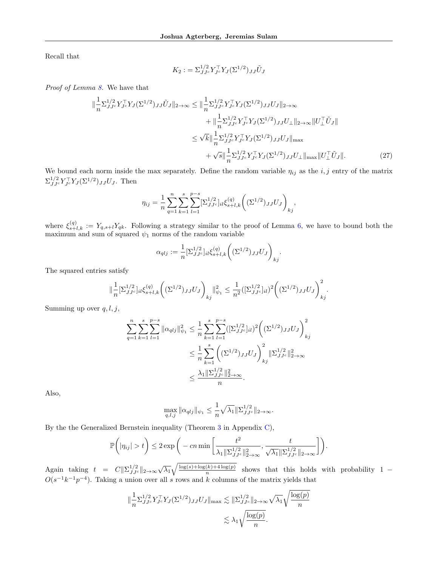Recall that

<span id="page-34-0"></span>
$$
K_2 := \sum_{JJ^c}^{1/2} Y_{J^c}^\top Y_J (\Sigma^{1/2})_{JJ} \tilde{U}_J
$$

Proof of Lemma [8.](#page-16-0) We have that

$$
\|\frac{1}{n}\Sigma_{JJ}^{1/2}Y_{J}^{\top}Y_{J}(\Sigma^{1/2})_{JJ}\tilde{U}_{J}\|_{2\to\infty} \leq \|\frac{1}{n}\Sigma_{JJ}^{1/2}Y_{J}^{\top}Y_{J}(\Sigma^{1/2})_{JJ}U_{J}\|_{2\to\infty} \n+ \|\frac{1}{n}\Sigma_{JJ}^{1/2}Y_{J}^{\top}Y_{J}(\Sigma^{1/2})_{JJ}U_{\perp}\|_{2\to\infty}\|U_{\perp}^{\top}\tilde{U}_{J}\| \n\leq \sqrt{k}\|\frac{1}{n}\Sigma_{JJ}^{1/2}Y_{J}^{\top}Y_{J}(\Sigma^{1/2})_{JJ}U_{J}\|_{\max} \n+ \sqrt{s}\|\frac{1}{n}\Sigma_{JJ}^{1/2}Y_{J}^{\top}Y_{J}(\Sigma^{1/2})_{JJ}U_{\perp}\|_{\max}\|U_{\perp}^{\top}\tilde{U}_{J}\|.
$$
\n(27)

We bound each norm inside the max separately. Define the random variable  $\eta_{ij}$  as the i, j entry of the matrix  $\Sigma_{JJc}^{1/2} Y_{Jc}^\top Y_J (\Sigma^{1/2})_{JJ} U_J$ . Then

$$
\eta_{ij} = \frac{1}{n} \sum_{q=1}^{n} \sum_{k=1}^{s} \sum_{l=1}^{p-s} [\Sigma_{JJ^c}^{1/2}]_{il} \xi_{s+l,k}^{(q)} \bigg( (\Sigma^{1/2})_{JJ} U_J \bigg)_{kj},
$$

where  $\xi_{s+l,k}^{(q)} := Y_{q,s+l} Y_{qk}$ . Following a strategy similar to the proof of Lemma [6,](#page-14-1) we have to bound both the maximum and sum of squared  $\psi_1$  norms of the random variable

$$
\alpha_{qlj} := \frac{1}{n} \left[ \Sigma_{JJ^c}^{1/2} \right]_{il} \xi_{s+l,k}^{(q)} \left( (\Sigma^{1/2})_{JJ} U_J \right)_{kj}.
$$

The squared entries satisfy

$$
\|\frac{1}{n} \left[\Sigma_{JJ^c}^{1/2}\right]_{il} \xi_{s+l,k}^{(q)} \left( \left(\Sigma^{1/2}\right)_{JJ} U_J \right)_{kj} \|\psi_1 \leq \frac{1}{n^2} \left( \left[\Sigma_{JJ^c}^{1/2}\right]_{il} \right)^2 \left( \left(\Sigma^{1/2}\right)_{JJ} U_J \right)_{kj}^2.
$$

Summing up over  $q, l, j$ ,

$$
\sum_{q=1}^{n} \sum_{k=1}^{s} \sum_{l=1}^{p-s} \|\alpha_{qlj}\|_{\psi_1}^2 \leq \frac{1}{n} \sum_{k=1}^{s} \sum_{l=1}^{p-s} ([\Sigma_{JJc}^{1/2}]_{il})^2 \bigg( (\Sigma^{1/2})_{JJ} U_J \bigg)_{kj}^2
$$
  

$$
\leq \frac{1}{n} \sum_{k=1}^{s} \bigg( (\Sigma^{1/2})_{JJ} U_J \bigg)_{kj}^2 \|\Sigma_{JJc}^{1/2}\|_{2\to\infty}^2
$$
  

$$
\leq \frac{\lambda_1 \|\Sigma_{JJc}^{1/2}\|_{2\to\infty}^2}{n}.
$$

Also,

$$
\max_{q,l,j} \|\alpha_{qlj}\|_{\psi_1} \le \frac{1}{n} \sqrt{\lambda_1} \|\Sigma_{JJ^c}^{1/2}\|_{2\to\infty}.
$$

By the the Generalized Bernstein inequality (Theorem [3](#page-38-2) in Appendix [C\)](#page-38-0),

$$
\mathbb{P}\bigg(|\eta_{ij}| > t\bigg) \leq 2 \exp\bigg(-cn \min\bigg[\frac{t^2}{\lambda_1 \|\Sigma_{JJ^c}^{1/2}\|_{2\to\infty}^2}, \frac{t}{\sqrt{\lambda_1} \|\Sigma_{JJ^c}^{1/2}\|_{2\to\infty}}\bigg]\bigg).
$$

Again taking  $t = C \|\Sigma_{JJc}^{1/2}\|_{2\to\infty} \sqrt{\lambda_1} \sqrt{\frac{\log(s) + \log(k) + 4\log(p)}{n}}$  $\frac{(\kappa) + 4 \log(p)}{n}$  shows that this holds with probability 1 −  $O(s^{-1}k^{-1}p^{-4})$ . Taking a union over all s rows and k columns of the matrix yields that

$$
\|\frac{1}{n}\Sigma_{JJ^c}^{1/2}Y_{J^c}^\top Y_J(\Sigma^{1/2})_{JJ}U_J\|_{\max} \lesssim \|\Sigma_{JJ^c}^{1/2}\|_{2\to\infty}\sqrt{\lambda_1}\sqrt{\frac{\log(p)}{n}} \lesssim \lambda_1\sqrt{\frac{\log(p)}{n}}.
$$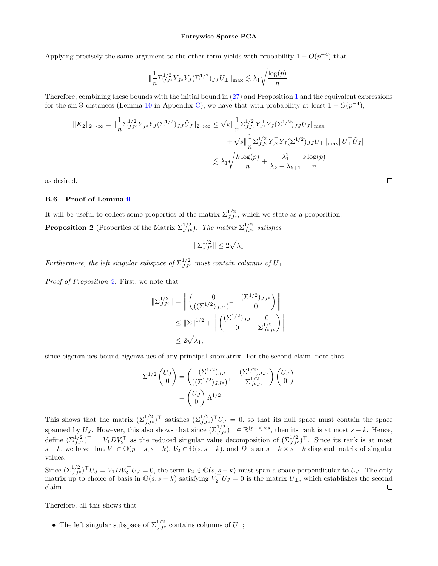Applying precisely the same argument to the other term yields with probability  $1 - O(p^{-4})$  that

$$
\|\frac{1}{n}\Sigma_{JJ^c}^{1/2}Y_{J^c}^\top Y_J(\Sigma^{1/2})_{JJ}U_\perp\|_{\max}\lesssim \lambda_1\sqrt{\frac{\log(p)}{n}}.
$$

Therefore, combining these bounds with the initial bound in [\(27\)](#page-34-0) and Proposition [1](#page-6-2) and the equivalent expressions for the sin  $\Theta$  distances (Lemma [10](#page-38-1) in Appendix [C\)](#page-38-0), we have that with probability at least  $1 - O(p^{-4})$ ,

$$
||K_2||_{2\to\infty} = \|\frac{1}{n}\Sigma_{JJ^c}^{1/2}Y_{J^c}^\top Y_J(\Sigma^{1/2})_{JJ}\tilde{U}_J\|_{2\to\infty} \le \sqrt{k}\|\frac{1}{n}\Sigma_{JJ^c}^{1/2}Y_{J^c}^\top Y_J(\Sigma^{1/2})_{JJ}U_J\|_{\max} +\sqrt{s}\|\frac{1}{n}\Sigma_{JJ^c}^{1/2}Y_{J^c}^\top Y_J(\Sigma^{1/2})_{JJ}U_\perp\|_{\max}\|U_\perp^\top \tilde{U}_J\| \le \lambda_1\sqrt{\frac{k\log(p)}{n}} + \frac{\lambda_1^2}{\lambda_k - \lambda_{k+1}}\frac{s\log(p)}{n}
$$

 $\Box$ 

as desired.

#### <span id="page-35-1"></span>B.6 Proof of Lemma [9](#page-16-1)

<span id="page-35-0"></span>It will be useful to collect some properties of the matrix  $\Sigma^{1/2}_{JJ^c}$ , which we state as a proposition. **Proposition 2** (Properties of the Matrix  $\Sigma_{JJ^c}^{1/2}$ ). The matrix  $\Sigma_{JJ^c}^{1/2}$  satisfies

$$
\|\Sigma_{JJ^c}^{1/2}\| \le 2\sqrt{\lambda_1}
$$

Furthermore, the left singular subspace of  $\Sigma_{JJ^c}^{1/2}$  must contain columns of  $U_{\perp}$ .

Proof of Proposition [2.](#page-35-0) First, we note that

$$
\|\Sigma_{JJ^c}^{1/2}\| = \left\| \begin{pmatrix} 0 & (\Sigma^{1/2})_{JJ^c} \\ ((\Sigma^{1/2})_{JJ^c})^\top & 0 \end{pmatrix} \right\|
$$
  

$$
\leq \|\Sigma\|^{1/2} + \left\| \begin{pmatrix} (\Sigma^{1/2})_{JJ} & 0 \\ 0 & \Sigma_{J^cJ^c}^{1/2} \end{pmatrix} \right\|
$$
  

$$
\leq 2\sqrt{\lambda_1},
$$

since eigenvalues bound eigenvalues of any principal submatrix. For the second claim, note that

$$
\Sigma^{1/2} \begin{pmatrix} U_J \\ 0 \end{pmatrix} = \begin{pmatrix} (\Sigma^{1/2})_{JJ} & (\Sigma^{1/2})_{JJ^c} \\ ((\Sigma^{1/2})_{JJ^c})^\top & \Sigma^{1/2}_{J^cJ^c} \end{pmatrix} \begin{pmatrix} U_J \\ 0 \end{pmatrix}
$$

$$
= \begin{pmatrix} U_J \\ 0 \end{pmatrix} \Lambda^{1/2}.
$$

This shows that the matrix  $(\Sigma_{JJc}^{1/2})^{\top}$  satisfies  $(\Sigma_{JJc}^{1/2})^{\top}U_J = 0$ , so that its null space must contain the space spanned by U<sub>J</sub>. However, this also shows that since  $(\Sigma_{JJ^c}^{1/2})^{\top} \in \mathbb{R}^{(p-s)\times s}$ , then its rank is at most  $s - k$ . Hence, define  $(\Sigma^{1/2}_{JJc})^{\top} = V_1 D V_2^{\top}$  as the reduced singular value decomposition of  $(\Sigma^{1/2}_{JJc})^{\top}$ . Since its rank is at most s – k, we have that  $V_1 \in \mathbb{O}(p-s, s-k)$ ,  $V_2 \in \mathbb{O}(s, s-k)$ , and D is an  $s - k \times s - k$  diagonal matrix of singular values.

Since  $(\Sigma_{JJ^c}^{1/2})^{\top}U_J = V_1DV_2^{\top}U_J = 0$ , the term  $V_2 \in \mathbb{O}(s, s - k)$  must span a space perpendicular to  $U_J$ . The only matrix up to choice of basis in  $\mathbb{O}(s, s - k)$  satisfying  $V_1^{\top} U_J = 0$  is the matrix  $U_{\perp}$ , which establishes the second claim.  $\Box$ 

Therefore, all this shows that

• The left singular subspace of  $\Sigma_{JJ^c}^{1/2}$  contains columns of  $U_{\perp}$ ;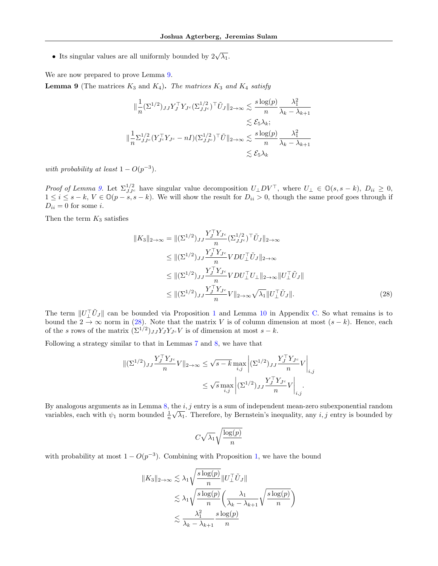• Its singular values are all uniformly bounded by  $2\sqrt{\lambda_1}$ .

We are now prepared to prove Lemma [9.](#page-16-1)

**Lemma 9** (The matrices  $K_3$  and  $K_4$ ). The matrices  $K_3$  and  $K_4$  satisfy

$$
\begin{aligned}\n\|\frac{1}{n} (\Sigma^{1/2})_{JJ} Y_J^\top Y_{J^c} (\Sigma^{1/2}_{JJ^c})^\top \tilde{U}_J \|_{2\to\infty} &\leq \frac{s \log(p)}{n} \frac{\lambda_1^2}{\lambda_k - \lambda_{k+1}} \\
&\leq \mathcal{E}_5 \lambda_k; \\
\|\frac{1}{n} \Sigma_{JJ^c}^{1/2} (Y_{J^c}^\top Y_{J^c} - nI) (\Sigma_{JJ^c}^{1/2})^\top \tilde{U} \|_{2\to\infty} &\leq \frac{s \log(p)}{n} \frac{\lambda_1^2}{\lambda_k - \lambda_{k+1}} \\
&\leq \mathcal{E}_5 \lambda_k\n\end{aligned}
$$

with probability at least  $1 - O(p^{-3})$ .

*Proof of Lemma [9.](#page-16-1)* Let  $\Sigma_{JJc}^{1/2}$  have singular value decomposition  $U_{\perp}DV^{\top}$ , where  $U_{\perp} \in \mathbb{O}(s, s - k)$ ,  $D_{ii} \geq 0$ ,  $1 \leq i \leq s-k$ ,  $V \in \mathbb{O}(p-s, s-k)$ . We will show the result for  $D_{ii} > 0$ , though the same proof goes through if  $D_{ii} = 0$  for some *i*.

Then the term  $K_3$  satisfies

$$
||K_3||_{2\to\infty} = ||(\Sigma^{1/2})_{JJ} \frac{Y_J^\top Y_{J^c}}{n} (\Sigma_{JJ^c}^{1/2})^\top \tilde{U}_J||_{2\to\infty}
$$
  
\n
$$
\leq ||(\Sigma^{1/2})_{JJ} \frac{Y_J^\top Y_{J^c}}{n} VDU_\perp^\top \tilde{U}_J||_{2\to\infty}
$$
  
\n
$$
\leq ||(\Sigma^{1/2})_{JJ} \frac{Y_J^\top Y_{J^c}}{n} VDU_\perp^\top U_\perp||_{2\to\infty} ||U_\perp^\top \tilde{U}_J||
$$
  
\n
$$
\leq ||(\Sigma^{1/2})_{JJ} \frac{Y_J^\top Y_{J^c}}{n} V||_{2\to\infty} \sqrt{\lambda_1} ||U_\perp^\top \tilde{U}_J||. \tag{28}
$$

The term  $||U_{\perp}^{\top}\tilde{U}_{J}||$  can be bounded via Proposition [1](#page-6-2) and Lemma [10](#page-38-1) in Appendix [C.](#page-38-0) So what remains is to bound the 2  $\rightarrow \infty$  norm in [\(28\)](#page-36-0). Note that the matrix V is of column dimension at most  $(s - k)$ . Hence, each of the s rows of the matrix  $(\Sigma^{1/2})_{JJ} Y_J Y_{J} c V$  is of dimension at most  $s - k$ .

Following a strategy similar to that in Lemmas [7](#page-15-1) and [8,](#page-16-0) we have that

$$
\begin{aligned} \|(\Sigma^{1/2})_{JJ} \frac{Y_J^\top Y_{J^c}}{n} V\|_{2 \to \infty} &\le \sqrt{s-k} \max_{i,j} \left| (\Sigma^{1/2})_{JJ} \frac{Y_J^\top Y_{J^c}}{n} V \right|_{i,j} \\ &\le \sqrt{s} \max_{i,j} \left| (\Sigma^{1/2})_{JJ} \frac{Y_J^\top Y_{J^c}}{n} V \right|_{i,j} .\end{aligned}
$$

By analogous arguments as in Lemma [8,](#page-16-0) the *i*, j entry is a sum of independent mean-zero subexponential random variables, each with  $\psi_1$  norm bounded  $\frac{1}{n}\sqrt{\lambda_1}$ . Therefore, by Bernstein's inequality, any *i*, *j* entry is bounded by

<span id="page-36-0"></span>
$$
C\sqrt{\lambda_1}\sqrt{\frac{\log(p)}{n}}
$$

with probability at most  $1 - O(p^{-3})$ . Combining with Proposition [1,](#page-6-2) we have the bound

$$
||K_3||_{2\to\infty} \lesssim \lambda_1 \sqrt{\frac{s \log(p)}{n}} ||U_{\perp}^{\top} \tilde{U}_J||
$$
  

$$
\lesssim \lambda_1 \sqrt{\frac{s \log(p)}{n}} \left(\frac{\lambda_1}{\lambda_k - \lambda_{k+1}} \sqrt{\frac{s \log(p)}{n}}\right)
$$
  

$$
\lesssim \frac{\lambda_1^2}{\lambda_k - \lambda_{k+1}} \frac{s \log(p)}{n}
$$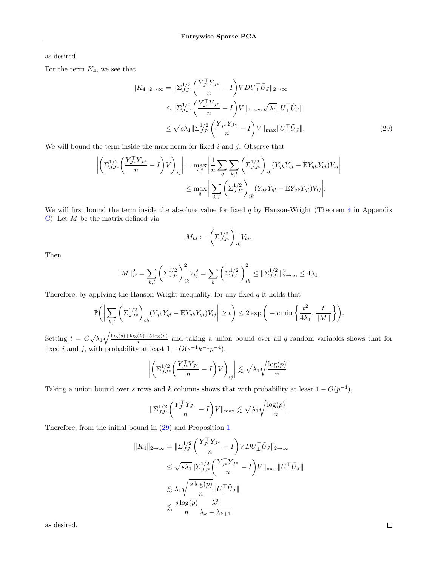as desired.

For the term  $K_4$ , we see that

$$
||K_4||_{2\to\infty} = ||\Sigma_{JJ^c}^{1/2} \left(\frac{Y_{J^c}^\top Y_{J^c}}{n} - I\right) VDU_\perp^\top \tilde{U}_J||_{2\to\infty}
$$
  
\n
$$
\leq ||\Sigma_{JJ^c}^{1/2} \left(\frac{Y_{J^c}^\top Y_{J^c}}{n} - I\right) V||_{2\to\infty} \sqrt{\lambda_1} ||U_\perp^\top \tilde{U}_J||
$$
  
\n
$$
\leq \sqrt{s\lambda_1} ||\Sigma_{JJ^c}^{1/2} \left(\frac{Y_{J^c}^\top Y_{J^c}}{n} - I\right) V||_{\max} ||U_\perp^\top \tilde{U}_J||. \tag{29}
$$

We will bound the term inside the max norm for fixed  $i$  and  $j$ . Observe that

$$
\left| \left( \Sigma_{JJ^c}^{1/2} \left( \frac{Y_{J^c}^\top Y_{J^c}}{n} - I \right) V \right)_{ij} \right| = \max_{i,j} \left| \frac{1}{n} \sum_{q} \sum_{k,l} \left( \Sigma_{JJ^c}^{1/2} \right)_{ik} (Y_{qk} Y_{ql} - \mathbb{E} Y_{qk} Y_{ql}) V_{lj} \right|
$$
  

$$
\leq \max_{q} \left| \sum_{k,l} \left( \Sigma_{JJ^c}^{1/2} \right)_{ik} (Y_{qk} Y_{ql} - \mathbb{E} Y_{qk} Y_{ql}) V_{lj} \right|.
$$

We will first bound the term inside the absolute value for fixed  $q$  by Hanson-Wright (Theorem [4](#page-38-3) in Appendix [C\)](#page-38-0). Let  $M$  be the matrix defined via

<span id="page-37-0"></span>
$$
M_{kl} := \left(\Sigma_{JJ^c}^{1/2}\right)_{ik} V_{lj}.
$$

Then

$$
||M||_F^2 = \sum_{k,l} \left(\Sigma_{JJ^c}^{1/2}\right)_{ik}^2 V_{lj}^2 = \sum_k \left(\Sigma_{JJ^c}^{1/2}\right)_{ik}^2 \le ||\Sigma_{JJ^c}^{1/2}||_{2\to\infty}^2 \le 4\lambda_1.
$$

Therefore, by applying the Hanson-Wright inequality, for any fixed  $q$  it holds that

$$
\mathbb{P}\bigg(\bigg|\sum_{k,l}\bigg(\Sigma_{JJ^c}^{1/2}\bigg)_{ik}(Y_{qk}Y_{ql} - \mathbb{E}Y_{qk}Y_{ql})V_{lj}\bigg|\ge t\bigg)\le 2\exp\bigg(-c\min\bigg\{\frac{t^2}{4\lambda_1},\frac{t}{\|M\|}\bigg\}\bigg).
$$

Setting  $t = C\sqrt{\lambda_1}\sqrt{\frac{\log(s) + \log(k) + 5\log(p)}{n}}$  $\frac{(k+10)}{n}$  and taking a union bound over all q random variables shows that for fixed *i* and *j*, with probability at least  $1 - O(s^{-1}k^{-1}p^{-4})$ ,

$$
\left| \left( \Sigma_{JJ^c}^{1/2} \left( \frac{Y_{J^c}^\top Y_{J^c}}{n} - I \right) V \right)_{ij} \right| \lesssim \sqrt{\lambda_1} \sqrt{\frac{\log(p)}{n}}.
$$

Taking a union bound over s rows and k columns shows that with probability at least  $1 - O(p^{-4})$ ,

$$
\|\Sigma_{JJ^c}^{1/2} \left( \frac{Y_{J^c}^\top Y_{J^c}}{n} - I \right) V\|_{\max} \lesssim \sqrt{\lambda_1} \sqrt{\frac{\log(p)}{n}}.
$$

Therefore, from the initial bound in [\(29\)](#page-37-0) and Proposition [1,](#page-6-2)

$$
||K_4||_{2\to\infty} = ||\Sigma_{JJ^c}^{1/2} \left(\frac{Y_{J^c}^\top Y_{J^c}}{n} - I\right) VDU_\perp^\top \tilde{U}_J||_{2\to\infty}
$$
  
\n
$$
\leq \sqrt{s\lambda_1} ||\Sigma_{JJ^c}^{1/2} \left(\frac{Y_{J^c}^\top Y_{J^c}}{n} - I\right) V||_{\max} ||U_\perp^\top \tilde{U}_J||
$$
  
\n
$$
\lesssim \lambda_1 \sqrt{\frac{s \log(p)}{n}} ||U_\perp^\top \tilde{U}_J||
$$
  
\n
$$
\lesssim \frac{s \log(p)}{n} \frac{\lambda_1^2}{\lambda_k - \lambda_{k+1}}
$$

as desired.